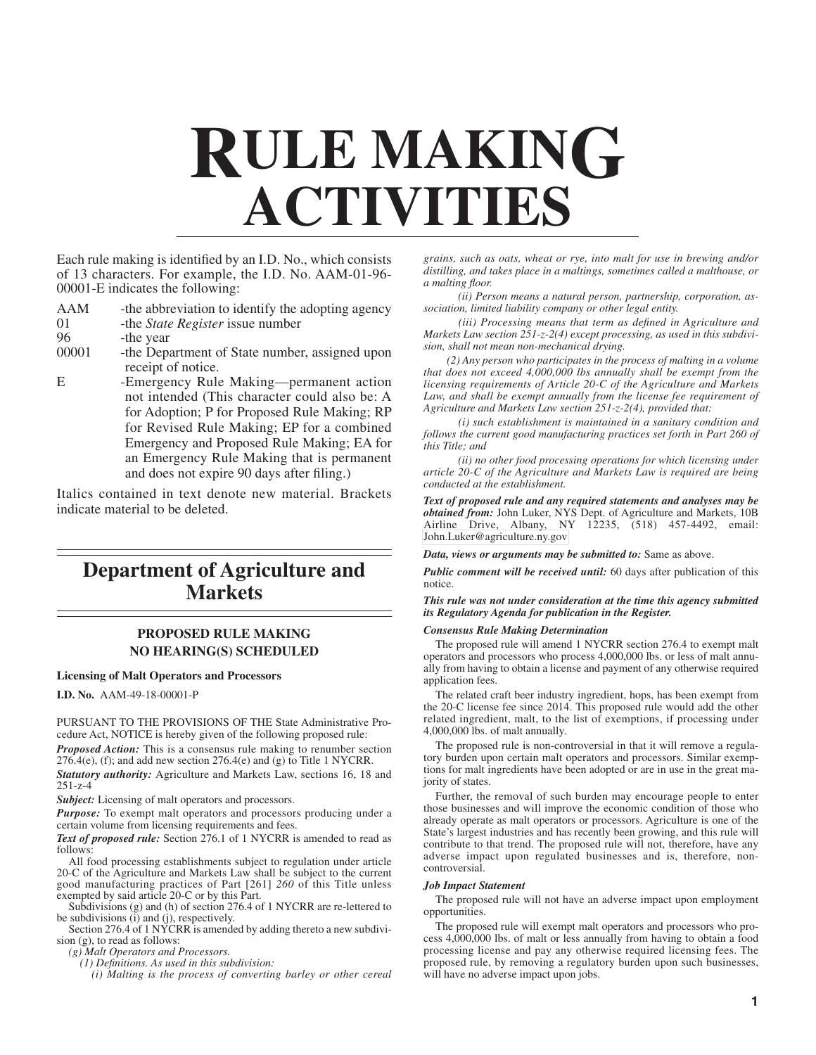# **RULE MAKING ACTIVITIES**

Each rule making is identified by an I.D. No., which consists of 13 characters. For example, the I.D. No. AAM-01-96- 00001-E indicates the following:

- AAM -the abbreviation to identify the adopting agency
- 01 -the *State Register* issue number
- 96 -the year<br>00001 -the Depa

-the Department of State number, assigned upon receipt of notice.

E -Emergency Rule Making—permanent action not intended (This character could also be: A for Adoption; P for Proposed Rule Making; RP for Revised Rule Making; EP for a combined Emergency and Proposed Rule Making; EA for an Emergency Rule Making that is permanent and does not expire 90 days after filing.)

Italics contained in text denote new material. Brackets indicate material to be deleted.

## **Department of Agriculture and Markets**

#### **PROPOSED RULE MAKING NO HEARING(S) SCHEDULED**

#### **Licensing of Malt Operators and Processors**

**I.D. No.** AAM-49-18-00001-P

PURSUANT TO THE PROVISIONS OF THE State Administrative Procedure Act, NOTICE is hereby given of the following proposed rule:

*Proposed Action:* This is a consensus rule making to renumber section  $276.4(e)$ , (f); and add new section  $276.4(e)$  and (g) to Title 1 NYCRR.

*Statutory authority:* Agriculture and Markets Law, sections 16, 18 and 251-z-4

*Subject:* Licensing of malt operators and processors.

*Purpose:* To exempt malt operators and processors producing under a certain volume from licensing requirements and fees.

*Text of proposed rule:* Section 276.1 of 1 NYCRR is amended to read as follows:

All food processing establishments subject to regulation under article 20-C of the Agriculture and Markets Law shall be subject to the current good manufacturing practices of Part [261] *260* of this Title unless exempted by said article 20-C or by this Part.

Subdivisions (g) and (h) of section 276.4 of 1 NYCRR are re-lettered to be subdivisions (i) and (j), respectively.

Section 276.4 of 1 NYCRR is amended by adding thereto a new subdivision (g), to read as follows:

*(g) Malt Operators and Processors.*

*(1) Definitions. As used in this subdivision:*

*(i) Malting is the process of converting barley or other cereal*

*grains, such as oats, wheat or rye, into malt for use in brewing and/or distilling, and takes place in a maltings, sometimes called a malthouse, or a malting floor.*

*(ii) Person means a natural person, partnership, corporation, association, limited liability company or other legal entity.*

*(iii) Processing means that term as defined in Agriculture and Markets Law section 251-z-2(4) except processing, as used in this subdivision, shall not mean non-mechanical drying.*

*(2) Any person who participates in the process of malting in a volume that does not exceed 4,000,000 lbs annually shall be exempt from the licensing requirements of Article 20-C of the Agriculture and Markets Law, and shall be exempt annually from the license fee requirement of Agriculture and Markets Law section 251-z-2(4), provided that:*

*(i) such establishment is maintained in a sanitary condition and follows the current good manufacturing practices set forth in Part 260 of this Title; and*

*(ii) no other food processing operations for which licensing under article 20-C of the Agriculture and Markets Law is required are being conducted at the establishment.*

*Text of proposed rule and any required statements and analyses may be obtained from:* John Luker, NYS Dept. of Agriculture and Markets, 10B Airline Drive, Albany, NY 12235, (518) 457-4492, email: [John.Luker@agriculture.ny.gov](mailto: John.Luker@agriculture.ny.gov )

*Data, views or arguments may be submitted to:* Same as above.

*Public comment will be received until:* 60 days after publication of this notice.

*This rule was not under consideration at the time this agency submitted its Regulatory Agenda for publication in the Register.*

#### *Consensus Rule Making Determination*

The proposed rule will amend 1 NYCRR section 276.4 to exempt malt operators and processors who process 4,000,000 lbs. or less of malt annually from having to obtain a license and payment of any otherwise required application fees.

The related craft beer industry ingredient, hops, has been exempt from the 20-C license fee since 2014. This proposed rule would add the other related ingredient, malt, to the list of exemptions, if processing under 4,000,000 lbs. of malt annually.

The proposed rule is non-controversial in that it will remove a regulatory burden upon certain malt operators and processors. Similar exemptions for malt ingredients have been adopted or are in use in the great majority of states.

Further, the removal of such burden may encourage people to enter those businesses and will improve the economic condition of those who already operate as malt operators or processors. Agriculture is one of the State's largest industries and has recently been growing, and this rule will contribute to that trend. The proposed rule will not, therefore, have any adverse impact upon regulated businesses and is, therefore, noncontroversial.

#### *Job Impact Statement*

The proposed rule will not have an adverse impact upon employment opportunities.

The proposed rule will exempt malt operators and processors who process 4,000,000 lbs. of malt or less annually from having to obtain a food processing license and pay any otherwise required licensing fees. The proposed rule, by removing a regulatory burden upon such businesses, will have no adverse impact upon jobs.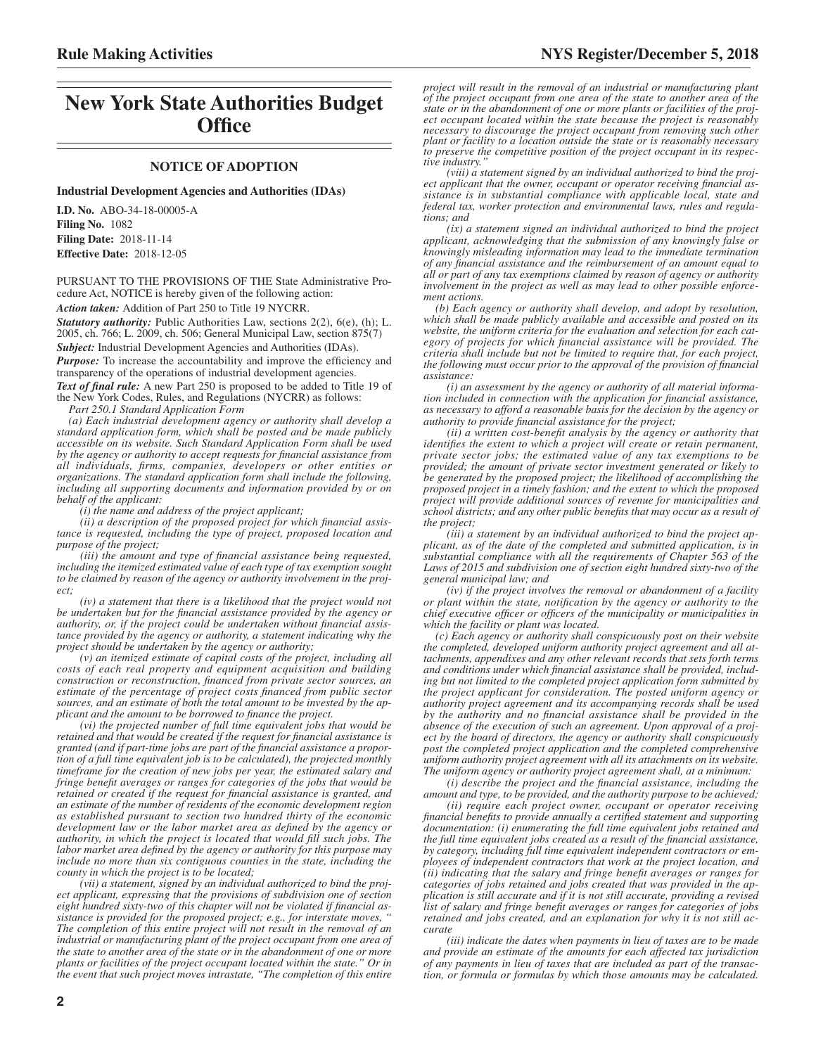## **New York State Authorities Budget Office**

#### **NOTICE OF ADOPTION**

**Industrial Development Agencies and Authorities (IDAs)**

**I.D. No.** ABO-34-18-00005-A **Filing No.** 1082 **Filing Date:** 2018-11-14 **Effective Date:** 2018-12-05

PURSUANT TO THE PROVISIONS OF THE State Administrative Procedure Act, NOTICE is hereby given of the following action:

*Action taken:* Addition of Part 250 to Title 19 NYCRR.

*Statutory authority:* Public Authorities Law, sections 2(2), 6(e), (h); L. 2005, ch. 766; L. 2009, ch. 506; General Municipal Law, section 875(7) *Subject:* Industrial Development Agencies and Authorities (IDAs).

*Purpose:* To increase the accountability and improve the efficiency and transparency of the operations of industrial development agencies.

*Text of final rule:* A new Part 250 is proposed to be added to Title 19 of the New York Codes, Rules, and Regulations (NYCRR) as follows:

*Part 250.1 Standard Application Form*

*(a) Each industrial development agency or authority shall develop a standard application form, which shall be posted and be made publicly accessible on its website. Such Standard Application Form shall be used by the agency or authority to accept requests for financial assistance from all individuals, firms, companies, developers or other entities or organizations. The standard application form shall include the following, including all supporting documents and information provided by or on behalf of the applicant:*

*(i) the name and address of the project applicant;*

*(ii) a description of the proposed project for which financial assistance is requested, including the type of project, proposed location and purpose of the project;*

*(iii) the amount and type of financial assistance being requested, including the itemized estimated value of each type of tax exemption sought to be claimed by reason of the agency or authority involvement in the project;*

*(iv) a statement that there is a likelihood that the project would not be undertaken but for the financial assistance provided by the agency or authority, or, if the project could be undertaken without financial assistance provided by the agency or authority, a statement indicating why the project should be undertaken by the agency or authority;*

*(v) an itemized estimate of capital costs of the project, including all costs of each real property and equipment acquisition and building construction or reconstruction, financed from private sector sources, an estimate of the percentage of project costs financed from public sector sources, and an estimate of both the total amount to be invested by the applicant and the amount to be borrowed to finance the project.*

*(vi) the projected number of full time equivalent jobs that would be retained and that would be created if the request for financial assistance is granted (and if part-time jobs are part of the financial assistance a proportion of a full time equivalent job is to be calculated), the projected monthly timeframe for the creation of new jobs per year, the estimated salary and fringe benefit averages or ranges for categories of the jobs that would be retained or created if the request for financial assistance is granted, and an estimate of the number of residents of the economic development region as established pursuant to section two hundred thirty of the economic development law or the labor market area as defined by the agency or authority, in which the project is located that would fill such jobs. The labor market area defined by the agency or authority for this purpose may include no more than six contiguous counties in the state, including the county in which the project is to be located;*

*(vii) a statement, signed by an individual authorized to bind the project applicant, expressing that the provisions of subdivision one of section eight hundred sixty-two of this chapter will not be violated if financial assistance is provided for the proposed project; e.g., for interstate moves, " The completion of this entire project will not result in the removal of an industrial or manufacturing plant of the project occupant from one area of the state to another area of the state or in the abandonment of one or more plants or facilities of the project occupant located within the state." Or in the event that such project moves intrastate, "The completion of this entire*

*project will result in the removal of an industrial or manufacturing plant of the project occupant from one area of the state to another area of the state or in the abandonment of one or more plants or facilities of the project occupant located within the state because the project is reasonably necessary to discourage the project occupant from removing such other plant or facility to a location outside the state or is reasonably necessary to preserve the competitive position of the project occupant in its respective industry.* 

*(viii) a statement signed by an individual authorized to bind the project applicant that the owner, occupant or operator receiving financial assistance is in substantial compliance with applicable local, state and federal tax, worker protection and environmental laws, rules and regulations; and*

*(ix) a statement signed an individual authorized to bind the project applicant, acknowledging that the submission of any knowingly false or knowingly misleading information may lead to the immediate termination of any financial assistance and the reimbursement of an amount equal to all or part of any tax exemptions claimed by reason of agency or authority involvement in the project as well as may lead to other possible enforcement actions.*

*(b) Each agency or authority shall develop, and adopt by resolution, which shall be made publicly available and accessible and posted on its* website, the uniform criteria for the evaluation and selection for each cat*egory of projects for which financial assistance will be provided. The criteria shall include but not be limited to require that, for each project, the following must occur prior to the approval of the provision of financial assistance:*

*(i) an assessment by the agency or authority of all material information included in connection with the application for financial assistance, as necessary to afford a reasonable basis for the decision by the agency or authority to provide financial assistance for the project;*

*(ii) a written cost-benefit analysis by the agency or authority that identifies the extent to which a project will create or retain permanent, private sector jobs; the estimated value of any tax exemptions to be provided; the amount of private sector investment generated or likely to be generated by the proposed project; the likelihood of accomplishing the proposed project in a timely fashion; and the extent to which the proposed project will provide additional sources of revenue for municipalities and school districts; and any other public benefits that may occur as a result of the project;*

*(iii) a statement by an individual authorized to bind the project applicant, as of the date of the completed and submitted application, is in substantial compliance with all the requirements of Chapter 563 of the Laws of 2015 and subdivision one of section eight hundred sixty-two of the general municipal law; and*

*(iv) if the project involves the removal or abandonment of a facility or plant within the state, notification by the agency or authority to the chief executive officer or officers of the municipality or municipalities in which the facility or plant was located.*

*(c) Each agency or authority shall conspicuously post on their website the completed, developed uniform authority project agreement and all attachments, appendixes and any other relevant records that sets forth terms and conditions under which financial assistance shall be provided, including but not limited to the completed project application form submitted by the project applicant for consideration. The posted uniform agency or authority project agreement and its accompanying records shall be used by the authority and no financial assistance shall be provided in the absence of the execution of such an agreement. Upon approval of a project by the board of directors, the agency or authority shall conspicuously post the completed project application and the completed comprehensive uniform authority project agreement with all its attachments on its website. The uniform agency or authority project agreement shall, at a minimum:*

*(i) describe the project and the financial assistance, including the amount and type, to be provided, and the authority purpose to be achieved;*

*(ii) require each project owner, occupant or operator receiving financial benefits to provide annually a certified statement and supporting documentation: (i) enumerating the full time equivalent jobs retained and the full time equivalent jobs created as a result of the financial assistance, by category, including full time equivalent independent contractors or employees of independent contractors that work at the project location, and (ii) indicating that the salary and fringe benefit averages or ranges for categories of jobs retained and jobs created that was provided in the application is still accurate and if it is not still accurate, providing a revised list of salary and fringe benefit averages or ranges for categories of jobs retained and jobs created, and an explanation for why it is not still accurate*

*(iii) indicate the dates when payments in lieu of taxes are to be made and provide an estimate of the amounts for each affected tax jurisdiction of any payments in lieu of taxes that are included as part of the transaction, or formula or formulas by which those amounts may be calculated.*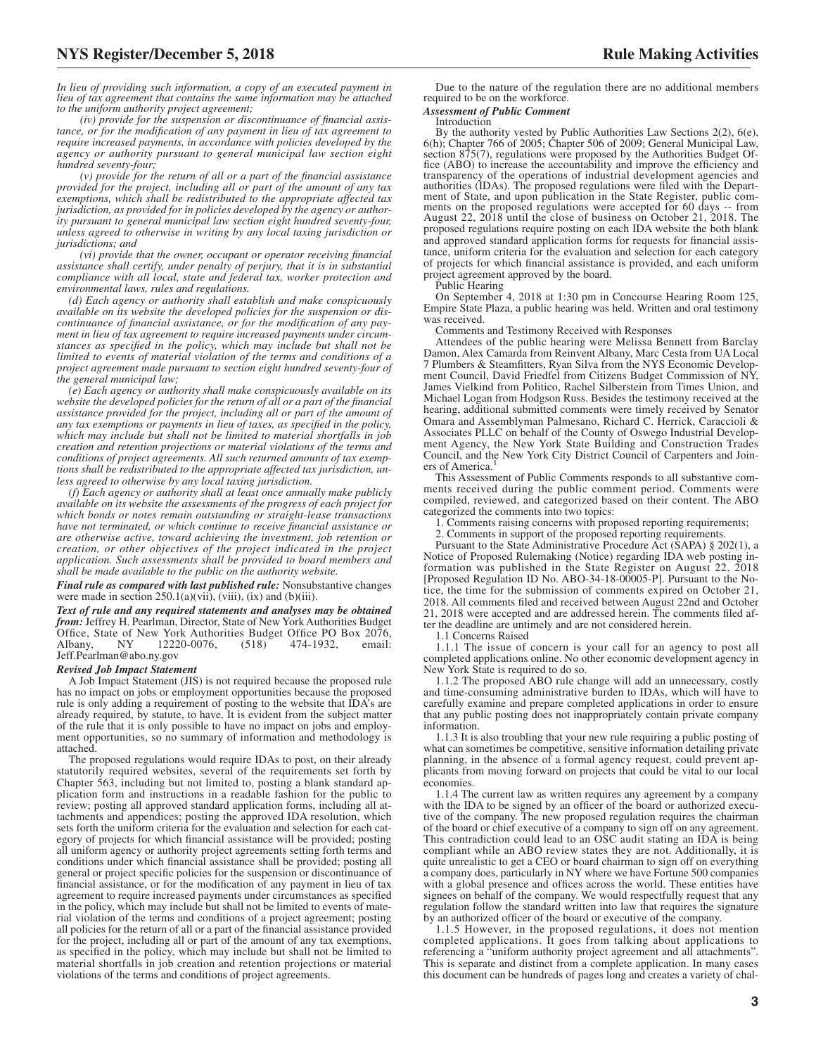*In lieu of providing such information, a copy of an executed payment in lieu of tax agreement that contains the same information may be attached*

*to the uniform authority project agreement; (iv) provide for the suspension or discontinuance of financial assistance, or for the modification of any payment in lieu of tax agreement to require increased payments, in accordance with policies developed by the agency or authority pursuant to general municipal law section eight hundred seventy-four;*

*(v) provide for the return of all or a part of the financial assistance provided for the project, including all or part of the amount of any tax exemptions, which shall be redistributed to the appropriate affected tax jurisdiction, as provided for in policies developed by the agency or authority pursuant to general municipal law section eight hundred seventy-four, unless agreed to otherwise in writing by any local taxing jurisdiction or jurisdictions; and*

*(vi) provide that the owner, occupant or operator receiving financial assistance shall certify, under penalty of perjury, that it is in substantial compliance with all local, state and federal tax, worker protection and environmental laws, rules and regulations.*

*(d) Each agency or authority shall establish and make conspicuously available on its website the developed policies for the suspension or discontinuance of financial assistance, or for the modification of any payment in lieu of tax agreement to require increased payments under circumstances as specified in the policy, which may include but shall not be limited to events of material violation of the terms and conditions of a project agreement made pursuant to section eight hundred seventy-four of the general municipal law;*

*(e) Each agency or authority shall make conspicuously available on its website the developed policies for the return of all or a part of the financial assistance provided for the project, including all or part of the amount of any tax exemptions or payments in lieu of taxes, as specified in the policy, which may include but shall not be limited to material shortfalls in job creation and retention projections or material violations of the terms and conditions of project agreements. All such returned amounts of tax exemptions shall be redistributed to the appropriate affected tax jurisdiction, unless agreed to otherwise by any local taxing jurisdiction.*

*(f) Each agency or authority shall at least once annually make publicly available on its website the assessments of the progress of each project for which bonds or notes remain outstanding or straight-lease transactions have not terminated, or which continue to receive financial assistance or are otherwise active, toward achieving the investment, job retention or creation, or other objectives of the project indicated in the project application. Such assessments shall be provided to board members and shall be made available to the public on the authority website.*

*Final rule as compared with last published rule:* Nonsubstantive changes were made in section  $250.1(a)(vii)$ ,  $(viii)$ ,  $(ix)$  and  $(b)(iii)$ .

*Text of rule and any required statements and analyses may be obtained from:* Jeffrey H. Pearlman, Director, State of New York Authorities Budget Office, State of New York Authorities Budget Office PO Box 2076,<br>Albany, NY 12220-0076, (518) 474-1932, email: Albany, NY 12220-0076, (518) 474-1932, email: Jeff.Pearlman@abo.ny.gov

#### *Revised Job Impact Statement*

A Job Impact Statement (JIS) is not required because the proposed rule has no impact on jobs or employment opportunities because the proposed rule is only adding a requirement of posting to the website that IDA's are already required, by statute, to have. It is evident from the subject matter of the rule that it is only possible to have no impact on jobs and employment opportunities, so no summary of information and methodology is attached.

The proposed regulations would require IDAs to post, on their already statutorily required websites, several of the requirements set forth by Chapter 563, including but not limited to, posting a blank standard application form and instructions in a readable fashion for the public to review; posting all approved standard application forms, including all attachments and appendices; posting the approved IDA resolution, which sets forth the uniform criteria for the evaluation and selection for each category of projects for which financial assistance will be provided; posting all uniform agency or authority project agreements setting forth terms and conditions under which financial assistance shall be provided; posting all general or project specific policies for the suspension or discontinuance of financial assistance, or for the modification of any payment in lieu of tax agreement to require increased payments under circumstances as specified in the policy, which may include but shall not be limited to events of material violation of the terms and conditions of a project agreement; posting all policies for the return of all or a part of the financial assistance provided for the project, including all or part of the amount of any tax exemptions, as specified in the policy, which may include but shall not be limited to material shortfalls in job creation and retention projections or material violations of the terms and conditions of project agreements.

Due to the nature of the regulation there are no additional members required to be on the workforce.

#### *Assessment of Public Comment*

#### Introduction

By the authority vested by Public Authorities Law Sections 2(2), 6(e), 6(h); Chapter 766 of 2005; Chapter 506 of 2009; General Municipal Law, section 875(7), regulations were proposed by the Authorities Budget Office (ABO) to increase the accountability and improve the efficiency and transparency of the operations of industrial development agencies and authorities (IDAs). The proposed regulations were filed with the Department of State, and upon publication in the State Register, public comments on the proposed regulations were accepted for 60 days -- from August 22, 2018 until the close of business on October 21, 2018. The proposed regulations require posting on each IDA website the both blank and approved standard application forms for requests for financial assistance, uniform criteria for the evaluation and selection for each category of projects for which financial assistance is provided, and each uniform project agreement approved by the board.

Public Hearing

On September 4, 2018 at 1:30 pm in Concourse Hearing Room 125, Empire State Plaza, a public hearing was held. Written and oral testimony was received.

Comments and Testimony Received with Responses

Attendees of the public hearing were Melissa Bennett from Barclay Damon, Alex Camarda from Reinvent Albany, Marc Cesta from UA Local 7 Plumbers & Steamfitters, Ryan Silva from the NYS Economic Development Council, David Friedfel from Citizens Budget Commission of NY, James Vielkind from Politico, Rachel Silberstein from Times Union, and Michael Logan from Hodgson Russ. Besides the testimony received at the hearing, additional submitted comments were timely received by Senator Omara and Assemblyman Palmesano, Richard C. Herrick, Caraccioli & Associates PLLC on behalf of the County of Oswego Industrial Development Agency, the New York State Building and Construction Trades Council, and the New York City District Council of Carpenters and Joiners of America.<sup>1</sup>

This Assessment of Public Comments responds to all substantive comments received during the public comment period. Comments were compiled, reviewed, and categorized based on their content. The ABO categorized the comments into two topics:

1. Comments raising concerns with proposed reporting requirements;

2. Comments in support of the proposed reporting requirements.

Pursuant to the State Administrative Procedure Act (SAPA) § 202(1), a Notice of Proposed Rulemaking (Notice) regarding IDA web posting information was published in the State Register on August 22, 2018 [Proposed Regulation ID No. ABO-34-18-00005-P]. Pursuant to the Notice, the time for the submission of comments expired on October 21, 2018. All comments filed and received between August 22nd and October 21, 2018 were accepted and are addressed herein. The comments filed after the deadline are untimely and are not considered herein.

1.1 Concerns Raised

1.1.1 The issue of concern is your call for an agency to post all completed applications online. No other economic development agency in New York State is required to do so.

1.1.2 The proposed ABO rule change will add an unnecessary, costly and time-consuming administrative burden to IDAs, which will have to carefully examine and prepare completed applications in order to ensure that any public posting does not inappropriately contain private company information.

1.1.3 It is also troubling that your new rule requiring a public posting of what can sometimes be competitive, sensitive information detailing private planning, in the absence of a formal agency request, could prevent applicants from moving forward on projects that could be vital to our local economies.

1.1.4 The current law as written requires any agreement by a company with the IDA to be signed by an officer of the board or authorized executive of the company. The new proposed regulation requires the chairman of the board or chief executive of a company to sign off on any agreement. This contradiction could lead to an OSC audit stating an IDA is being compliant while an ABO review states they are not. Additionally, it is quite unrealistic to get a CEO or board chairman to sign off on everything a company does, particularly in NY where we have Fortune 500 companies with a global presence and offices across the world. These entities have signees on behalf of the company. We would respectfully request that any regulation follow the standard written into law that requires the signature by an authorized officer of the board or executive of the company.

1.1.5 However, in the proposed regulations, it does not mention completed applications. It goes from talking about applications to referencing a "uniform authority project agreement and all attachments". This is separate and distinct from a complete application. In many cases this document can be hundreds of pages long and creates a variety of chal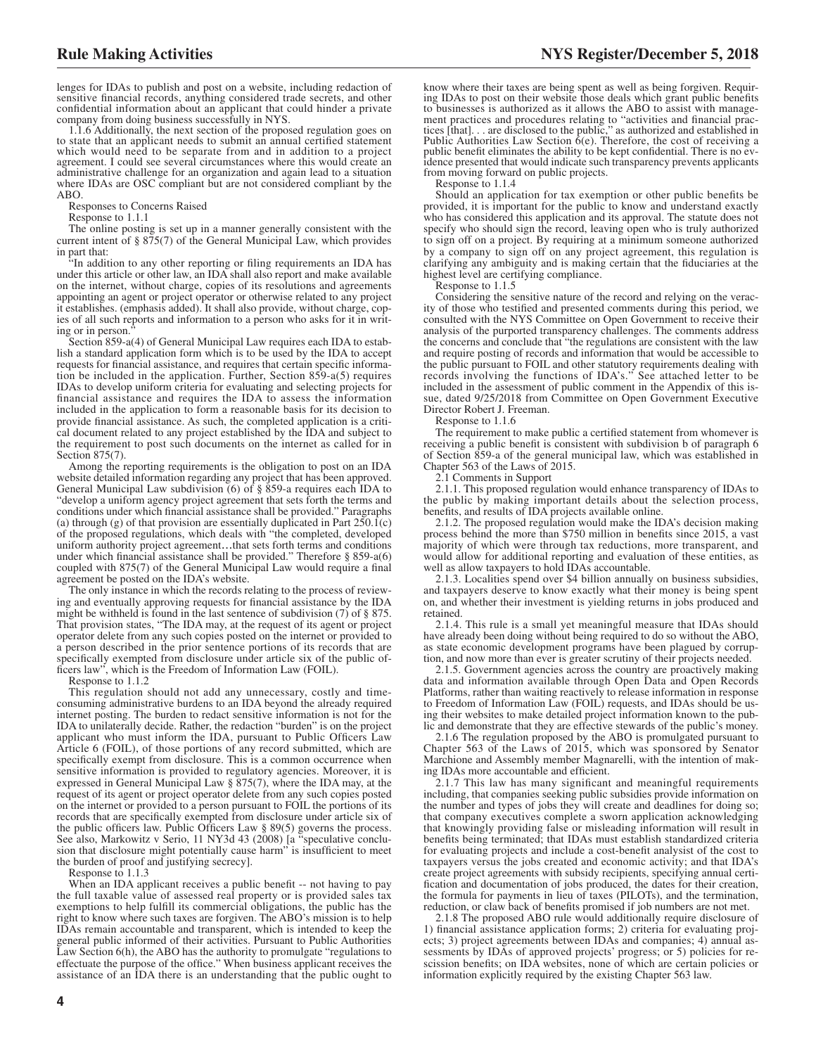lenges for IDAs to publish and post on a website, including redaction of sensitive financial records, anything considered trade secrets, and other confidential information about an applicant that could hinder a private company from doing business successfully in NYS.

1.1.6 Additionally, the next section of the proposed regulation goes on to state that an applicant needs to submit an annual certified statement which would need to be separate from and in addition to a project agreement. I could see several circumstances where this would create an administrative challenge for an organization and again lead to a situation where IDAs are OSC compliant but are not considered compliant by the ABO.

Responses to Concerns Raised

Response to 1.1.1

The online posting is set up in a manner generally consistent with the current intent of  $\S 875(7)$  of the General Municipal Law, which provides in part that:

"In addition to any other reporting or filing requirements an IDA has under this article or other law, an IDA shall also report and make available on the internet, without charge, copies of its resolutions and agreements appointing an agent or project operator or otherwise related to any project it establishes. (emphasis added). It shall also provide, without charge, copies of all such reports and information to a person who asks for it in writing or in person."

Section 859-a(4) of General Municipal Law requires each IDA to establish a standard application form which is to be used by the IDA to accept requests for financial assistance, and requires that certain specific information be included in the application. Further, Section 859-a(5) requires IDAs to develop uniform criteria for evaluating and selecting projects for financial assistance and requires the IDA to assess the information included in the application to form a reasonable basis for its decision to provide financial assistance. As such, the completed application is a critical document related to any project established by the IDA and subject to the requirement to post such documents on the internet as called for in Section 875(7).

Among the reporting requirements is the obligation to post on an IDA website detailed information regarding any project that has been approved. General Municipal Law subdivision (6) of § 859-a requires each IDA to "develop a uniform agency project agreement that sets forth the terms and conditions under which financial assistance shall be provided." Paragraphs (a) through (g) of that provision are essentially duplicated in Part 250.1(c) of the proposed regulations, which deals with "the completed, developed uniform authority project agreement…that sets forth terms and conditions under which financial assistance shall be provided." Therefore § 859-a(6) coupled with 875(7) of the General Municipal Law would require a final agreement be posted on the IDA's website.

The only instance in which the records relating to the process of reviewing and eventually approving requests for financial assistance by the IDA might be withheld is found in the last sentence of subdivision (7) of § 875. That provision states, "The IDA may, at the request of its agent or project operator delete from any such copies posted on the internet or provided to a person described in the prior sentence portions of its records that are specifically exempted from disclosure under article six of the public officers law", which is the Freedom of Information Law (FOIL).

Response to 1.1.2

This regulation should not add any unnecessary, costly and timeconsuming administrative burdens to an IDA beyond the already required internet posting. The burden to redact sensitive information is not for the IDA to unilaterally decide. Rather, the redaction "burden" is on the project applicant who must inform the IDA, pursuant to Public Officers Law Article 6 (FOIL), of those portions of any record submitted, which are specifically exempt from disclosure. This is a common occurrence when sensitive information is provided to regulatory agencies. Moreover, it is expressed in General Municipal Law § 875(7), where the IDA may, at the request of its agent or project operator delete from any such copies posted on the internet or provided to a person pursuant to FOIL the portions of its records that are specifically exempted from disclosure under article six of the public officers law. Public Officers Law § 89(5) governs the process. See also, Markowitz v Serio, 11 NY3d 43 (2008) [a "speculative conclusion that disclosure might potentially cause harm" is insufficient to meet the burden of proof and justifying secrecy].

Response to 1.1.3

When an IDA applicant receives a public benefit -- not having to pay the full taxable value of assessed real property or is provided sales tax exemptions to help fulfill its commercial obligations, the public has the right to know where such taxes are forgiven. The ABO's mission is to help IDAs remain accountable and transparent, which is intended to keep the general public informed of their activities. Pursuant to Public Authorities Law Section 6(h), the ABO has the authority to promulgate "regulations to effectuate the purpose of the office." When business applicant receives the assistance of an IDA there is an understanding that the public ought to

know where their taxes are being spent as well as being forgiven. Requiring IDAs to post on their website those deals which grant public benefits to businesses is authorized as it allows the ABO to assist with management practices and procedures relating to "activities and financial prac-tices [that]. . . are disclosed to the public," as authorized and established in Public Authorities Law Section  $\delta$ (e). Therefore, the cost of receiving a public benefit eliminates the ability to be kept confidential. There is no evidence presented that would indicate such transparency prevents applicants from moving forward on public projects.

Response to 1.1.4

Should an application for tax exemption or other public benefits be provided, it is important for the public to know and understand exactly who has considered this application and its approval. The statute does not specify who should sign the record, leaving open who is truly authorized to sign off on a project. By requiring at a minimum someone authorized by a company to sign off on any project agreement, this regulation is clarifying any ambiguity and is making certain that the fiduciaries at the highest level are certifying compliance.

Response to 1.1.5

Considering the sensitive nature of the record and relying on the veracity of those who testified and presented comments during this period, we consulted with the NYS Committee on Open Government to receive their analysis of the purported transparency challenges. The comments address the concerns and conclude that "the regulations are consistent with the law and require posting of records and information that would be accessible to the public pursuant to FOIL and other statutory requirements dealing with records involving the functions of IDA's." See attached letter to be included in the assessment of public comment in the Appendix of this issue, dated 9/25/2018 from Committee on Open Government Executive Director Robert J. Freeman.

Response to 1.1.6

The requirement to make public a certified statement from whomever is receiving a public benefit is consistent with subdivision b of paragraph 6 of Section 859-a of the general municipal law, which was established in Chapter 563 of the Laws of 2015.

2.1 Comments in Support

2.1.1. This proposed regulation would enhance transparency of IDAs to the public by making important details about the selection process, benefits, and results of IDA projects available online.

2.1.2. The proposed regulation would make the IDA's decision making process behind the more than \$750 million in benefits since 2015, a vast majority of which were through tax reductions, more transparent, and would allow for additional reporting and evaluation of these entities, as well as allow taxpayers to hold IDAs accountable.

2.1.3. Localities spend over \$4 billion annually on business subsidies, and taxpayers deserve to know exactly what their money is being spent on, and whether their investment is yielding returns in jobs produced and retained.

2.1.4. This rule is a small yet meaningful measure that IDAs should have already been doing without being required to do so without the ABO, as state economic development programs have been plagued by corruption, and now more than ever is greater scrutiny of their projects needed.

2.1.5. Government agencies across the country are proactively making data and information available through Open Data and Open Records Platforms, rather than waiting reactively to release information in response to Freedom of Information Law (FOIL) requests, and IDAs should be using their websites to make detailed project information known to the public and demonstrate that they are effective stewards of the public's money.

2.1.6 The regulation proposed by the ABO is promulgated pursuant to Chapter 563 of the Laws of 2015, which was sponsored by Senator Marchione and Assembly member Magnarelli, with the intention of making IDAs more accountable and efficient.

2.1.7 This law has many significant and meaningful requirements including, that companies seeking public subsidies provide information on the number and types of jobs they will create and deadlines for doing so; that company executives complete a sworn application acknowledging that knowingly providing false or misleading information will result in benefits being terminated; that IDAs must establish standardized criteria for evaluating projects and include a cost-benefit analysist of the cost to taxpayers versus the jobs created and economic activity; and that IDA's create project agreements with subsidy recipients, specifying annual certification and documentation of jobs produced, the dates for their creation, the formula for payments in lieu of taxes (PILOTs), and the termination, reduction, or claw back of benefits promised if job numbers are not met.

2.1.8 The proposed ABO rule would additionally require disclosure of 1) financial assistance application forms; 2) criteria for evaluating projects; 3) project agreements between IDAs and companies; 4) annual assessments by IDAs of approved projects' progress; or 5) policies for rescission benefits; on IDA websites, none of which are certain policies or information explicitly required by the existing Chapter 563 law.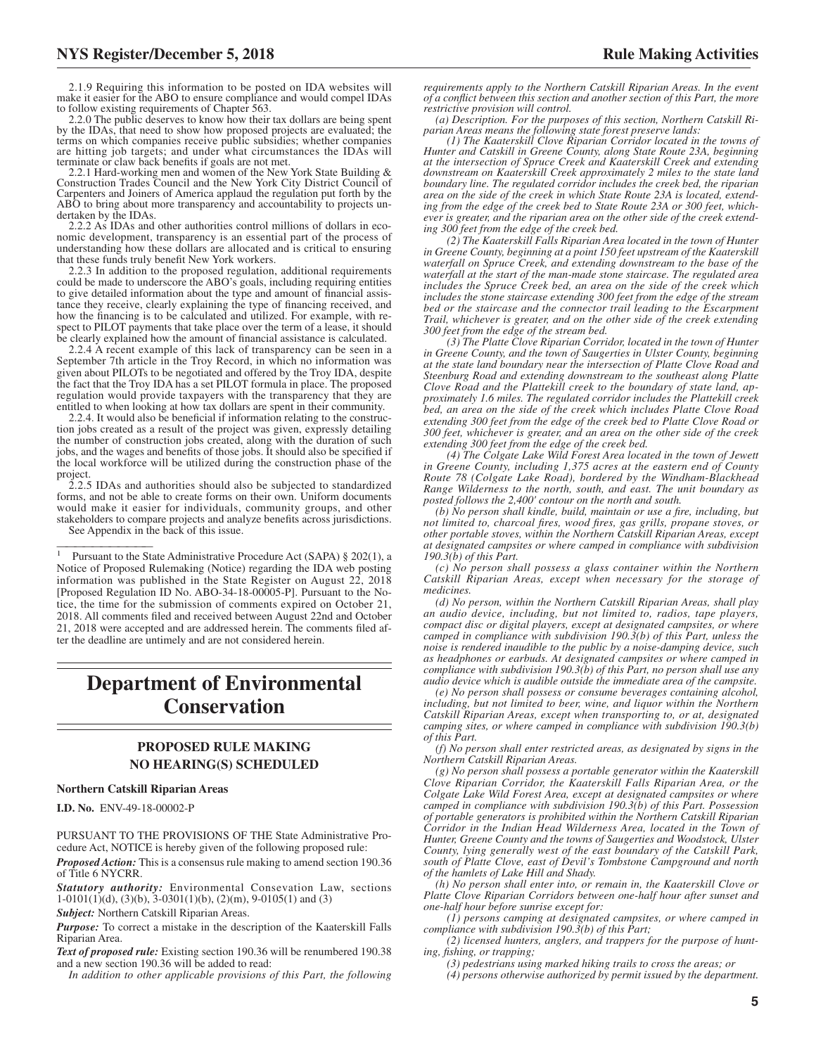2.1.9 Requiring this information to be posted on IDA websites will make it easier for the ABO to ensure compliance and would compel IDAs to follow existing requirements of Chapter 563.

2.2.0 The public deserves to know how their tax dollars are being spent by the IDAs, that need to show how proposed projects are evaluated; the terms on which companies receive public subsidies; whether companies are hitting job targets; and under what circumstances the IDAs will terminate or claw back benefits if goals are not met.

2.2.1 Hard-working men and women of the New York State Building & Construction Trades Council and the New York City District Council of Carpenters and Joiners of America applaud the regulation put forth by the ABO to bring about more transparency and accountability to projects undertaken by the IDAs.

2.2.2 As IDAs and other authorities control millions of dollars in economic development, transparency is an essential part of the process of understanding how these dollars are allocated and is critical to ensuring that these funds truly benefit New York workers.

2.2.3 In addition to the proposed regulation, additional requirements could be made to underscore the ABO's goals, including requiring entities to give detailed information about the type and amount of financial assistance they receive, clearly explaining the type of financing received, and how the financing is to be calculated and utilized. For example, with respect to PILOT payments that take place over the term of a lease, it should be clearly explained how the amount of financial assistance is calculated.

2.2.4 A recent example of this lack of transparency can be seen in a September 7th article in the Troy Record, in which no information was given about PILOTs to be negotiated and offered by the Troy IDA, despite the fact that the Troy IDA has a set PILOT formula in place. The proposed regulation would provide taxpayers with the transparency that they are entitled to when looking at how tax dollars are spent in their community.

2.2.4. It would also be beneficial if information relating to the construction jobs created as a result of the project was given, expressly detailing the number of construction jobs created, along with the duration of such jobs, and the wages and benefits of those jobs. It should also be specified if the local workforce will be utilized during the construction phase of the project.

2.2.5 IDAs and authorities should also be subjected to standardized forms, and not be able to create forms on their own. Uniform documents would make it easier for individuals, community groups, and other stakeholders to compare projects and analyze benefits across jurisdictions. See Appendix in the back of this issue.

<sup>1</sup> Pursuant to the State Administrative Procedure Act (SAPA) § 202(1), a Notice of Proposed Rulemaking (Notice) regarding the IDA web posting information was published in the State Register on August 22, 2018 [Proposed Regulation ID No. ABO-34-18-00005-P]. Pursuant to the Notice, the time for the submission of comments expired on October 21, 2018. All comments filed and received between August 22nd and October 21, 2018 were accepted and are addressed herein. The comments filed after the deadline are untimely and are not considered herein.

## **Department of Environmental Conservation**

#### **PROPOSED RULE MAKING NO HEARING(S) SCHEDULED**

#### **Northern Catskill Riparian Areas**

**I.D. No.** ENV-49-18-00002-P

PURSUANT TO THE PROVISIONS OF THE State Administrative Procedure Act, NOTICE is hereby given of the following proposed rule:

*Proposed Action:* This is a consensus rule making to amend section 190.36 of Title 6 NYCRR.

*Statutory authority:* Environmental Consevation Law, sections  $1-0101(1)(d)$ ,  $(3)(b)$ ,  $3-0301(1)(b)$ ,  $(2)(m)$ ,  $9-0105(1)$  and  $(3)$ 

*Subject:* Northern Catskill Riparian Areas.

*Purpose:* To correct a mistake in the description of the Kaaterskill Falls Riparian Area.

*Text of proposed rule:* Existing section 190.36 will be renumbered 190.38 and a new section 190.36 will be added to read:

*In addition to other applicable provisions of this Part, the following*

*requirements apply to the Northern Catskill Riparian Areas. In the event of a conflict between this section and another section of this Part, the more restrictive provision will control.*

*(a) Description. For the purposes of this section, Northern Catskill Ri-parian Areas means the following state forest preserve lands:*

*(1) The Kaaterskill Clove Riparian Corridor located in the towns of Hunter and Catskill in Greene County, along State Route 23A, beginning at the intersection of Spruce Creek and Kaaterskill Creek and extending downstream on Kaaterskill Creek approximately 2 miles to the state land boundary line. The regulated corridor includes the creek bed, the riparian area on the side of the creek in which State Route 23A is located, extending from the edge of the creek bed to State Route 23A or 300 feet, whichever is greater, and the riparian area on the other side of the creek extending 300 feet from the edge of the creek bed.*

*(2) The Kaaterskill Falls Riparian Area located in the town of Hunter in Greene County, beginning at a point 150 feet upstream of the Kaaterskill waterfall on Spruce Creek, and extending downstream to the base of the waterfall at the start of the man-made stone staircase. The regulated area includes the Spruce Creek bed, an area on the side of the creek which includes the stone staircase extending 300 feet from the edge of the stream bed or the staircase and the connector trail leading to the Escarpment Trail, whichever is greater, and on the other side of the creek extending 300 feet from the edge of the stream bed.*

*(3) The Platte Clove Riparian Corridor, located in the town of Hunter in Greene County, and the town of Saugerties in Ulster County, beginning at the state land boundary near the intersection of Platte Clove Road and Steenburg Road and extending downstream to the southeast along Platte Clove Road and the Plattekill creek to the boundary of state land, approximately 1.6 miles. The regulated corridor includes the Plattekill creek bed, an area on the side of the creek which includes Platte Clove Road extending 300 feet from the edge of the creek bed to Platte Clove Road or 300 feet, whichever is greater, and an area on the other side of the creek extending 300 feet from the edge of the creek bed.*

*(4) The Colgate Lake Wild Forest Area located in the town of Jewett in Greene County, including 1,375 acres at the eastern end of County Route 78 (Colgate Lake Road), bordered by the Windham-Blackhead Range Wilderness to the north, south, and east. The unit boundary as posted follows the 2,400' contour on the north and south.*

*(b) No person shall kindle, build, maintain or use a fire, including, but not limited to, charcoal fires, wood fires, gas grills, propane stoves, or other portable stoves, within the Northern Catskill Riparian Areas, except at designated campsites or where camped in compliance with subdivision 190.3(b) of this Part.*

*(c) No person shall possess a glass container within the Northern Catskill Riparian Areas, except when necessary for the storage of medicines.*

*(d) No person, within the Northern Catskill Riparian Areas, shall play an audio device, including, but not limited to, radios, tape players, compact disc or digital players, except at designated campsites, or where camped in compliance with subdivision 190.3(b) of this Part, unless the noise is rendered inaudible to the public by a noise-damping device, such as headphones or earbuds. At designated campsites or where camped in compliance with subdivision 190.3(b) of this Part, no person shall use any audio device which is audible outside the immediate area of the campsite.*

*(e) No person shall possess or consume beverages containing alcohol, including, but not limited to beer, wine, and liquor within the Northern Catskill Riparian Areas, except when transporting to, or at, designated camping sites, or where camped in compliance with subdivision 190.3(b) of this Part.*

*(f) No person shall enter restricted areas, as designated by signs in the Northern Catskill Riparian Areas.*

*(g) No person shall possess a portable generator within the Kaaterskill Clove Riparian Corridor, the Kaaterskill Falls Riparian Area, or the Colgate Lake Wild Forest Area, except at designated campsites or where camped in compliance with subdivision 190.3(b) of this Part. Possession of portable generators is prohibited within the Northern Catskill Riparian Corridor in the Indian Head Wilderness Area, located in the Town of Hunter, Greene County and the towns of Saugerties and Woodstock, Ulster County, lying generally west of the east boundary of the Catskill Park, south of Platte Clove, east of Devil's Tombstone Campground and north of the hamlets of Lake Hill and Shady.*

*(h) No person shall enter into, or remain in, the Kaaterskill Clove or Platte Clove Riparian Corridors between one-half hour after sunset and one-half hour before sunrise except for:*

*(1) persons camping at designated campsites, or where camped in compliance with subdivision 190.3(b) of this Part;*

*(2) licensed hunters, anglers, and trappers for the purpose of hunting, fishing, or trapping;*

*(3) pedestrians using marked hiking trails to cross the areas; or (4) persons otherwise authorized by permit issued by the department.*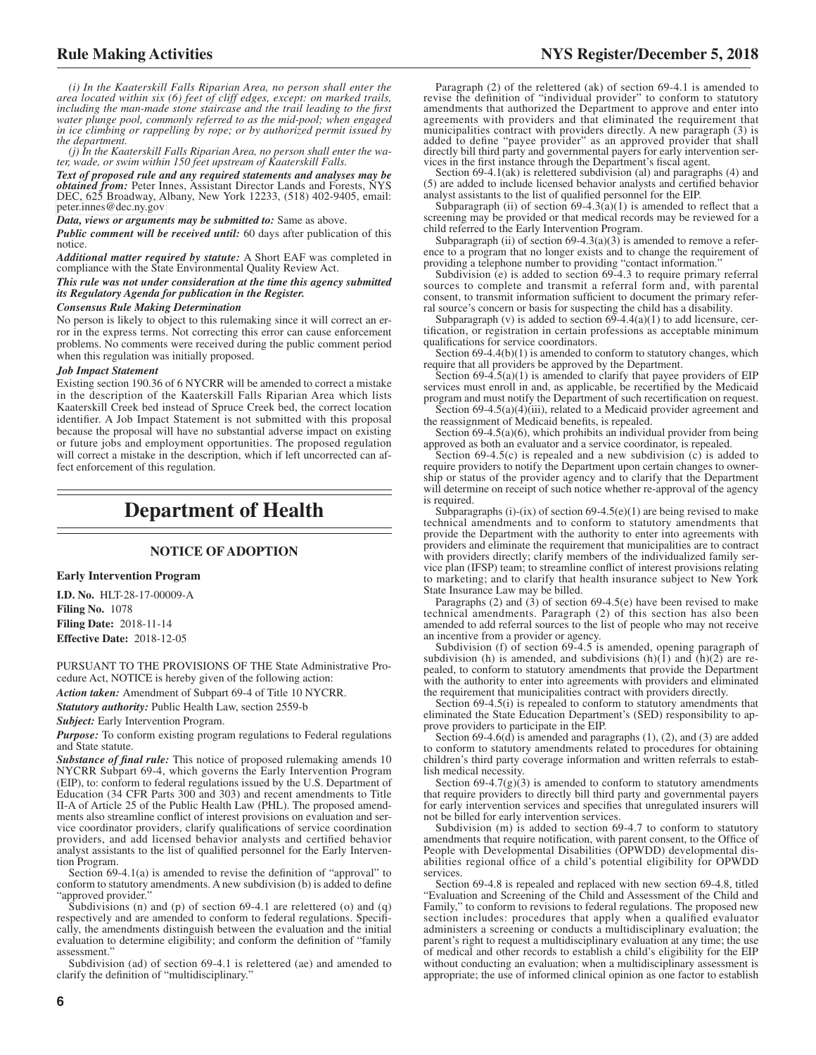*(i) In the Kaaterskill Falls Riparian Area, no person shall enter the area located within six (6) feet of cliff edges, except: on marked trails, including the man-made stone staircase and the trail leading to the first water plunge pool, commonly referred to as the mid-pool; when engaged in ice climbing or rappelling by rope; or by authorized permit issued by the department.*

*(j) In the Kaaterskill Falls Riparian Area, no person shall enter the water, wade, or swim within 150 feet upstream of Kaaterskill Falls.*

*Text of proposed rule and any required statements and analyses may be obtained from:* Peter Innes, Assistant Director Lands and Forests, NYS DEC, 625 Broadway, Albany, New York 12233, (518) 402-9405, email: [peter.innes@dec.ny.gov](mailto: peter.innes@dec.ny.gov)

*Data, views or arguments may be submitted to:* Same as above.

*Public comment will be received until:* 60 days after publication of this notice.

*Additional matter required by statute:* A Short EAF was completed in compliance with the State Environmental Quality Review Act.

*This rule was not under consideration at the time this agency submitted its Regulatory Agenda for publication in the Register.*

#### *Consensus Rule Making Determination*

No person is likely to object to this rulemaking since it will correct an error in the express terms. Not correcting this error can cause enforcement problems. No comments were received during the public comment period when this regulation was initially proposed.

#### *Job Impact Statement*

Existing section 190.36 of 6 NYCRR will be amended to correct a mistake in the description of the Kaaterskill Falls Riparian Area which lists Kaaterskill Creek bed instead of Spruce Creek bed, the correct location identifier. A Job Impact Statement is not submitted with this proposal because the proposal will have no substantial adverse impact on existing or future jobs and employment opportunities. The proposed regulation will correct a mistake in the description, which if left uncorrected can affect enforcement of this regulation.

## **Department of Health**

#### **NOTICE OF ADOPTION**

#### **Early Intervention Program**

**I.D. No.** HLT-28-17-00009-A **Filing No.** 1078 **Filing Date:** 2018-11-14 **Effective Date:** 2018-12-05

PURSUANT TO THE PROVISIONS OF THE State Administrative Procedure Act, NOTICE is hereby given of the following action:

*Action taken:* Amendment of Subpart 69-4 of Title 10 NYCRR.

*Statutory authority:* Public Health Law, section 2559-b

*Subject:* Early Intervention Program.

*Purpose:* To conform existing program regulations to Federal regulations and State statute.

*Substance of final rule:* This notice of proposed rulemaking amends 10 NYCRR Subpart 69-4, which governs the Early Intervention Program (EIP), to: conform to federal regulations issued by the U.S. Department of Education (34 CFR Parts 300 and 303) and recent amendments to Title II-A of Article 25 of the Public Health Law (PHL). The proposed amendments also streamline conflict of interest provisions on evaluation and service coordinator providers, clarify qualifications of service coordination providers, and add licensed behavior analysts and certified behavior analyst assistants to the list of qualified personnel for the Early Intervention Program.

Section 69-4.1(a) is amended to revise the definition of "approval" to conform to statutory amendments. A new subdivision (b) is added to define "approved provider."

Subdivisions (n) and (p) of section  $69-4.1$  are relettered (o) and (q) respectively and are amended to conform to federal regulations. Specifically, the amendments distinguish between the evaluation and the initial evaluation to determine eligibility; and conform the definition of "family assessment."

Subdivision (ad) of section 69-4.1 is relettered (ae) and amended to clarify the definition of "multidisciplinary."

Paragraph (2) of the relettered (ak) of section 69-4.1 is amended to<br>revise the definition of "individual provider" to conform to statutory<br>amendments that authorized the Department to approve and enter into<br>agreements wit municipalities contract with providers directly. A new paragraph (3) is added to define "payee provider" as an approved provider that shall directly bill third party and governmental payers for early intervention services in the first instance through the Department's fiscal agent.

Section 69-4.1(ak) is relettered subdivision (al) and paragraphs (4) and (5) are added to include licensed behavior analysts and certified behavior analyst assistants to the list of qualified personnel for the EIP.

Subparagraph (ii) of section  $69-4.3(a)(1)$  is amended to reflect that a screening may be provided or that medical records may be reviewed for a child referred to the Early Intervention Program.

Subparagraph (ii) of section  $69-4.3(a)(3)$  is amended to remove a reference to a program that no longer exists and to change the requirement of providing a telephone number to providing "contact information."

Subdivision (e) is added to section 69-4.3 to require primary referral sources to complete and transmit a referral form and, with parental consent, to transmit information sufficient to document the primary referral source's concern or basis for suspecting the child has a disability.

Subparagraph (v) is added to section  $69-4.4(a)(1)$  to add licensure, certification, or registration in certain professions as acceptable minimum qualifications for service coordinators.

Section 69-4.4(b)(1) is amended to conform to statutory changes, which require that all providers be approved by the Department.

Section  $69-4.5(a)(1)$  is amended to clarify that payee providers of EIP services must enroll in and, as applicable, be recertified by the Medicaid program and must notify the Department of such recertification on request.

Section 69-4.5(a)(4)(iii), related to a Medicaid provider agreement and the reassignment of Medicaid benefits, is repealed.

Section 69-4.5(a)(6), which prohibits an individual provider from being approved as both an evaluator and a service coordinator, is repealed.

Section  $69-4.5(c)$  is repealed and a new subdivision  $(c)$  is added to require providers to notify the Department upon certain changes to ownership or status of the provider agency and to clarify that the Department will determine on receipt of such notice whether re-approval of the agency is required.

Subparagraphs (i)-(ix) of section  $69-4.5(e)(1)$  are being revised to make technical amendments and to conform to statutory amendments that provide the Department with the authority to enter into agreements with providers and eliminate the requirement that municipalities are to contract with providers directly; clarify members of the individualized family service plan (IFSP) team; to streamline conflict of interest provisions relating to marketing; and to clarify that health insurance subject to New York State Insurance Law may be billed.

Paragraphs  $(2)$  and  $(3)$  of section 69-4.5(e) have been revised to make technical amendments. Paragraph (2) of this section has also been amended to add referral sources to the list of people who may not receive an incentive from a provider or agency.

Subdivision (f) of section 69-4.5 is amended, opening paragraph of subdivision (h) is amended, and subdivisions (h)(1) and  $(h)(2)$  are repealed, to conform to statutory amendments that provide the Department with the authority to enter into agreements with providers and eliminated the requirement that municipalities contract with providers directly.

Section 69-4.5(i) is repealed to conform to statutory amendments that eliminated the State Education Department's (SED) responsibility to approve providers to participate in the EIP.

Section  $69-4.6(d)$  is amended and paragraphs  $(1)$ ,  $(2)$ , and  $(3)$  are added to conform to statutory amendments related to procedures for obtaining children's third party coverage information and written referrals to establish medical necessity.

Section  $69-4.7(g)(3)$  is amended to conform to statutory amendments that require providers to directly bill third party and governmental payers for early intervention services and specifies that unregulated insurers will not be billed for early intervention services.

Subdivision (m) is added to section 69-4.7 to conform to statutory amendments that require notification, with parent consent, to the Office of People with Developmental Disabilities (OPWDD) developmental disabilities regional office of a child's potential eligibility for OPWDD services.

Section 69-4.8 is repealed and replaced with new section 69-4.8, titled "Evaluation and Screening of the Child and Assessment of the Child and Family," to conform to revisions to federal regulations. The proposed new section includes: procedures that apply when a qualified evaluator administers a screening or conducts a multidisciplinary evaluation; the parent's right to request a multidisciplinary evaluation at any time; the use of medical and other records to establish a child's eligibility for the EIP without conducting an evaluation; when a multidisciplinary assessment is appropriate; the use of informed clinical opinion as one factor to establish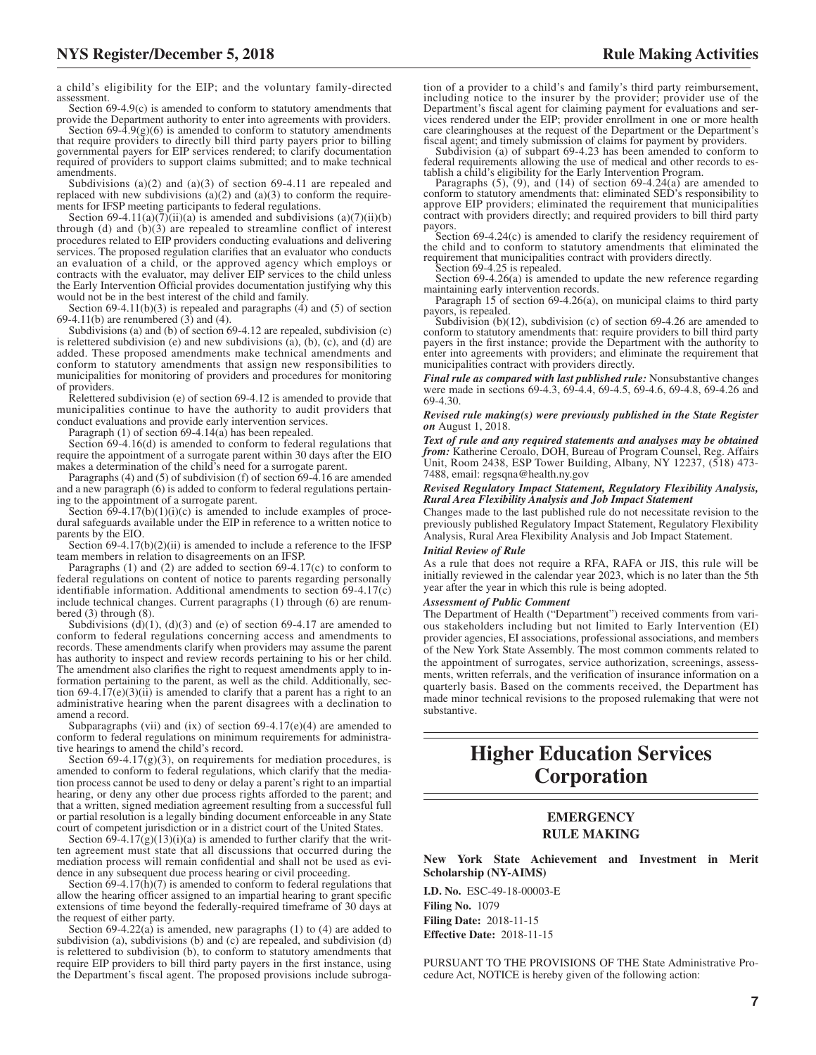a child's eligibility for the EIP; and the voluntary family-directed assessment.

Section 69-4.9(c) is amended to conform to statutory amendments that provide the Department authority to enter into agreements with providers. Section  $69-4.9(g)(6)$  is amended to conform to statutory amendments that require providers to directly bill third party payers prior to billing governmental payers for EIP services rendered; to clarify documentation

required of providers to support claims submitted; and to make technical amendments. Subdivisions (a)(2) and (a)(3) of section 69-4.11 are repealed and

replaced with new subdivisions  $(a)(2)$  and  $(a)(3)$  to conform the requirements for IFSP meeting participants to federal regulations.

Section 69-4.11(a)( $\overline{7}$ )(ii)(a) is amended and subdivisions (a)( $\overline{7}$ )(ii)(b) through (d) and  $(b)(3)$  are repealed to streamline conflict of interest procedures related to EIP providers conducting evaluations and delivering services. The proposed regulation clarifies that an evaluator who conducts an evaluation of a child, or the approved agency which employs or contracts with the evaluator, may deliver EIP services to the child unless the Early Intervention Official provides documentation justifying why this would not be in the best interest of the child and family.

Section  $69-4.11(b)(3)$  is repealed and paragraphs  $(4)$  and  $(5)$  of section 69-4.11(b) are renumbered  $(3)$  and  $(4)$ .

Subdivisions (a) and (b) of section 69-4.12 are repealed, subdivision (c) is relettered subdivision  $(e)$  and new subdivisions  $(a)$ ,  $(b)$ ,  $(c)$ , and  $(d)$  are added. These proposed amendments make technical amendments and conform to statutory amendments that assign new responsibilities to municipalities for monitoring of providers and procedures for monitoring of providers.

Relettered subdivision (e) of section 69-4.12 is amended to provide that municipalities continue to have the authority to audit providers that conduct evaluations and provide early intervention services.

Paragraph (1) of section 69-4.14(a) has been repealed.

Section 69-4.16(d) is amended to conform to federal regulations that require the appointment of a surrogate parent within 30 days after the EIO makes a determination of the child's need for a surrogate parent.

Paragraphs (4) and (5) of subdivision (f) of section 69-4.16 are amended and a new paragraph (6) is added to conform to federal regulations pertaining to the appointment of a surrogate parent.

Section  $69-4.17(b)(1)(i)(c)$  is amended to include examples of procedural safeguards available under the EIP in reference to a written notice to parents by the EIO.

Section  $69-4.17(b)(2)(ii)$  is amended to include a reference to the IFSP team members in relation to disagreements on an IFSP.

Paragraphs (1) and (2) are added to section 69-4.17(c) to conform to federal regulations on content of notice to parents regarding personally identifiable information. Additional amendments to section 69-4.17(c) include technical changes. Current paragraphs (1) through (6) are renumbered (3) through (8).

Subdivisions  $(d)(1)$ ,  $(d)(3)$  and  $(e)$  of section 69-4.17 are amended to conform to federal regulations concerning access and amendments to records. These amendments clarify when providers may assume the parent has authority to inspect and review records pertaining to his or her child. The amendment also clarifies the right to request amendments apply to information pertaining to the parent, as well as the child. Additionally, section 69-4.17(e)(3)(ii) is amended to clarify that a parent has a right to an administrative hearing when the parent disagrees with a declination to amend a record.

Subparagraphs (vii) and (ix) of section  $69-4.17(e)(4)$  are amended to conform to federal regulations on minimum requirements for administrative hearings to amend the child's record.

Section  $69-4.17(g)(3)$ , on requirements for mediation procedures, is amended to conform to federal regulations, which clarify that the mediation process cannot be used to deny or delay a parent's right to an impartial hearing, or deny any other due process rights afforded to the parent; and that a written, signed mediation agreement resulting from a successful full or partial resolution is a legally binding document enforceable in any State court of competent jurisdiction or in a district court of the United States.

Section  $69-4.17(g)(13)(i)(a)$  is amended to further clarify that the written agreement must state that all discussions that occurred during the mediation process will remain confidential and shall not be used as evidence in any subsequent due process hearing or civil proceeding.

Section 69-4.17(h)(7) is amended to conform to federal regulations that allow the hearing officer assigned to an impartial hearing to grant specific extensions of time beyond the federally-required timeframe of 30 days at the request of either party.

Section 69-4.22(a) is amended, new paragraphs (1) to (4) are added to subdivision (a), subdivisions (b) and (c) are repealed, and subdivision (d) is relettered to subdivision (b), to conform to statutory amendments that require EIP providers to bill third party payers in the first instance, using the Department's fiscal agent. The proposed provisions include subroga-

tion of a provider to a child's and family's third party reimbursement, including notice to the insurer by the provider; provider use of the Department's fiscal agent for claiming payment for evaluations and ser-vices rendered under the EIP; provider enrollment in one or more health care clearinghouses at the request of the Department or the Department's

fiscal agent; and timely submission of claims for payment by providers. Subdivision (a) of subpart 69-4.23 has been amended to conform to federal requirements allowing the use of medical and other records to es-tablish a child's eligibility for the Early Intervention Program.

Paragraphs  $(5)$ ,  $(9)$ , and  $(14)$  of section  $69-4.24(a)$  are amended to conform to statutory amendments that: eliminated SED's responsibility to approve EIP providers; eliminated the requirement that municipalities contract with providers directly; and required providers to bill third party payors.

Section  $69-4.24(c)$  is amended to clarify the residency requirement of the child and to conform to statutory amendments that eliminated the requirement that municipalities contract with providers directly.

Section 69-4.25 is repealed.

Section  $69-4.26(a)$  is amended to update the new reference regarding maintaining early intervention records. Paragraph 15 of section 69-4.26(a), on municipal claims to third party

payors, is repealed. Subdivision (b)(12), subdivision (c) of section 69-4.26 are amended to

conform to statutory amendments that: require providers to bill third party payers in the first instance; provide the Department with the authority to enter into agreements with providers; and eliminate the requirement that municipalities contract with providers directly.

*Final rule as compared with last published rule:* Nonsubstantive changes were made in sections 69-4.3, 69-4.4, 69-4.5, 69-4.6, 69-4.8, 69-4.26 and 69-4.30.

#### *Revised rule making(s) were previously published in the State Register on* August 1, 2018.

*Text of rule and any required statements and analyses may be obtained from:* Katherine Ceroalo, DOH, Bureau of Program Counsel, Reg. Affairs Unit, Room 2438, ESP Tower Building, Albany, NY 12237, (518) 473- 7488, email: regsqna@health.ny.gov

#### *Revised Regulatory Impact Statement, Regulatory Flexibility Analysis, Rural Area Flexibility Analysis and Job Impact Statement*

Changes made to the last published rule do not necessitate revision to the previously published Regulatory Impact Statement, Regulatory Flexibility Analysis, Rural Area Flexibility Analysis and Job Impact Statement.

#### *Initial Review of Rule*

As a rule that does not require a RFA, RAFA or JIS, this rule will be initially reviewed in the calendar year 2023, which is no later than the 5th year after the year in which this rule is being adopted.

#### *Assessment of Public Comment*

The Department of Health ("Department") received comments from various stakeholders including but not limited to Early Intervention (EI) provider agencies, EI associations, professional associations, and members of the New York State Assembly. The most common comments related to the appointment of surrogates, service authorization, screenings, assessments, written referrals, and the verification of insurance information on a quarterly basis. Based on the comments received, the Department has made minor technical revisions to the proposed rulemaking that were not substantive.

## **Higher Education Services Corporation**

#### **EMERGENCY RULE MAKING**

**New York State Achievement and Investment in Merit Scholarship (NY-AIMS)**

**I.D. No.** ESC-49-18-00003-E **Filing No.** 1079 **Filing Date:** 2018-11-15 **Effective Date:** 2018-11-15

PURSUANT TO THE PROVISIONS OF THE State Administrative Procedure Act, NOTICE is hereby given of the following action: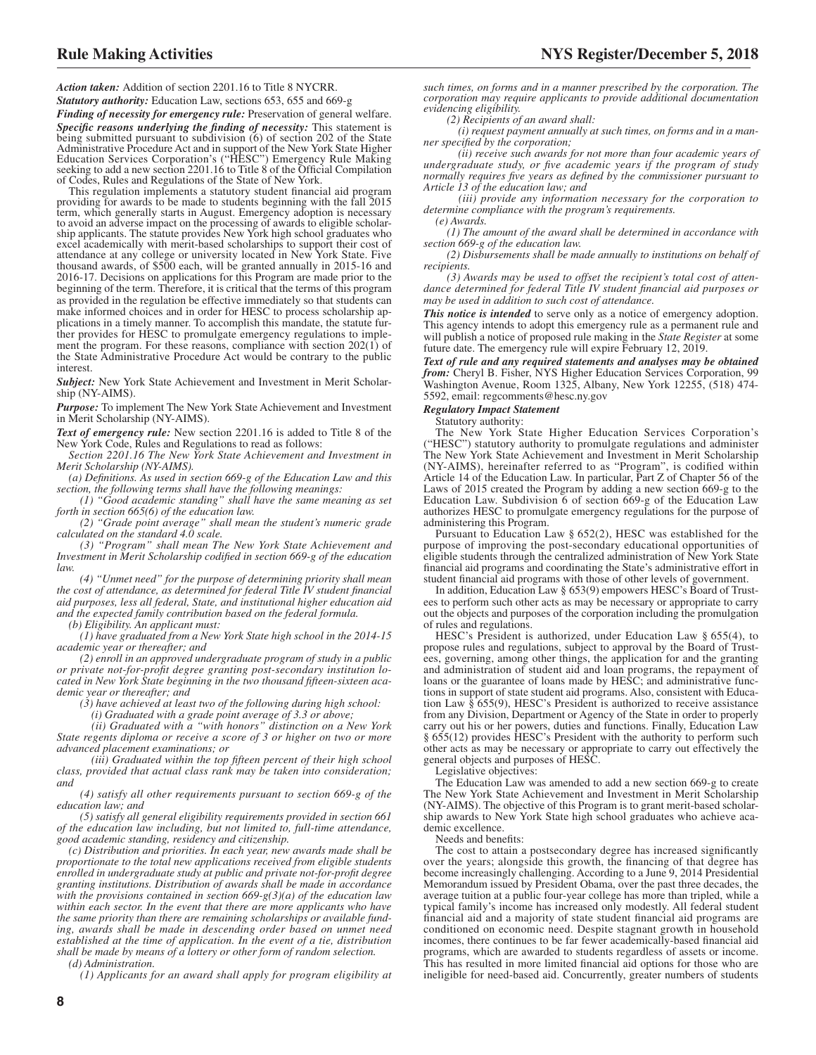*Action taken:* Addition of section 2201.16 to Title 8 NYCRR.

*Statutory authority:* Education Law, sections 653, 655 and 669-g

*Finding of necessity for emergency rule:* Preservation of general welfare. *Specific reasons underlying the finding of necessity:* This statement is being submitted pursuant to subdivision (6) of section 202 of the State Administrative Procedure Act and in support of the New York State Higher Education Services Corporation's ("HESC") Emergency Rule Making seeking to add a new section 2201.16 to Title 8 of the Official Compilation of Codes, Rules and Regulations of the State of New York.

This regulation implements a statutory student financial aid program providing for awards to be made to students beginning with the fall 2015 term, which generally starts in August. Emergency adoption is necessary to avoid an adverse impact on the processing of awards to eligible scholarship applicants. The statute provides New York high school graduates who excel academically with merit-based scholarships to support their cost of attendance at any college or university located in New York State. Five thousand awards, of \$500 each, will be granted annually in 2015-16 and 2016-17. Decisions on applications for this Program are made prior to the beginning of the term. Therefore, it is critical that the terms of this program as provided in the regulation be effective immediately so that students can make informed choices and in order for HESC to process scholarship applications in a timely manner. To accomplish this mandate, the statute further provides for HESC to promulgate emergency regulations to implement the program. For these reasons, compliance with section 202(1) of the State Administrative Procedure Act would be contrary to the public interest.

*Subject:* New York State Achievement and Investment in Merit Scholarship (NY-AIMS).

*Purpose:* To implement The New York State Achievement and Investment in Merit Scholarship (NY-AIMS).

*Text of emergency rule:* New section 2201.16 is added to Title 8 of the New York Code, Rules and Regulations to read as follows:

*Section 2201.16 The New York State Achievement and Investment in Merit Scholarship (NY-AIMS).*

*(a) Definitions. As used in section 669-g of the Education Law and this section, the following terms shall have the following meanings:*

*(1) "Good academic standing" shall have the same meaning as set forth in section 665(6) of the education law.*

*(2) "Grade point average" shall mean the student's numeric grade calculated on the standard 4.0 scale.*

*(3) "Program" shall mean The New York State Achievement and Investment in Merit Scholarship codified in section 669-g of the education law.*

*(4) "Unmet need" for the purpose of determining priority shall mean the cost of attendance, as determined for federal Title IV student financial aid purposes, less all federal, State, and institutional higher education aid and the expected family contribution based on the federal formula.*

*(b) Eligibility. An applicant must:*

*(1) have graduated from a New York State high school in the 2014-15 academic year or thereafter; and*

*(2) enroll in an approved undergraduate program of study in a public or private not-for-profit degree granting post-secondary institution located in New York State beginning in the two thousand fifteen-sixteen academic year or thereafter; and*

*(3) have achieved at least two of the following during high school:*

*(i) Graduated with a grade point average of 3.3 or above;*

*(ii) Graduated with a "with honors" distinction on a New York State regents diploma or receive a score of 3 or higher on two or more advanced placement examinations; or*

*(iii) Graduated within the top fifteen percent of their high school class, provided that actual class rank may be taken into consideration; and*

*(4) satisfy all other requirements pursuant to section 669-g of the education law; and*

*(5) satisfy all general eligibility requirements provided in section 661 of the education law including, but not limited to, full-time attendance, good academic standing, residency and citizenship.*

*(c) Distribution and priorities. In each year, new awards made shall be proportionate to the total new applications received from eligible students enrolled in undergraduate study at public and private not-for-profit degree granting institutions. Distribution of awards shall be made in accordance with the provisions contained in section 669-g(3)(a) of the education law within each sector. In the event that there are more applicants who have the same priority than there are remaining scholarships or available funding, awards shall be made in descending order based on unmet need established at the time of application. In the event of a tie, distribution shall be made by means of a lottery or other form of random selection.*

*(d) Administration.*

*(1) Applicants for an award shall apply for program eligibility at*

*such times, on forms and in a manner prescribed by the corporation. The corporation may require applicants to provide additional documentation evidencing eligibility.*

*(2) Recipients of an award shall:*

*(i) request payment annually at such times, on forms and in a manner specified by the corporation;*

*(ii) receive such awards for not more than four academic years of undergraduate study, or five academic years if the program of study normally requires five years as defined by the commissioner pursuant to Article 13 of the education law; and*

*(iii) provide any information necessary for the corporation to determine compliance with the program's requirements. (e) Awards.*

*(1) The amount of the award shall be determined in accordance with section 669-g of the education law.*

*(2) Disbursements shall be made annually to institutions on behalf of recipients.*

*(3) Awards may be used to offset the recipient's total cost of attendance determined for federal Title IV student financial aid purposes or may be used in addition to such cost of attendance.*

**This notice is intended** to serve only as a notice of emergency adoption. This agency intends to adopt this emergency rule as a permanent rule and will publish a notice of proposed rule making in the *State Register* at some future date. The emergency rule will expire February 12, 2019.

*Text of rule and any required statements and analyses may be obtained from:* Cheryl B. Fisher, NYS Higher Education Services Corporation, 99 Washington Avenue, Room 1325, Albany, New York 12255, (518) 474- 5592, email: regcomments@hesc.ny.gov

#### *Regulatory Impact Statement*

Statutory authority:

The New York State Higher Education Services Corporation's ("HESC") statutory authority to promulgate regulations and administer The New York State Achievement and Investment in Merit Scholarship (NY-AIMS), hereinafter referred to as "Program", is codified within Article 14 of the Education Law. In particular, Part Z of Chapter 56 of the Laws of 2015 created the Program by adding a new section 669-g to the Education Law. Subdivision 6 of section 669-g of the Education Law authorizes HESC to promulgate emergency regulations for the purpose of administering this Program.

Pursuant to Education Law § 652(2), HESC was established for the purpose of improving the post-secondary educational opportunities of eligible students through the centralized administration of New York State financial aid programs and coordinating the State's administrative effort in student financial aid programs with those of other levels of government.

In addition, Education Law § 653(9) empowers HESC's Board of Trustees to perform such other acts as may be necessary or appropriate to carry out the objects and purposes of the corporation including the promulgation of rules and regulations.

HESC's President is authorized, under Education Law § 655(4), to propose rules and regulations, subject to approval by the Board of Trustees, governing, among other things, the application for and the granting and administration of student aid and loan programs, the repayment of loans or the guarantee of loans made by HESC; and administrative functions in support of state student aid programs. Also, consistent with Education Law § 655(9), HESC's President is authorized to receive assistance from any Division, Department or Agency of the State in order to properly carry out his or her powers, duties and functions. Finally, Education Law § 655(12) provides HESC's President with the authority to perform such other acts as may be necessary or appropriate to carry out effectively the general objects and purposes of HESC.

Legislative objectives:

The Education Law was amended to add a new section 669-g to create The New York State Achievement and Investment in Merit Scholarship (NY-AIMS). The objective of this Program is to grant merit-based scholarship awards to New York State high school graduates who achieve academic excellence.

Needs and benefits:

The cost to attain a postsecondary degree has increased significantly over the years; alongside this growth, the financing of that degree has become increasingly challenging. According to a June 9, 2014 Presidential Memorandum issued by President Obama, over the past three decades, the average tuition at a public four-year college has more than tripled, while a typical family's income has increased only modestly. All federal student financial aid and a majority of state student financial aid programs are conditioned on economic need. Despite stagnant growth in household incomes, there continues to be far fewer academically-based financial aid programs, which are awarded to students regardless of assets or income. This has resulted in more limited financial aid options for those who are ineligible for need-based aid. Concurrently, greater numbers of students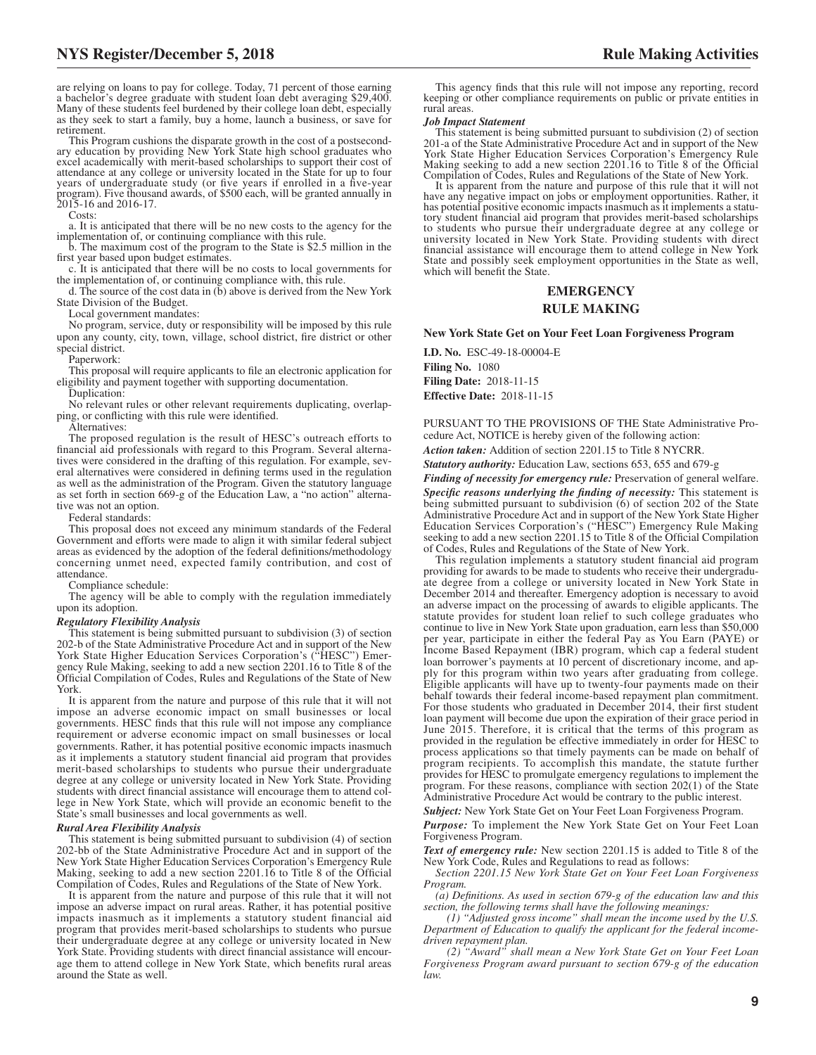are relying on loans to pay for college. Today, 71 percent of those earning a bachelor's degree graduate with student loan debt averaging \$29,400. Many of these students feel burdened by their college loan debt, especially as they seek to start a family, buy a home, launch a business, or save for retirement.

This Program cushions the disparate growth in the cost of a postsecond-ary education by providing New York State high school graduates who excel academically with merit-based scholarships to support their cost of attendance at any college or university located in the State for up to four years of undergraduate study (or five years if enrolled in a five-year program). Five thousand awards, of \$500 each, will be granted annually in 2015-16 and 2016-17.

Costs:

a. It is anticipated that there will be no new costs to the agency for the implementation of, or continuing compliance with this rule.

b. The maximum cost of the program to the State is \$2.5 million in the first year based upon budget estimates.

c. It is anticipated that there will be no costs to local governments for the implementation of, or continuing compliance with, this rule.

d. The source of the cost data in  $(b)$  above is derived from the New York State Division of the Budget.

Local government mandates:

No program, service, duty or responsibility will be imposed by this rule upon any county, city, town, village, school district, fire district or other special district.

Paperwork:

This proposal will require applicants to file an electronic application for eligibility and payment together with supporting documentation.

Duplication:

No relevant rules or other relevant requirements duplicating, overlapping, or conflicting with this rule were identified.

Alternatives:

The proposed regulation is the result of HESC's outreach efforts to financial aid professionals with regard to this Program. Several alternatives were considered in the drafting of this regulation. For example, several alternatives were considered in defining terms used in the regulation as well as the administration of the Program. Given the statutory language as set forth in section 669-g of the Education Law, a "no action" alternative was not an option.

Federal standards:

This proposal does not exceed any minimum standards of the Federal Government and efforts were made to align it with similar federal subject areas as evidenced by the adoption of the federal definitions/methodology concerning unmet need, expected family contribution, and cost of attendance.

Compliance schedule:

The agency will be able to comply with the regulation immediately upon its adoption.

#### *Regulatory Flexibility Analysis*

This statement is being submitted pursuant to subdivision (3) of section 202-b of the State Administrative Procedure Act and in support of the New York State Higher Education Services Corporation's ("HESC") Emergency Rule Making, seeking to add a new section 2201.16 to Title 8 of the Official Compilation of Codes, Rules and Regulations of the State of New York.

It is apparent from the nature and purpose of this rule that it will not impose an adverse economic impact on small businesses or local governments. HESC finds that this rule will not impose any compliance requirement or adverse economic impact on small businesses or local governments. Rather, it has potential positive economic impacts inasmuch as it implements a statutory student financial aid program that provides merit-based scholarships to students who pursue their undergraduate degree at any college or university located in New York State. Providing students with direct financial assistance will encourage them to attend college in New York State, which will provide an economic benefit to the State's small businesses and local governments as well.

#### *Rural Area Flexibility Analysis*

This statement is being submitted pursuant to subdivision (4) of section 202-bb of the State Administrative Procedure Act and in support of the New York State Higher Education Services Corporation's Emergency Rule Making, seeking to add a new section 2201.16 to Title 8 of the Official Compilation of Codes, Rules and Regulations of the State of New York.

It is apparent from the nature and purpose of this rule that it will not impose an adverse impact on rural areas. Rather, it has potential positive impacts inasmuch as it implements a statutory student financial aid program that provides merit-based scholarships to students who pursue their undergraduate degree at any college or university located in New York State. Providing students with direct financial assistance will encourage them to attend college in New York State, which benefits rural areas around the State as well.

This agency finds that this rule will not impose any reporting, record keeping or other compliance requirements on public or private entities in rural areas.

#### *Job Impact Statement*

This statement is being submitted pursuant to subdivision (2) of section 201-a of the State Administrative Procedure Act and in support of the New York State Higher Education Services Corporation's Emergency Rule Making seeking to add a new section 2201.16 to Title 8 of the Official Compilation of Codes, Rules and Regulations of the State of New York.

It is apparent from the nature and purpose of this rule that it will not have any negative impact on jobs or employment opportunities. Rather, it has potential positive economic impacts inasmuch as it implements a statutory student financial aid program that provides merit-based scholarships to students who pursue their undergraduate degree at any college or university located in New York State. Providing students with direct financial assistance will encourage them to attend college in New York State and possibly seek employment opportunities in the State as well, which will benefit the State.

#### **EMERGENCY RULE MAKING**

#### **New York State Get on Your Feet Loan Forgiveness Program**

**I.D. No.** ESC-49-18-00004-E **Filing No.** 1080 **Filing Date:** 2018-11-15 **Effective Date:** 2018-11-15

PURSUANT TO THE PROVISIONS OF THE State Administrative Procedure Act, NOTICE is hereby given of the following action:

*Action taken:* Addition of section 2201.15 to Title 8 NYCRR.

*Statutory authority:* Education Law, sections 653, 655 and 679-g

*Finding of necessity for emergency rule:* Preservation of general welfare. *Specific reasons underlying the finding of necessity:* This statement is being submitted pursuant to subdivision (6) of section 202 of the State Administrative Procedure Act and in support of the New York State Higher Education Services Corporation's ("HESC") Emergency Rule Making seeking to add a new section 2201.15 to Title 8 of the Official Compilation of Codes, Rules and Regulations of the State of New York.

This regulation implements a statutory student financial aid program providing for awards to be made to students who receive their undergraduate degree from a college or university located in New York State in December 2014 and thereafter. Emergency adoption is necessary to avoid an adverse impact on the processing of awards to eligible applicants. The statute provides for student loan relief to such college graduates who continue to live in New York State upon graduation, earn less than \$50,000 per year, participate in either the federal Pay as You Earn (PAYE) or Income Based Repayment (IBR) program, which cap a federal student loan borrower's payments at 10 percent of discretionary income, and apply for this program within two years after graduating from college. Eligible applicants will have up to twenty-four payments made on their behalf towards their federal income-based repayment plan commitment. For those students who graduated in December 2014, their first student loan payment will become due upon the expiration of their grace period in June 2015. Therefore, it is critical that the terms of this program as provided in the regulation be effective immediately in order for HESC to process applications so that timely payments can be made on behalf of program recipients. To accomplish this mandate, the statute further provides for HESC to promulgate emergency regulations to implement the program. For these reasons, compliance with section 202(1) of the State Administrative Procedure Act would be contrary to the public interest.

*Subject:* New York State Get on Your Feet Loan Forgiveness Program.

*Purpose:* To implement the New York State Get on Your Feet Loan Forgiveness Program.

*Text of emergency rule:* New section 2201.15 is added to Title 8 of the New York Code, Rules and Regulations to read as follows:

*Section 2201.15 New York State Get on Your Feet Loan Forgiveness Program.*

*(a) Definitions. As used in section 679-g of the education law and this section, the following terms shall have the following meanings:*

*(1) "Adjusted gross income" shall mean the income used by the U.S. Department of Education to qualify the applicant for the federal incomedriven repayment plan.*

*(2) "Award" shall mean a New York State Get on Your Feet Loan Forgiveness Program award pursuant to section 679-g of the education law.*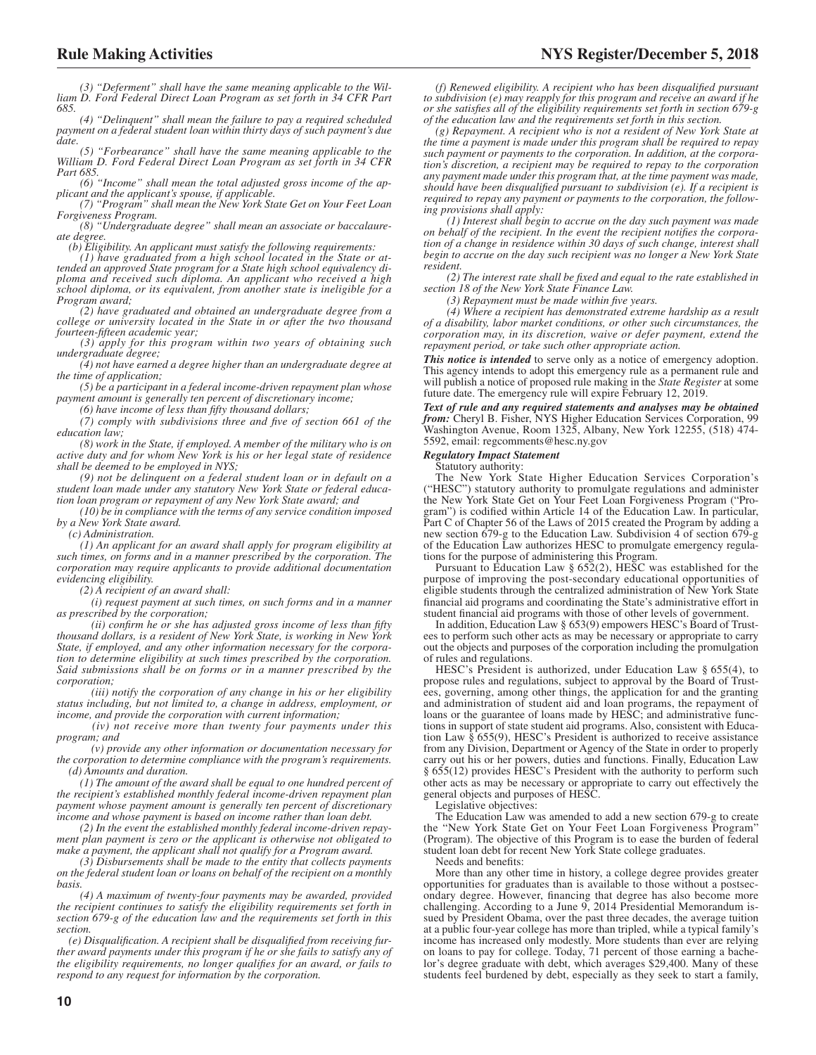*(3) "Deferment" shall have the same meaning applicable to the William D. Ford Federal Direct Loan Program as set forth in 34 CFR Part 685.*

*(4) "Delinquent" shall mean the failure to pay a required scheduled payment on a federal student loan within thirty days of such payment's due date.*

*(5) "Forbearance" shall have the same meaning applicable to the William D. Ford Federal Direct Loan Program as set forth in 34 CFR Part 685.*

*(6) "Income" shall mean the total adjusted gross income of the applicant and the applicant's spouse, if applicable. (7) "Program" shall mean the New York State Get on Your Feet Loan*

*Forgiveness Program.*

*(8) "Undergraduate degree" shall mean an associate or baccalaureate degree.*

*(b) Eligibility. An applicant must satisfy the following requirements: (1) have graduated from a high school located in the State or at-*

*tended an approved State program for a State high school equivalency di-ploma and received such diploma. An applicant who received a high school diploma, or its equivalent, from another state is ineligible for a Program award;*

*(2) have graduated and obtained an undergraduate degree from a college or university located in the State in or after the two thousand fourteen-fifteen academic year;*

*(3) apply for this program within two years of obtaining such undergraduate degree;*

*(4) not have earned a degree higher than an undergraduate degree at the time of application;*

*(5) be a participant in a federal income-driven repayment plan whose payment amount is generally ten percent of discretionary income;*

*(6) have income of less than fifty thousand dollars;*

*(7) comply with subdivisions three and five of section 661 of the education law;*

*(8) work in the State, if employed. A member of the military who is on active duty and for whom New York is his or her legal state of residence shall be deemed to be employed in NYS;*

*(9) not be delinquent on a federal student loan or in default on a student loan made under any statutory New York State or federal education loan program or repayment of any New York State award; and*

*(10) be in compliance with the terms of any service condition imposed by a New York State award.*

*(c) Administration.*

*(1) An applicant for an award shall apply for program eligibility at such times, on forms and in a manner prescribed by the corporation. The corporation may require applicants to provide additional documentation evidencing eligibility.*

*(2) A recipient of an award shall:*

*(i) request payment at such times, on such forms and in a manner as prescribed by the corporation;*

*(ii) confirm he or she has adjusted gross income of less than fifty thousand dollars, is a resident of New York State, is working in New York State, if employed, and any other information necessary for the corporation to determine eligibility at such times prescribed by the corporation. Said submissions shall be on forms or in a manner prescribed by the corporation;*

*(iii) notify the corporation of any change in his or her eligibility status including, but not limited to, a change in address, employment, or income, and provide the corporation with current information;*

*(iv) not receive more than twenty four payments under this program; and*

*(v) provide any other information or documentation necessary for the corporation to determine compliance with the program's requirements. (d) Amounts and duration.*

*(1) The amount of the award shall be equal to one hundred percent of the recipient's established monthly federal income-driven repayment plan payment whose payment amount is generally ten percent of discretionary income and whose payment is based on income rather than loan debt.*

*(2) In the event the established monthly federal income-driven repayment plan payment is zero or the applicant is otherwise not obligated to make a payment, the applicant shall not qualify for a Program award.*

*(3) Disbursements shall be made to the entity that collects payments on the federal student loan or loans on behalf of the recipient on a monthly basis.*

*(4) A maximum of twenty-four payments may be awarded, provided the recipient continues to satisfy the eligibility requirements set forth in section 679-g of the education law and the requirements set forth in this section.*

*(e) Disqualification. A recipient shall be disqualified from receiving further award payments under this program if he or she fails to satisfy any of the eligibility requirements, no longer qualifies for an award, or fails to respond to any request for information by the corporation.*

*(f) Renewed eligibility. A recipient who has been disqualified pursuant to subdivision (e) may reapply for this program and receive an award if he or she satisfies all of the eligibility requirements set forth in section 679-g of the education law and the requirements set forth in this section.*

*(g) Repayment. A recipient who is not a resident of New York State at the time a payment is made under this program shall be required to repay such payment or payments to the corporation. In addition, at the corporation's discretion, a recipient may be required to repay to the corporation any payment made under this program that, at the time payment was made, should have been disqualified pursuant to subdivision (e). If a recipient is required to repay any payment or payments to the corporation, the following provisions shall apply:*

*(1) Interest shall begin to accrue on the day such payment was made on behalf of the recipient. In the event the recipient notifies the corporation of a change in residence within 30 days of such change, interest shall begin to accrue on the day such recipient was no longer a New York State resident.*

*(2) The interest rate shall be fixed and equal to the rate established in section 18 of the New York State Finance Law.*

*(3) Repayment must be made within five years.*

*(4) Where a recipient has demonstrated extreme hardship as a result of a disability, labor market conditions, or other such circumstances, the corporation may, in its discretion, waive or defer payment, extend the repayment period, or take such other appropriate action.*

*This notice is intended* to serve only as a notice of emergency adoption. This agency intends to adopt this emergency rule as a permanent rule and will publish a notice of proposed rule making in the *State Register* at some future date. The emergency rule will expire February 12, 2019.

*Text of rule and any required statements and analyses may be obtained from:* Cheryl B. Fisher, NYS Higher Education Services Corporation, 99 Washington Avenue, Room 1325, Albany, New York 12255, (518) 474- 5592, email: regcomments@hesc.ny.gov

#### *Regulatory Impact Statement*

Statutory authority:

The New York State Higher Education Services Corporation's ("HESC") statutory authority to promulgate regulations and administer the New York State Get on Your Feet Loan Forgiveness Program ("Program") is codified within Article 14 of the Education Law. In particular, Part C of Chapter 56 of the Laws of 2015 created the Program by adding a new section 679-g to the Education Law. Subdivision 4 of section 679-g of the Education Law authorizes HESC to promulgate emergency regulations for the purpose of administering this Program.

Pursuant to Education Law § 652(2), HESC was established for the purpose of improving the post-secondary educational opportunities of eligible students through the centralized administration of New York State financial aid programs and coordinating the State's administrative effort in student financial aid programs with those of other levels of government.

In addition, Education Law § 653(9) empowers HESC's Board of Trustees to perform such other acts as may be necessary or appropriate to carry out the objects and purposes of the corporation including the promulgation of rules and regulations.

HESC's President is authorized, under Education Law § 655(4), to propose rules and regulations, subject to approval by the Board of Trustees, governing, among other things, the application for and the granting and administration of student aid and loan programs, the repayment of loans or the guarantee of loans made by HESC; and administrative functions in support of state student aid programs. Also, consistent with Education Law § 655(9), HESC's President is authorized to receive assistance from any Division, Department or Agency of the State in order to properly carry out his or her powers, duties and functions. Finally, Education Law § 655(12) provides HESC's President with the authority to perform such other acts as may be necessary or appropriate to carry out effectively the general objects and purposes of HESC.

Legislative objectives:

The Education Law was amended to add a new section 679-g to create the "New York State Get on Your Feet Loan Forgiveness Program" (Program). The objective of this Program is to ease the burden of federal student loan debt for recent New York State college graduates.

Needs and benefits:

More than any other time in history, a college degree provides greater opportunities for graduates than is available to those without a postsecondary degree. However, financing that degree has also become more challenging. According to a June 9, 2014 Presidential Memorandum issued by President Obama, over the past three decades, the average tuition at a public four-year college has more than tripled, while a typical family's income has increased only modestly. More students than ever are relying on loans to pay for college. Today, 71 percent of those earning a bachelor's degree graduate with debt, which averages \$29,400. Many of these students feel burdened by debt, especially as they seek to start a family,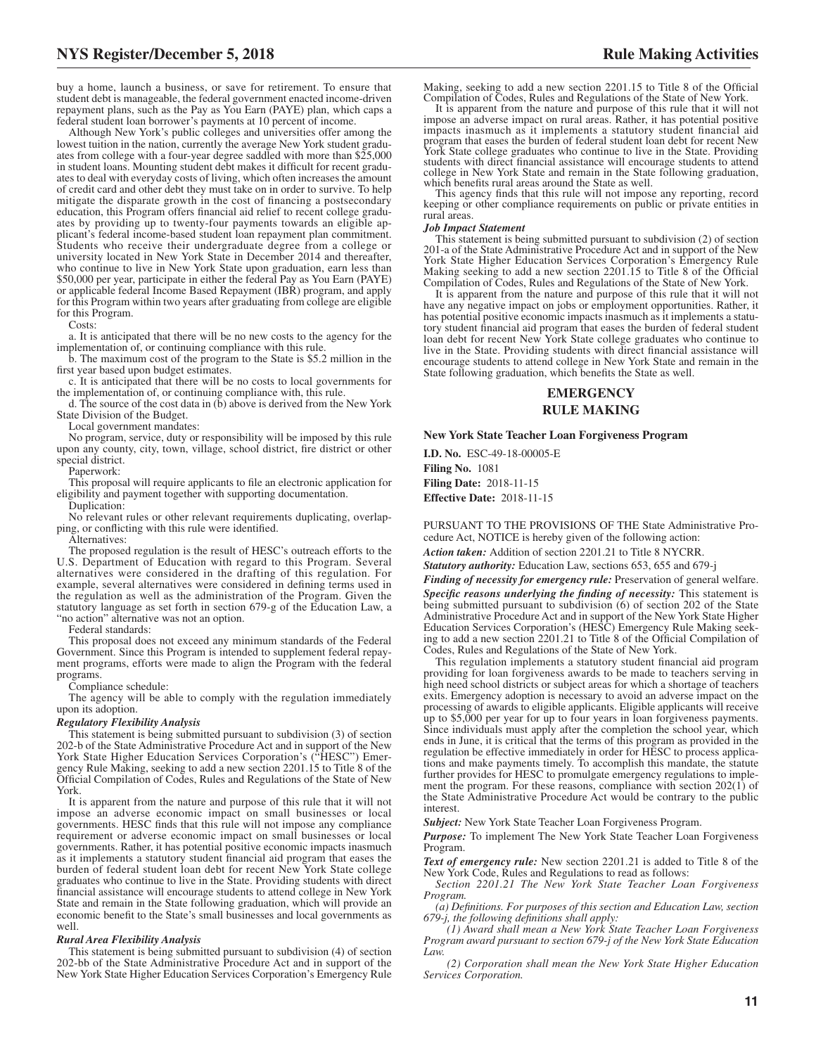buy a home, launch a business, or save for retirement. To ensure that student debt is manageable, the federal government enacted income-driven repayment plans, such as the Pay as You Earn (PAYE) plan, which caps a federal student loan borrower's payments at 10 percent of income.

Although New York's public colleges and universities offer among the lowest tuition in the nation, currently the average New York student graduates from college with a four-year degree saddled with more than \$25,000 in student loans. Mounting student debt makes it difficult for recent graduates to deal with everyday costs of living, which often increases the amount of credit card and other debt they must take on in order to survive. To help mitigate the disparate growth in the cost of financing a postsecondary education, this Program offers financial aid relief to recent college graduates by providing up to twenty-four payments towards an eligible applicant's federal income-based student loan repayment plan commitment. Students who receive their undergraduate degree from a college or university located in New York State in December 2014 and thereafter, who continue to live in New York State upon graduation, earn less than \$50,000 per year, participate in either the federal Pay as You Earn (PAYE) or applicable federal Income Based Repayment (IBR) program, and apply for this Program within two years after graduating from college are eligible for this Program.

Costs:

a. It is anticipated that there will be no new costs to the agency for the implementation of, or continuing compliance with this rule.

b. The maximum cost of the program to the State is \$5.2 million in the first year based upon budget estimates.

c. It is anticipated that there will be no costs to local governments for the implementation of, or continuing compliance with, this rule.

d. The source of the cost data in  $(b)$  above is derived from the New York State Division of the Budget.

Local government mandates:

No program, service, duty or responsibility will be imposed by this rule upon any county, city, town, village, school district, fire district or other special district.

Paperwork:

This proposal will require applicants to file an electronic application for eligibility and payment together with supporting documentation.

Duplication:

No relevant rules or other relevant requirements duplicating, overlapping, or conflicting with this rule were identified.

Alternatives:

The proposed regulation is the result of HESC's outreach efforts to the U.S. Department of Education with regard to this Program. Several alternatives were considered in the drafting of this regulation. For example, several alternatives were considered in defining terms used in the regulation as well as the administration of the Program. Given the statutory language as set forth in section 679-g of the Education Law, a "no action" alternative was not an option.

Federal standards:

This proposal does not exceed any minimum standards of the Federal Government. Since this Program is intended to supplement federal repayment programs, efforts were made to align the Program with the federal programs.

Compliance schedule:

The agency will be able to comply with the regulation immediately upon its adoption.

#### *Regulatory Flexibility Analysis*

This statement is being submitted pursuant to subdivision (3) of section 202-b of the State Administrative Procedure Act and in support of the New York State Higher Education Services Corporation's ("HESC") Emergency Rule Making, seeking to add a new section 2201.15 to Title 8 of the Official Compilation of Codes, Rules and Regulations of the State of New York.

It is apparent from the nature and purpose of this rule that it will not impose an adverse economic impact on small businesses or local governments. HESC finds that this rule will not impose any compliance requirement or adverse economic impact on small businesses or local governments. Rather, it has potential positive economic impacts inasmuch as it implements a statutory student financial aid program that eases the burden of federal student loan debt for recent New York State college graduates who continue to live in the State. Providing students with direct financial assistance will encourage students to attend college in New York State and remain in the State following graduation, which will provide an economic benefit to the State's small businesses and local governments as well.

#### *Rural Area Flexibility Analysis*

This statement is being submitted pursuant to subdivision (4) of section 202-bb of the State Administrative Procedure Act and in support of the New York State Higher Education Services Corporation's Emergency Rule

Making, seeking to add a new section 2201.15 to Title 8 of the Official Compilation of Codes, Rules and Regulations of the State of New York.

It is apparent from the nature and purpose of this rule that it will not impose an adverse impact on rural areas. Rather, it has potential positive impacts inasmuch as it implements a statutory student financial aid program that eases the burden of federal student loan debt for recent New York State college graduates who continue to live in the State. Providing students with direct financial assistance will encourage students to attend college in New York State and remain in the State following graduation, which benefits rural areas around the State as well.

This agency finds that this rule will not impose any reporting, record keeping or other compliance requirements on public or private entities in rural areas.

#### *Job Impact Statement*

This statement is being submitted pursuant to subdivision (2) of section 201-a of the State Administrative Procedure Act and in support of the New York State Higher Education Services Corporation's Emergency Rule Making seeking to add a new section 2201.15 to Title 8 of the Official Compilation of Codes, Rules and Regulations of the State of New York.

It is apparent from the nature and purpose of this rule that it will not have any negative impact on jobs or employment opportunities. Rather, it has potential positive economic impacts inasmuch as it implements a statutory student financial aid program that eases the burden of federal student loan debt for recent New York State college graduates who continue to live in the State. Providing students with direct financial assistance will encourage students to attend college in New York State and remain in the State following graduation, which benefits the State as well.

#### **EMERGENCY RULE MAKING**

#### **New York State Teacher Loan Forgiveness Program**

**I.D. No.** ESC-49-18-00005-E **Filing No.** 1081 **Filing Date:** 2018-11-15 **Effective Date:** 2018-11-15

PURSUANT TO THE PROVISIONS OF THE State Administrative Procedure Act, NOTICE is hereby given of the following action:

*Action taken:* Addition of section 2201.21 to Title 8 NYCRR.

*Statutory authority:* Education Law, sections 653, 655 and 679-j

*Finding of necessity for emergency rule:* Preservation of general welfare. *Specific reasons underlying the finding of necessity:* This statement is being submitted pursuant to subdivision (6) of section 202 of the State Administrative Procedure Act and in support of the New York State Higher Education Services Corporation's (HESC) Emergency Rule Making seeking to add a new section 2201.21 to Title 8 of the Official Compilation of Codes, Rules and Regulations of the State of New York.

This regulation implements a statutory student financial aid program providing for loan forgiveness awards to be made to teachers serving in high need school districts or subject areas for which a shortage of teachers exits. Emergency adoption is necessary to avoid an adverse impact on the processing of awards to eligible applicants. Eligible applicants will receive up to \$5,000 per year for up to four years in loan forgiveness payments. Since individuals must apply after the completion the school year, which ends in June, it is critical that the terms of this program as provided in the regulation be effective immediately in order for HESC to process applications and make payments timely. To accomplish this mandate, the statute further provides for HESC to promulgate emergency regulations to implement the program. For these reasons, compliance with section 202(1) of the State Administrative Procedure Act would be contrary to the public interest

*Subject:* New York State Teacher Loan Forgiveness Program.

*Purpose:* To implement The New York State Teacher Loan Forgiveness Program.

*Text of emergency rule:* New section 2201.21 is added to Title 8 of the New York Code, Rules and Regulations to read as follows:

*Section 2201.21 The New York State Teacher Loan Forgiveness Program.*

*(a) Definitions. For purposes of this section and Education Law, section 679-j, the following definitions shall apply:*

*(1) Award shall mean a New York State Teacher Loan Forgiveness Program award pursuant to section 679-j of the New York State Education Law.*

*(2) Corporation shall mean the New York State Higher Education Services Corporation.*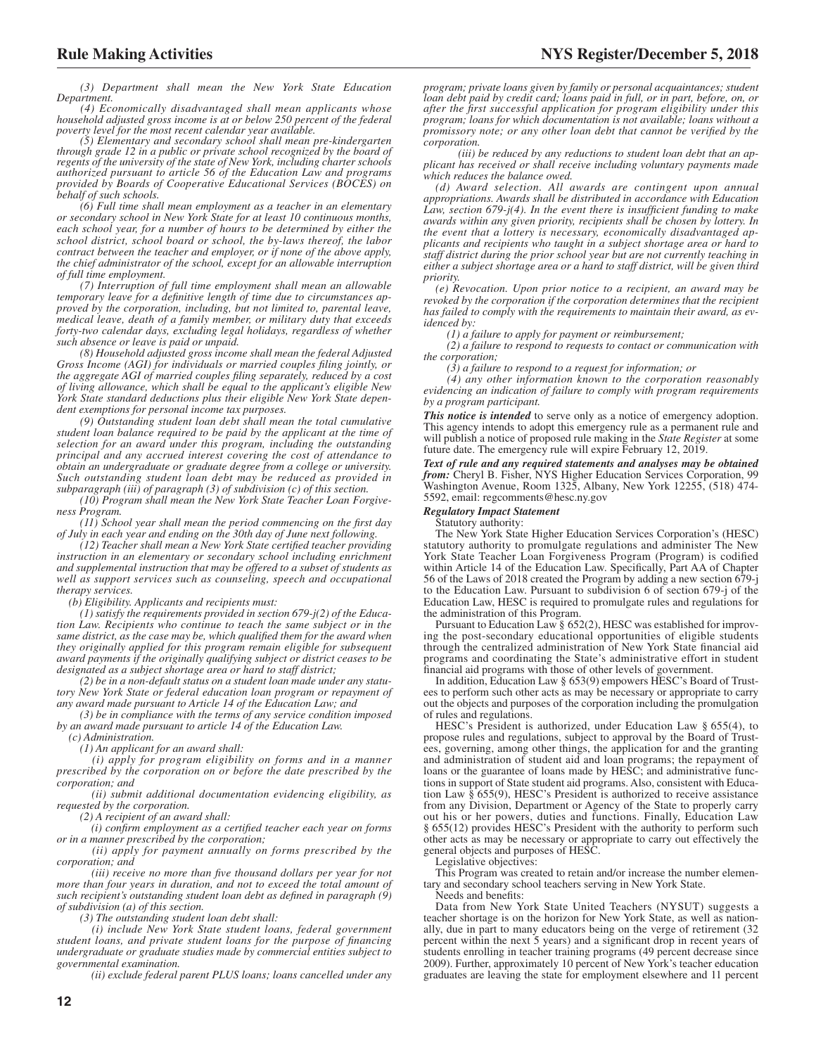*(3) Department shall mean the New York State Education Department.*

*(4) Economically disadvantaged shall mean applicants whose household adjusted gross income is at or below 250 percent of the federal poverty level for the most recent calendar year available.*

*(5) Elementary and secondary school shall mean pre-kindergarten through grade 12 in a public or private school recognized by the board of regents of the university of the state of New York, including charter schools authorized pursuant to article 56 of the Education Law and programs provided by Boards of Cooperative Educational Services (BOCES) on behalf of such schools.*

*(6) Full time shall mean employment as a teacher in an elementary or secondary school in New York State for at least 10 continuous months, each school year, for a number of hours to be determined by either the school district, school board or school, the by-laws thereof, the labor contract between the teacher and employer, or if none of the above apply, the chief administrator of the school, except for an allowable interruption of full time employment.*

*(7) Interruption of full time employment shall mean an allowable temporary leave for a definitive length of time due to circumstances approved by the corporation, including, but not limited to, parental leave, medical leave, death of a family member, or military duty that exceeds forty-two calendar days, excluding legal holidays, regardless of whether such absence or leave is paid or unpaid.*

*(8) Household adjusted gross income shall mean the federal Adjusted Gross Income (AGI) for individuals or married couples filing jointly, or the aggregate AGI of married couples filing separately, reduced by a cost of living allowance, which shall be equal to the applicant's eligible New York State standard deductions plus their eligible New York State dependent exemptions for personal income tax purposes.*

*(9) Outstanding student loan debt shall mean the total cumulative student loan balance required to be paid by the applicant at the time of selection for an award under this program, including the outstanding principal and any accrued interest covering the cost of attendance to obtain an undergraduate or graduate degree from a college or university. Such outstanding student loan debt may be reduced as provided in subparagraph (iii) of paragraph (3) of subdivision (c) of this section.*

*(10) Program shall mean the New York State Teacher Loan Forgiveness Program.*

*(11) School year shall mean the period commencing on the first day of July in each year and ending on the 30th day of June next following.*

*(12) Teacher shall mean a New York State certified teacher providing instruction in an elementary or secondary school including enrichment and supplemental instruction that may be offered to a subset of students as well as support services such as counseling, speech and occupational therapy services.*

*(b) Eligibility. Applicants and recipients must:*

*(1) satisfy the requirements provided in section 679-j(2) of the Education Law. Recipients who continue to teach the same subject or in the same district, as the case may be, which qualified them for the award when they originally applied for this program remain eligible for subsequent award payments if the originally qualifying subject or district ceases to be designated as a subject shortage area or hard to staff district;*

*(2) be in a non-default status on a student loan made under any statutory New York State or federal education loan program or repayment of any award made pursuant to Article 14 of the Education Law; and*

*(3) be in compliance with the terms of any service condition imposed by an award made pursuant to article 14 of the Education Law.*

*(c) Administration.*

*(1) An applicant for an award shall:*

*(i) apply for program eligibility on forms and in a manner prescribed by the corporation on or before the date prescribed by the corporation; and*

*(ii) submit additional documentation evidencing eligibility, as requested by the corporation.*

*(2) A recipient of an award shall:*

*(i) confirm employment as a certified teacher each year on forms or in a manner prescribed by the corporation;*

*(ii) apply for payment annually on forms prescribed by the corporation; and*

*(iii) receive no more than five thousand dollars per year for not more than four years in duration, and not to exceed the total amount of such recipient's outstanding student loan debt as defined in paragraph (9) of subdivision (a) of this section.*

*(3) The outstanding student loan debt shall:*

*(i) include New York State student loans, federal government student loans, and private student loans for the purpose of financing undergraduate or graduate studies made by commercial entities subject to governmental examination.*

*(ii) exclude federal parent PLUS loans; loans cancelled under any*

*program; private loans given by family or personal acquaintances; student loan debt paid by credit card; loans paid in full, or in part, before, on, or after the first successful application for program eligibility under this program; loans for which documentation is not available; loans without a promissory note; or any other loan debt that cannot be verified by the corporation.*

*(iii) be reduced by any reductions to student loan debt that an applicant has received or shall receive including voluntary payments made which reduces the balance owed.*

*(d) Award selection. All awards are contingent upon annual appropriations. Awards shall be distributed in accordance with Education Law, section 679-j(4). In the event there is insufficient funding to make awards within any given priority, recipients shall be chosen by lottery. In the event that a lottery is necessary, economically disadvantaged applicants and recipients who taught in a subject shortage area or hard to staff district during the prior school year but are not currently teaching in either a subject shortage area or a hard to staff district, will be given third priority.*

*(e) Revocation. Upon prior notice to a recipient, an award may be revoked by the corporation if the corporation determines that the recipient has failed to comply with the requirements to maintain their award, as evidenced by:*

*(1) a failure to apply for payment or reimbursement;*

*(2) a failure to respond to requests to contact or communication with the corporation;*

*(3) a failure to respond to a request for information; or*

*(4) any other information known to the corporation reasonably evidencing an indication of failure to comply with program requirements by a program participant.*

*This notice is intended* to serve only as a notice of emergency adoption. This agency intends to adopt this emergency rule as a permanent rule and will publish a notice of proposed rule making in the *State Register* at some future date. The emergency rule will expire February 12, 2019.

*Text of rule and any required statements and analyses may be obtained from:* Cheryl B. Fisher, NYS Higher Education Services Corporation, 99 Washington Avenue, Room 1325, Albany, New York 12255, (518) 474- 5592, email: regcomments@hesc.ny.gov

#### *Regulatory Impact Statement*

Statutory authority:

The New York State Higher Education Services Corporation's (HESC) statutory authority to promulgate regulations and administer The New York State Teacher Loan Forgiveness Program (Program) is codified within Article 14 of the Education Law. Specifically, Part AA of Chapter 56 of the Laws of 2018 created the Program by adding a new section 679-j to the Education Law. Pursuant to subdivision 6 of section 679-j of the Education Law, HESC is required to promulgate rules and regulations for the administration of this Program.

Pursuant to Education Law § 652(2), HESC was established for improving the post-secondary educational opportunities of eligible students through the centralized administration of New York State financial aid programs and coordinating the State's administrative effort in student financial aid programs with those of other levels of government.

In addition, Education Law § 653(9) empowers HESC's Board of Trustees to perform such other acts as may be necessary or appropriate to carry out the objects and purposes of the corporation including the promulgation of rules and regulations.

HESC's President is authorized, under Education Law § 655(4), to propose rules and regulations, subject to approval by the Board of Trustees, governing, among other things, the application for and the granting and administration of student aid and loan programs; the repayment of loans or the guarantee of loans made by HESC; and administrative functions in support of State student aid programs. Also, consistent with Education Law § 655(9), HESC's President is authorized to receive assistance from any Division, Department or Agency of the State to properly carry out his or her powers, duties and functions. Finally, Education Law § 655(12) provides HESC's President with the authority to perform such other acts as may be necessary or appropriate to carry out effectively the general objects and purposes of HESC.

Legislative objectives:

This Program was created to retain and/or increase the number elementary and secondary school teachers serving in New York State.

Needs and benefits:

Data from New York State United Teachers (NYSUT) suggests a teacher shortage is on the horizon for New York State, as well as nationally, due in part to many educators being on the verge of retirement (32 percent within the next 5 years) and a significant drop in recent years of students enrolling in teacher training programs (49 percent decrease since 2009). Further, approximately 10 percent of New York's teacher education graduates are leaving the state for employment elsewhere and 11 percent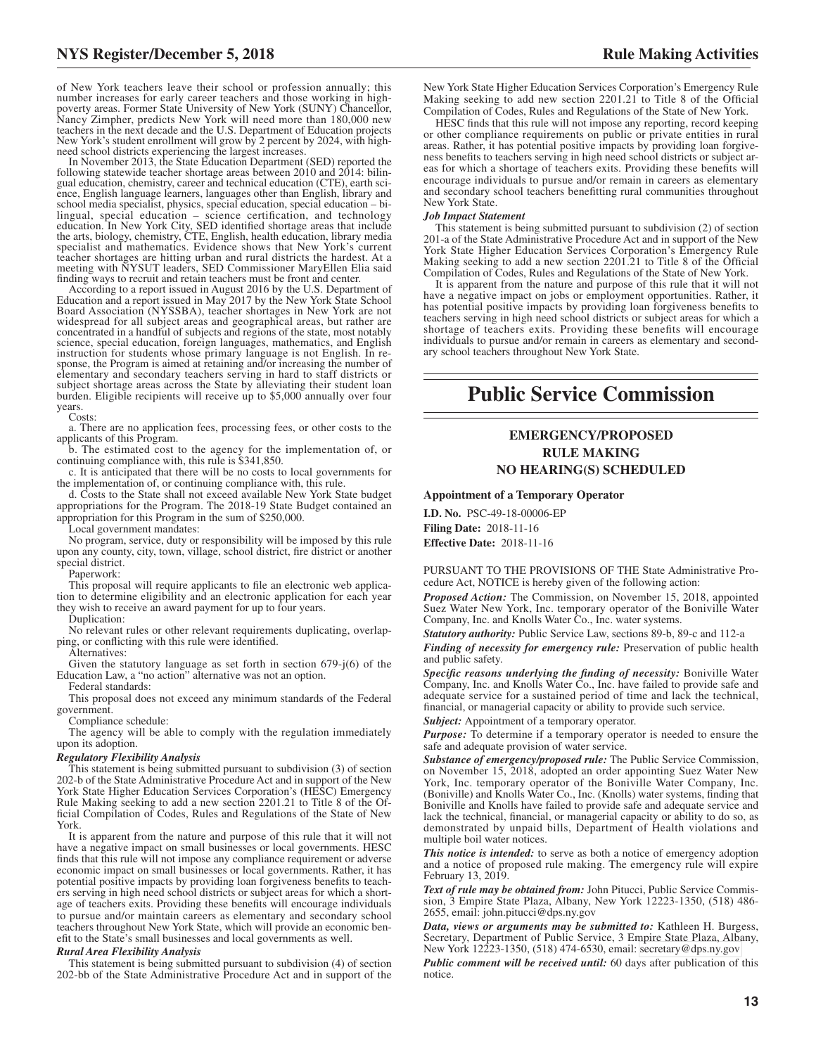of New York teachers leave their school or profession annually; this number increases for early career teachers and those working in highpoverty areas. Former State University of New York (SUNY) Chancellor, Nancy Zimpher, predicts New York will need more than 180,000 new teachers in the next decade and the U.S. Department of Education projects New York's student enrollment will grow by 2 percent by 2024, with high-need school districts experiencing the largest increases.

In November 2013, the State Education Department (SED) reported the following statewide teacher shortage areas between 2010 and 2014: bilingual education, chemistry, career and technical education (CTE), earth science, English language learners, languages other than English, library and school media specialist, physics, special education, special education – bi-lingual, special education – science certification, and technology education. In New York City, SED identified shortage areas that include the arts, biology, chemistry, CTE, English, health education, library media specialist and mathematics. Evidence shows that New York's current teacher shortages are hitting urban and rural districts the hardest. At a meeting with NYSUT leaders, SED Commissioner MaryEllen Elia said finding ways to recruit and retain teachers must be front and center.

According to a report issued in August 2016 by the U.S. Department of Education and a report issued in May 2017 by the New York State School Board Association (NYSSBA), teacher shortages in New York are not widespread for all subject areas and geographical areas, but rather are concentrated in a handful of subjects and regions of the state, most notably science, special education, foreign languages, mathematics, and English instruction for students whose primary language is not English. In response, the Program is aimed at retaining and/or increasing the number of elementary and secondary teachers serving in hard to staff districts or subject shortage areas across the State by alleviating their student loan burden. Eligible recipients will receive up to \$5,000 annually over four years.

Costs:

a. There are no application fees, processing fees, or other costs to the applicants of this Program.

b. The estimated cost to the agency for the implementation of, or continuing compliance with, this rule is \$341,850.

c. It is anticipated that there will be no costs to local governments for the implementation of, or continuing compliance with, this rule.

d. Costs to the State shall not exceed available New York State budget appropriations for the Program. The 2018-19 State Budget contained an appropriation for this Program in the sum of \$250,000.

Local government mandates:

No program, service, duty or responsibility will be imposed by this rule upon any county, city, town, village, school district, fire district or another special district.

Paperwork:

This proposal will require applicants to file an electronic web application to determine eligibility and an electronic application for each year they wish to receive an award payment for up to four years.

Duplication:

No relevant rules or other relevant requirements duplicating, overlapping, or conflicting with this rule were identified.

Alternatives:

Given the statutory language as set forth in section 679-j(6) of the Education Law, a "no action" alternative was not an option. Federal standards:

This proposal does not exceed any minimum standards of the Federal government.

Compliance schedule:

The agency will be able to comply with the regulation immediately upon its adoption.

#### *Regulatory Flexibility Analysis*

This statement is being submitted pursuant to subdivision (3) of section 202-b of the State Administrative Procedure Act and in support of the New York State Higher Education Services Corporation's (HÉSC) Emergency Rule Making seeking to add a new section 2201.21 to Title 8 of the Official Compilation of Codes, Rules and Regulations of the State of New York.

It is apparent from the nature and purpose of this rule that it will not have a negative impact on small businesses or local governments. HESC finds that this rule will not impose any compliance requirement or adverse economic impact on small businesses or local governments. Rather, it has potential positive impacts by providing loan forgiveness benefits to teachers serving in high need school districts or subject areas for which a shortage of teachers exits. Providing these benefits will encourage individuals to pursue and/or maintain careers as elementary and secondary school teachers throughout New York State, which will provide an economic benefit to the State's small businesses and local governments as well.

#### *Rural Area Flexibility Analysis*

This statement is being submitted pursuant to subdivision (4) of section 202-bb of the State Administrative Procedure Act and in support of the

New York State Higher Education Services Corporation's Emergency Rule Making seeking to add new section 2201.21 to Title 8 of the Official Compilation of Codes, Rules and Regulations of the State of New York.

HESC finds that this rule will not impose any reporting, record keeping or other compliance requirements on public or private entities in rural areas. Rather, it has potential positive impacts by providing loan forgiveness benefits to teachers serving in high need school districts or subject areas for which a shortage of teachers exits. Providing these benefits will encourage individuals to pursue and/or remain in careers as elementary and secondary school teachers benefitting rural communities throughout New York State.

#### *Job Impact Statement*

This statement is being submitted pursuant to subdivision (2) of section 201-a of the State Administrative Procedure Act and in support of the New York State Higher Education Services Corporation's Emergency Rule Making seeking to add a new section 2201.21 to Title 8 of the Official Compilation of Codes, Rules and Regulations of the State of New York.

It is apparent from the nature and purpose of this rule that it will not have a negative impact on jobs or employment opportunities. Rather, it has potential positive impacts by providing loan forgiveness benefits to teachers serving in high need school districts or subject areas for which a shortage of teachers exits. Providing these benefits will encourage individuals to pursue and/or remain in careers as elementary and secondary school teachers throughout New York State.

## **Public Service Commission**

#### **EMERGENCY/PROPOSED RULE MAKING NO HEARING(S) SCHEDULED**

#### **Appointment of a Temporary Operator**

**I.D. No.** PSC-49-18-00006-EP **Filing Date:** 2018-11-16 **Effective Date:** 2018-11-16

PURSUANT TO THE PROVISIONS OF THE State Administrative Procedure Act, NOTICE is hereby given of the following action:

*Proposed Action:* The Commission, on November 15, 2018, appointed Suez Water New York, Inc. temporary operator of the Boniville Water Company, Inc. and Knolls Water Co., Inc. water systems.

*Statutory authority:* Public Service Law, sections 89-b, 89-c and 112-a

*Finding of necessity for emergency rule:* Preservation of public health and public safety.

*Specific reasons underlying the finding of necessity:* Boniville Water Company, Inc. and Knolls Water Co., Inc. have failed to provide safe and adequate service for a sustained period of time and lack the technical, financial, or managerial capacity or ability to provide such service.

*Subject:* Appointment of a temporary operator.

*Purpose:* To determine if a temporary operator is needed to ensure the safe and adequate provision of water service.

*Substance of emergency/proposed rule:* The Public Service Commission, on November 15, 2018, adopted an order appointing Suez Water New York, Inc. temporary operator of the Boniville Water Company, Inc. (Boniville) and Knolls Water Co., Inc. (Knolls) water systems, finding that Boniville and Knolls have failed to provide safe and adequate service and lack the technical, financial, or managerial capacity or ability to do so, as demonstrated by unpaid bills, Department of Health violations and multiple boil water notices.

*This notice is intended:* to serve as both a notice of emergency adoption and a notice of proposed rule making. The emergency rule will expire February 13, 2019.

*Text of rule may be obtained from:* John Pitucci, Public Service Commission, 3 Empire State Plaza, Albany, New York 12223-1350, (518) 486- 2655, email: john.pitucci@dps.ny.gov

*Data, views or arguments may be submitted to:* Kathleen H. Burgess, Secretary, Department of Public Service, 3 Empire State Plaza, Albany, New York 12223-1350, (518) 474-6530, email: [secretary@dps.ny.gov](mailto: secretary@dps.ny.gov)

*Public comment will be received until:* 60 days after publication of this notice.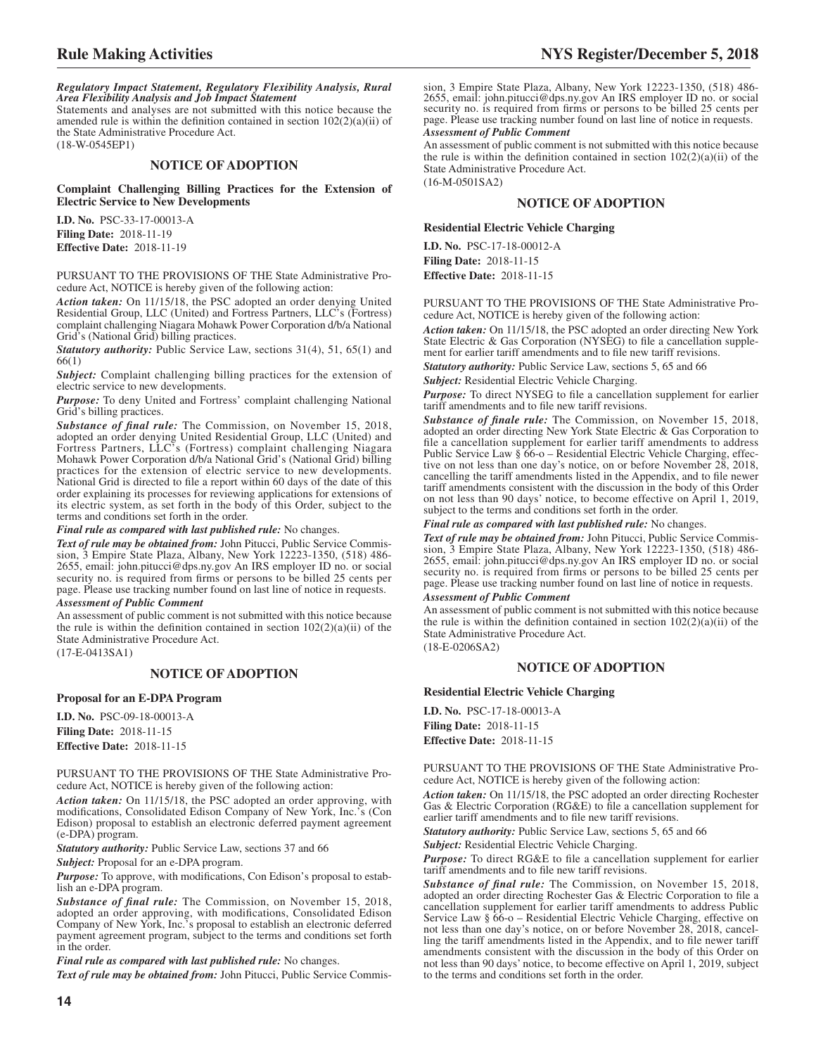*Regulatory Impact Statement, Regulatory Flexibility Analysis, Rural Area Flexibility Analysis and Job Impact Statement*

Statements and analyses are not submitted with this notice because the amended rule is within the definition contained in section  $102(2)(a)(ii)$  of the State Administrative Procedure Act.

(18-W-0545EP1)

#### **NOTICE OF ADOPTION**

**Complaint Challenging Billing Practices for the Extension of Electric Service to New Developments**

**I.D. No.** PSC-33-17-00013-A **Filing Date:** 2018-11-19 **Effective Date:** 2018-11-19

PURSUANT TO THE PROVISIONS OF THE State Administrative Procedure Act, NOTICE is hereby given of the following action:

*Action taken:* On 11/15/18, the PSC adopted an order denying United Residential Group, LLC (United) and Fortress Partners, LLC's (Fortress) complaint challenging Niagara Mohawk Power Corporation d/b/a National Grid's (National Grid) billing practices.

*Statutory authority:* Public Service Law, sections 31(4), 51, 65(1) and 66(1)

*Subject:* Complaint challenging billing practices for the extension of electric service to new developments.

*Purpose:* To deny United and Fortress' complaint challenging National Grid's billing practices.

*Substance of final rule:* The Commission, on November 15, 2018, adopted an order denying United Residential Group, LLC (United) and Fortress Partners, LLC's (Fortress) complaint challenging Niagara Mohawk Power Corporation d/b/a National Grid's (National Grid) billing practices for the extension of electric service to new developments. National Grid is directed to file a report within 60 days of the date of this order explaining its processes for reviewing applications for extensions of its electric system, as set forth in the body of this Order, subject to the terms and conditions set forth in the order.

#### *Final rule as compared with last published rule:* No changes.

*Text of rule may be obtained from:* John Pitucci, Public Service Commission, 3 Empire State Plaza, Albany, New York 12223-1350, (518) 486- 2655, email: john.pitucci@dps.ny.gov An IRS employer ID no. or social security no. is required from firms or persons to be billed 25 cents per page. Please use tracking number found on last line of notice in requests.

*Assessment of Public Comment*

An assessment of public comment is not submitted with this notice because the rule is within the definition contained in section  $102(2)(a)(ii)$  of the State Administrative Procedure Act.

(17-E-0413SA1)

#### **NOTICE OF ADOPTION**

#### **Proposal for an E-DPA Program**

**I.D. No.** PSC-09-18-00013-A **Filing Date:** 2018-11-15 **Effective Date:** 2018-11-15

PURSUANT TO THE PROVISIONS OF THE State Administrative Procedure Act, NOTICE is hereby given of the following action:

*Action taken:* On 11/15/18, the PSC adopted an order approving, with modifications, Consolidated Edison Company of New York, Inc.'s (Con Edison) proposal to establish an electronic deferred payment agreement (e-DPA) program.

*Statutory authority:* Public Service Law, sections 37 and 66

*Subject:* Proposal for an e-DPA program.

*Purpose:* To approve, with modifications, Con Edison's proposal to establish an e-DPA program.

*Substance of final rule:* The Commission, on November 15, 2018, adopted an order approving, with modifications, Consolidated Edison Company of New York, Inc.'s proposal to establish an electronic deferred payment agreement program, subject to the terms and conditions set forth in the order.

*Final rule as compared with last published rule:* No changes. *Text of rule may be obtained from:* John Pitucci, Public Service Commis-

**Rule Making Activities NYS Register/December 5, 2018**

sion, 3 Empire State Plaza, Albany, New York 12223-1350, (518) 486- 2655, email: john.pitucci@dps.ny.gov An IRS employer ID no. or social security no. is required from firms or persons to be billed 25 cents per page. Please use tracking number found on last line of notice in requests.

#### *Assessment of Public Comment*

An assessment of public comment is not submitted with this notice because the rule is within the definition contained in section  $102(2)(a)(ii)$  of the State Administrative Procedure Act. (16-M-0501SA2)

#### **NOTICE OF ADOPTION**

#### **Residential Electric Vehicle Charging**

**I.D. No.** PSC-17-18-00012-A **Filing Date:** 2018-11-15 **Effective Date:** 2018-11-15

PURSUANT TO THE PROVISIONS OF THE State Administrative Procedure Act, NOTICE is hereby given of the following action:

*Action taken:* On 11/15/18, the PSC adopted an order directing New York State Electric & Gas Corporation (NYSEG) to file a cancellation supplement for earlier tariff amendments and to file new tariff revisions.

*Statutory authority:* Public Service Law, sections 5, 65 and 66

*Subject:* Residential Electric Vehicle Charging.

*Purpose:* To direct NYSEG to file a cancellation supplement for earlier tariff amendments and to file new tariff revisions.

*Substance of finale rule:* The Commission, on November 15, 2018, adopted an order directing New York State Electric & Gas Corporation to file a cancellation supplement for earlier tariff amendments to address Public Service Law  $\frac{5}{6}$  66-o – Residential Electric Vehicle Charging, effective on not less than one day's notice, on or before November 28, 2018, cancelling the tariff amendments listed in the Appendix, and to file newer tariff amendments consistent with the discussion in the body of this Order on not less than 90 days' notice, to become effective on April 1, 2019, subject to the terms and conditions set forth in the order.

#### *Final rule as compared with last published rule:* No changes.

*Text of rule may be obtained from:* John Pitucci, Public Service Commission, 3 Empire State Plaza, Albany, New York 12223-1350, (518) 486- 2655, email: john.pitucci@dps.ny.gov An IRS employer ID no. or social security no. is required from firms or persons to be billed 25 cents per page. Please use tracking number found on last line of notice in requests.

#### *Assessment of Public Comment*

An assessment of public comment is not submitted with this notice because the rule is within the definition contained in section  $102(2)(a)(ii)$  of the State Administrative Procedure Act.

(18-E-0206SA2)

#### **NOTICE OF ADOPTION**

#### **Residential Electric Vehicle Charging**

**I.D. No.** PSC-17-18-00013-A **Filing Date:** 2018-11-15 **Effective Date:** 2018-11-15

PURSUANT TO THE PROVISIONS OF THE State Administrative Procedure Act, NOTICE is hereby given of the following action:

*Action taken:* On 11/15/18, the PSC adopted an order directing Rochester Gas & Electric Corporation (RG&E) to file a cancellation supplement for earlier tariff amendments and to file new tariff revisions.

*Statutory authority:* Public Service Law, sections 5, 65 and 66

*Subject:* Residential Electric Vehicle Charging.

*Purpose:* To direct RG&E to file a cancellation supplement for earlier tariff amendments and to file new tariff revisions.

*Substance of final rule:* The Commission, on November 15, 2018, adopted an order directing Rochester Gas & Electric Corporation to file a cancellation supplement for earlier tariff amendments to address Public Service Law § 66-o – Residential Electric Vehicle Charging, effective on not less than one day's notice, on or before November 28, 2018, cancelling the tariff amendments listed in the Appendix, and to file newer tariff amendments consistent with the discussion in the body of this Order on not less than 90 days' notice, to become effective on April 1, 2019, subject to the terms and conditions set forth in the order.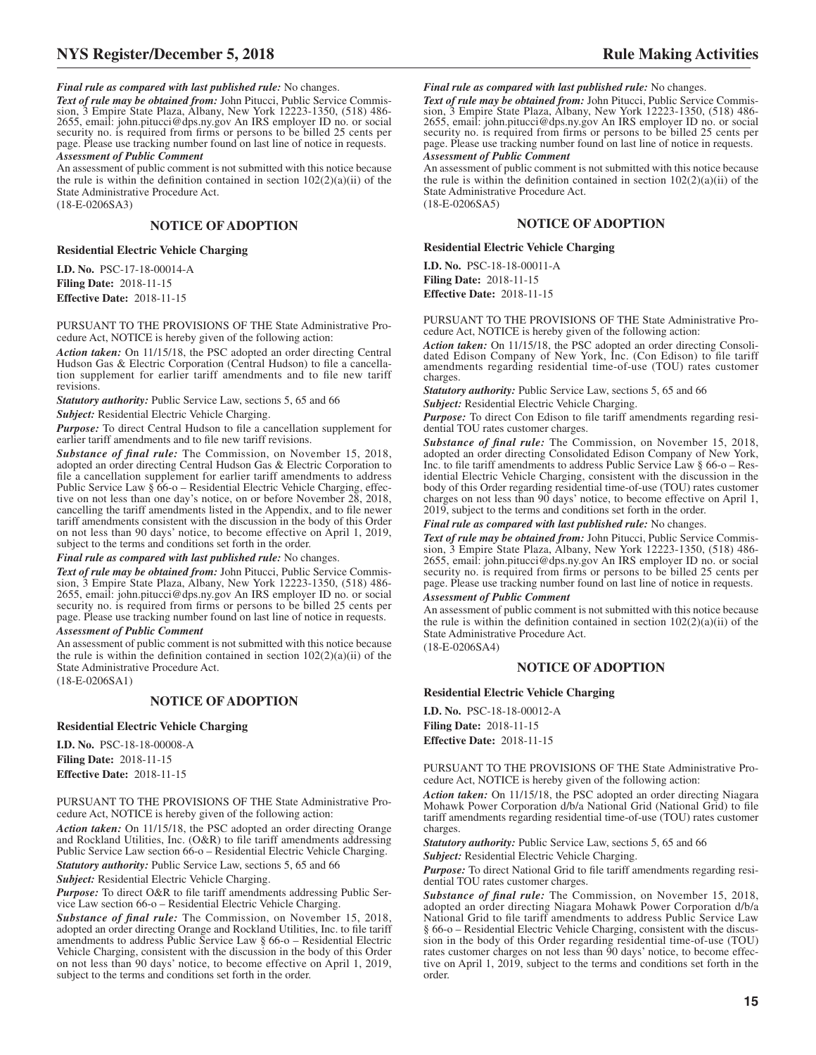*Final rule as compared with last published rule:* No changes.

*Text of rule may be obtained from:* John Pitucci, Public Service Commission, 3 Empire State Plaza, Albany, New York 12223-1350, (518) 486- 2655, email: john.pitucci@dps.ny.gov An IRS employer ID no. or social security no. is required from firms or persons to be billed 25 cents per page. Please use tracking number found on last line of notice in requests. *Assessment of Public Comment*

An assessment of public comment is not submitted with this notice because the rule is within the definition contained in section  $102(2)(a)(ii)$  of the State Administrative Procedure Act. (18-E-0206SA3)

#### **NOTICE OF ADOPTION**

#### **Residential Electric Vehicle Charging**

**I.D. No.** PSC-17-18-00014-A **Filing Date:** 2018-11-15 **Effective Date:** 2018-11-15

PURSUANT TO THE PROVISIONS OF THE State Administrative Procedure Act, NOTICE is hereby given of the following action:

*Action taken:* On 11/15/18, the PSC adopted an order directing Central Hudson Gas & Electric Corporation (Central Hudson) to file a cancellation supplement for earlier tariff amendments and to file new tariff revisions.

*Statutory authority:* Public Service Law, sections 5, 65 and 66

*Subject:* Residential Electric Vehicle Charging.

*Purpose:* To direct Central Hudson to file a cancellation supplement for earlier tariff amendments and to file new tariff revisions.

*Substance of final rule:* The Commission, on November 15, 2018, adopted an order directing Central Hudson Gas & Electric Corporation to file a cancellation supplement for earlier tariff amendments to address Public Service Law § 66-o – Residential Electric Vehicle Charging, effective on not less than one day's notice, on or before November 28, 2018, cancelling the tariff amendments listed in the Appendix, and to file newer tariff amendments consistent with the discussion in the body of this Order on not less than 90 days' notice, to become effective on April 1, 2019, subject to the terms and conditions set forth in the order.

*Final rule as compared with last published rule:* No changes.

*Text of rule may be obtained from:* John Pitucci, Public Service Commission, 3 Empire State Plaza, Albany, New York 12223-1350, (518) 486- 2655, email: john.pitucci@dps.ny.gov An IRS employer ID no. or social security no. is required from firms or persons to be billed 25 cents per page. Please use tracking number found on last line of notice in requests.

#### *Assessment of Public Comment*

An assessment of public comment is not submitted with this notice because the rule is within the definition contained in section  $102(2)(a)(ii)$  of the State Administrative Procedure Act.

(18-E-0206SA1)

#### **NOTICE OF ADOPTION**

#### **Residential Electric Vehicle Charging**

**I.D. No.** PSC-18-18-00008-A **Filing Date:** 2018-11-15 **Effective Date:** 2018-11-15

PURSUANT TO THE PROVISIONS OF THE State Administrative Procedure Act, NOTICE is hereby given of the following action:

*Action taken:* On 11/15/18, the PSC adopted an order directing Orange and Rockland Utilities, Inc. (O&R) to file tariff amendments addressing Public Service Law section 66-o – Residential Electric Vehicle Charging.

*Statutory authority:* Public Service Law, sections 5, 65 and 66

*Subject:* Residential Electric Vehicle Charging.

*Purpose:* To direct O&R to file tariff amendments addressing Public Service Law section 66-o – Residential Electric Vehicle Charging.

*Substance of final rule:* The Commission, on November 15, 2018, adopted an order directing Orange and Rockland Utilities, Inc. to file tariff amendments to address Public Service Law § 66-o – Residential Electric Vehicle Charging, consistent with the discussion in the body of this Order on not less than 90 days' notice, to become effective on April 1, 2019, subject to the terms and conditions set forth in the order.

*Final rule as compared with last published rule:* No changes.

*Text of rule may be obtained from:* John Pitucci, Public Service Commis-sion, 3 Empire State Plaza, Albany, New York 12223-1350, (518) 486- 2655, email: john.pitucci@dps.ny.gov An IRS employer ID no. or social security no. is required from firms or persons to be billed 25 cents per page. Please use tracking number found on last line of notice in requests. *Assessment of Public Comment*

An assessment of public comment is not submitted with this notice because the rule is within the definition contained in section  $102(2)(a)(ii)$  of the State Administrative Procedure Act. (18-E-0206SA5)

#### **NOTICE OF ADOPTION**

#### **Residential Electric Vehicle Charging**

**I.D. No.** PSC-18-18-00011-A **Filing Date:** 2018-11-15 **Effective Date:** 2018-11-15

PURSUANT TO THE PROVISIONS OF THE State Administrative Procedure Act, NOTICE is hereby given of the following action:

*Action taken:* On 11/15/18, the PSC adopted an order directing Consolidated Edison Company of New York, Inc. (Con Edison) to file tariff amendments regarding residential time-of-use (TOU) rates customer charges.

*Statutory authority:* Public Service Law, sections 5, 65 and 66

*Subject:* Residential Electric Vehicle Charging.

*Purpose:* To direct Con Edison to file tariff amendments regarding residential TOU rates customer charges.

*Substance of final rule:* The Commission, on November 15, 2018, adopted an order directing Consolidated Edison Company of New York, Inc. to file tariff amendments to address Public Service Law § 66-o – Residential Electric Vehicle Charging, consistent with the discussion in the body of this Order regarding residential time-of-use (TOU) rates customer charges on not less than 90 days' notice, to become effective on April 1, 2019, subject to the terms and conditions set forth in the order.

*Final rule as compared with last published rule:* No changes.

*Text of rule may be obtained from:* John Pitucci, Public Service Commission, 3 Empire State Plaza, Albany, New York 12223-1350, (518) 486- 2655, email: john.pitucci@dps.ny.gov An IRS employer ID no. or social security no. is required from firms or persons to be billed 25 cents per page. Please use tracking number found on last line of notice in requests.

#### *Assessment of Public Comment*

An assessment of public comment is not submitted with this notice because the rule is within the definition contained in section  $102(2)(a)(ii)$  of the State Administrative Procedure Act.

(18-E-0206SA4)

#### **NOTICE OF ADOPTION**

#### **Residential Electric Vehicle Charging**

**I.D. No.** PSC-18-18-00012-A **Filing Date:** 2018-11-15 **Effective Date:** 2018-11-15

PURSUANT TO THE PROVISIONS OF THE State Administrative Procedure Act, NOTICE is hereby given of the following action:

*Action taken:* On 11/15/18, the PSC adopted an order directing Niagara Mohawk Power Corporation d/b/a National Grid (National Grid) to file tariff amendments regarding residential time-of-use (TOU) rates customer charges.

*Statutory authority:* Public Service Law, sections 5, 65 and 66

*Subject:* Residential Electric Vehicle Charging.

*Purpose:* To direct National Grid to file tariff amendments regarding residential TOU rates customer charges.

*Substance of final rule:* The Commission, on November 15, 2018, adopted an order directing Niagara Mohawk Power Corporation d/b/a National Grid to file tariff amendments to address Public Service Law § 66-o – Residential Electric Vehicle Charging, consistent with the discussion in the body of this Order regarding residential time-of-use (TOU) rates customer charges on not less than 90 days' notice, to become effective on April 1, 2019, subject to the terms and conditions set forth in the order.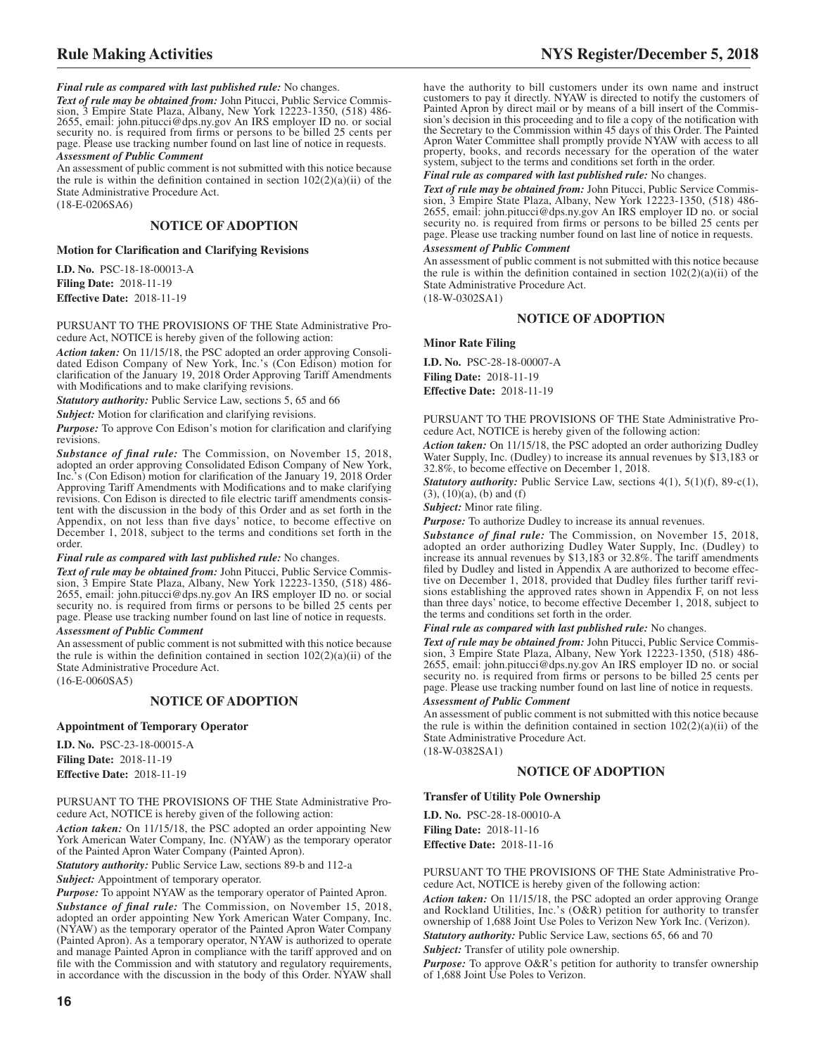*Final rule as compared with last published rule:* No changes.

*Text of rule may be obtained from:* John Pitucci, Public Service Commis-sion, 3 Empire State Plaza, Albany, New York 12223-1350, (518) 486- 2655, email: john.pitucci@dps.ny.gov An IRS employer ID no. or social security no. is required from firms or persons to be billed 25 cents per page. Please use tracking number found on last line of notice in requests. *Assessment of Public Comment*

An assessment of public comment is not submitted with this notice because the rule is within the definition contained in section  $102(2)(a)(ii)$  of the State Administrative Procedure Act. (18-E-0206SA6)

#### **NOTICE OF ADOPTION**

**Motion for Clarification and Clarifying Revisions**

**I.D. No.** PSC-18-18-00013-A **Filing Date:** 2018-11-19 **Effective Date:** 2018-11-19

PURSUANT TO THE PROVISIONS OF THE State Administrative Procedure Act, NOTICE is hereby given of the following action:

*Action taken:* On 11/15/18, the PSC adopted an order approving Consolidated Edison Company of New York, Inc.'s (Con Edison) motion for clarification of the January 19, 2018 Order Approving Tariff Amendments with Modifications and to make clarifying revisions.

*Statutory authority:* Public Service Law, sections 5, 65 and 66

*Subject:* Motion for clarification and clarifying revisions.

*Purpose:* To approve Con Edison's motion for clarification and clarifying revisions.

*Substance of final rule:* The Commission, on November 15, 2018, adopted an order approving Consolidated Edison Company of New York, Inc.'s (Con Edison) motion for clarification of the January 19, 2018 Order Approving Tariff Amendments with Modifications and to make clarifying revisions. Con Edison is directed to file electric tariff amendments consistent with the discussion in the body of this Order and as set forth in the Appendix, on not less than five days' notice, to become effective on December 1, 2018, subject to the terms and conditions set forth in the order.

#### *Final rule as compared with last published rule:* No changes.

*Text of rule may be obtained from:* John Pitucci, Public Service Commission, 3 Empire State Plaza, Albany, New York 12223-1350, (518) 486- 2655, email: john.pitucci@dps.ny.gov An IRS employer ID no. or social security no. is required from firms or persons to be billed 25 cents per page. Please use tracking number found on last line of notice in requests.

#### *Assessment of Public Comment*

An assessment of public comment is not submitted with this notice because the rule is within the definition contained in section  $102(2)(a)(ii)$  of the State Administrative Procedure Act.

(16-E-0060SA5)

#### **NOTICE OF ADOPTION**

#### **Appointment of Temporary Operator**

**I.D. No.** PSC-23-18-00015-A **Filing Date:** 2018-11-19 **Effective Date:** 2018-11-19

PURSUANT TO THE PROVISIONS OF THE State Administrative Procedure Act, NOTICE is hereby given of the following action:

*Action taken:* On 11/15/18, the PSC adopted an order appointing New York American Water Company, Inc. (NYAW) as the temporary operator of the Painted Apron Water Company (Painted Apron).

*Statutory authority:* Public Service Law, sections 89-b and 112-a

*Subject:* Appointment of temporary operator.

*Purpose:* To appoint NYAW as the temporary operator of Painted Apron. *Substance of final rule:* The Commission, on November 15, 2018, adopted an order appointing New York American Water Company, Inc. (NYAW) as the temporary operator of the Painted Apron Water Company (Painted Apron). As a temporary operator, NYAW is authorized to operate and manage Painted Apron in compliance with the tariff approved and on file with the Commission and with statutory and regulatory requirements, in accordance with the discussion in the body of this Order. NYAW shall

have the authority to bill customers under its own name and instruct customers to pay it directly. NYAW is directed to notify the customers of Painted Apron by direct mail or by means of a bill insert of the Commission's decision in this proceeding and to file a copy of the notification with the Secretary to the Commission within 45 days of this Order. The Painted Apron Water Committee shall promptly provide NYAW with access to all property, books, and records necessary for the operation of the water system, subject to the terms and conditions set forth in the order.

#### *Final rule as compared with last published rule:* No changes.

*Text of rule may be obtained from:* John Pitucci, Public Service Commission, 3 Empire State Plaza, Albany, New York 12223-1350, (518) 486- 2655, email: john.pitucci@dps.ny.gov An IRS employer ID no. or social security no. is required from firms or persons to be billed 25 cents per page. Please use tracking number found on last line of notice in requests.

#### *Assessment of Public Comment*

An assessment of public comment is not submitted with this notice because the rule is within the definition contained in section  $102(2)(a)(ii)$  of the State Administrative Procedure Act.

(18-W-0302SA1)

#### **NOTICE OF ADOPTION**

**Minor Rate Filing**

**I.D. No.** PSC-28-18-00007-A **Filing Date:** 2018-11-19 **Effective Date:** 2018-11-19

PURSUANT TO THE PROVISIONS OF THE State Administrative Procedure Act, NOTICE is hereby given of the following action:

*Action taken:* On 11/15/18, the PSC adopted an order authorizing Dudley Water Supply, Inc. (Dudley) to increase its annual revenues by \$13,183 or 32.8%, to become effective on December 1, 2018.

*Statutory authority:* Public Service Law, sections 4(1), 5(1)(f), 89-c(1),  $(3)$ ,  $(10)(a)$ ,  $(b)$  and  $(f)$ 

*Subject:* Minor rate filing.

*Purpose:* To authorize Dudley to increase its annual revenues.

*Substance of final rule:* The Commission, on November 15, 2018, adopted an order authorizing Dudley Water Supply, Inc. (Dudley) to increase its annual revenues by \$13,183 or 32.8%. The tariff amendments filed by Dudley and listed in Appendix A are authorized to become effective on December 1, 2018, provided that Dudley files further tariff revisions establishing the approved rates shown in Appendix F, on not less than three days' notice, to become effective December 1, 2018, subject to the terms and conditions set forth in the order.

*Final rule as compared with last published rule:* No changes.

*Text of rule may be obtained from:* John Pitucci, Public Service Commission, 3 Empire State Plaza, Albany, New York 12223-1350, (518) 486- 2655, email: john.pitucci@dps.ny.gov An IRS employer ID no. or social security no. is required from firms or persons to be billed 25 cents per page. Please use tracking number found on last line of notice in requests.

#### *Assessment of Public Comment*

An assessment of public comment is not submitted with this notice because the rule is within the definition contained in section  $102(2)(a)(ii)$  of the State Administrative Procedure Act. (18-W-0382SA1)

#### **NOTICE OF ADOPTION**

#### **Transfer of Utility Pole Ownership**

**I.D. No.** PSC-28-18-00010-A **Filing Date:** 2018-11-16 **Effective Date:** 2018-11-16

PURSUANT TO THE PROVISIONS OF THE State Administrative Procedure Act, NOTICE is hereby given of the following action:

*Action taken:* On 11/15/18, the PSC adopted an order approving Orange and Rockland Utilities, Inc.'s (O&R) petition for authority to transfer ownership of 1,688 Joint Use Poles to Verizon New York Inc. (Verizon).

*Statutory authority:* Public Service Law, sections 65, 66 and 70

*Subject:* Transfer of utility pole ownership.

*Purpose:* To approve O&R's petition for authority to transfer ownership of 1,688 Joint Use Poles to Verizon.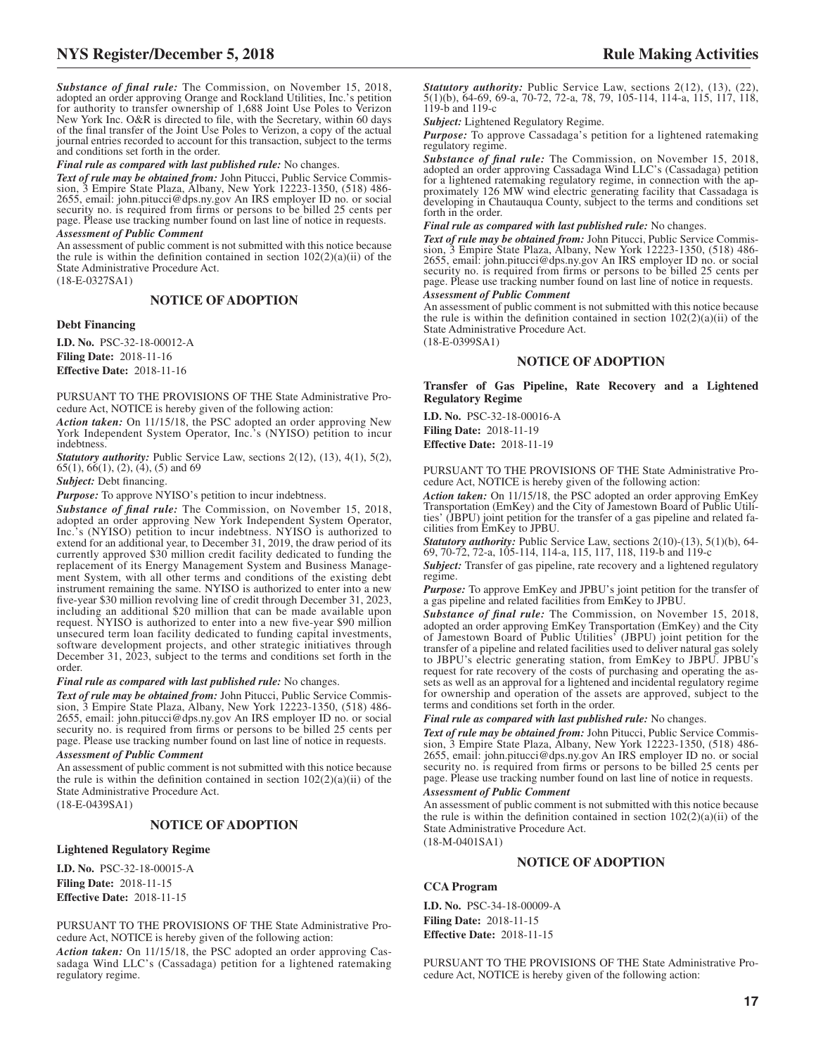*Substance of final rule:* The Commission, on November 15, 2018, adopted an order approving Orange and Rockland Utilities, Inc.'s petition for authority to transfer ownership of 1,688 Joint Use Poles to Verizon New York Inc. O&R is directed to file, with the Secretary, within 60 days of the final transfer of the Joint Use Poles to Verizon, a copy of the actual journal entries recorded to account for this transaction, subject to the terms and conditions set forth in the order.

*Final rule as compared with last published rule:* No changes.

*Text of rule may be obtained from:* John Pitucci, Public Service Commis-sion, 3 Empire State Plaza, Albany, New York 12223-1350, (518) 486- 2655, email: john.pitucci@dps.ny.gov An IRS employer ID no. or social security no. is required from firms or persons to be billed 25 cents per page. Please use tracking number found on last line of notice in requests.

#### *Assessment of Public Comment*

An assessment of public comment is not submitted with this notice because the rule is within the definition contained in section  $102(2)(a)(ii)$  of the State Administrative Procedure Act.

(18-E-0327SA1)

#### **NOTICE OF ADOPTION**

#### **Debt Financing**

**I.D. No.** PSC-32-18-00012-A **Filing Date:** 2018-11-16 **Effective Date:** 2018-11-16

PURSUANT TO THE PROVISIONS OF THE State Administrative Procedure Act, NOTICE is hereby given of the following action:

*Action taken:* On 11/15/18, the PSC adopted an order approving New York Independent System Operator, Inc.'s (NYISO) petition to incur indebtness.

*Statutory authority:* Public Service Law, sections 2(12), (13), 4(1), 5(2),  $65(1)$ ,  $66(1)$ ,  $(2)$ ,  $(4)$ ,  $(5)$  and  $69$ 

*Subject:* Debt financing.

*Purpose:* To approve NYISO's petition to incur indebtness.

*Substance of final rule:* The Commission, on November 15, 2018, adopted an order approving New York Independent System Operator, Inc.'s (NYISO) petition to incur indebtness. NYISO is authorized to extend for an additional year, to December 31, 2019, the draw period of its currently approved \$30 million credit facility dedicated to funding the replacement of its Energy Management System and Business Management System, with all other terms and conditions of the existing debt instrument remaining the same. NYISO is authorized to enter into a new five-year \$30 million revolving line of credit through December 31, 2023, including an additional \$20 million that can be made available upon request. NYISO is authorized to enter into a new five-year \$90 million unsecured term loan facility dedicated to funding capital investments, software development projects, and other strategic initiatives through December 31, 2023, subject to the terms and conditions set forth in the order.

*Final rule as compared with last published rule:* No changes.

*Text of rule may be obtained from:* John Pitucci, Public Service Commission, 3 Empire State Plaza, Albany, New York 12223-1350, (518) 486- 2655, email: john.pitucci@dps.ny.gov An IRS employer ID no. or social security no. is required from firms or persons to be billed 25 cents per page. Please use tracking number found on last line of notice in requests.

#### *Assessment of Public Comment*

An assessment of public comment is not submitted with this notice because the rule is within the definition contained in section  $102(2)(a)(ii)$  of the State Administrative Procedure Act.

(18-E-0439SA1)

#### **NOTICE OF ADOPTION**

#### **Lightened Regulatory Regime**

**I.D. No.** PSC-32-18-00015-A **Filing Date:** 2018-11-15 **Effective Date:** 2018-11-15

PURSUANT TO THE PROVISIONS OF THE State Administrative Procedure Act, NOTICE is hereby given of the following action:

*Action taken:* On 11/15/18, the PSC adopted an order approving Cassadaga Wind LLC's (Cassadaga) petition for a lightened ratemaking regulatory regime.

*Statutory authority:* Public Service Law, sections 2(12), (13), (22), 5(1)(b), 64-69, 69-a, 70-72, 72-a, 78, 79, 105-114, 114-a, 115, 117, 118, 119-b and 119-c

*Subject:* Lightened Regulatory Regime.

*Purpose:* To approve Cassadaga's petition for a lightened ratemaking regulatory regime.

*Substance of final rule:* The Commission, on November 15, 2018, adopted an order approving Cassadaga Wind LLC's (Cassadaga) petition for a lightened ratemaking regulatory regime, in connection with the approximately 126 MW wind electric generating facility that Cassadaga is developing in Chautauqua County, subject to the terms and conditions set forth in the order.

#### *Final rule as compared with last published rule:* No changes.

*Text of rule may be obtained from:* John Pitucci, Public Service Commission, 3 Empire State Plaza, Albany, New York 12223-1350, (518) 486- 2655, email: john.pitucci@dps.ny.gov An IRS employer ID no. or social security no. is required from firms or persons to be billed 25 cents per page. Please use tracking number found on last line of notice in requests.

#### *Assessment of Public Comment*

An assessment of public comment is not submitted with this notice because the rule is within the definition contained in section  $102(2)(a)(ii)$  of the State Administrative Procedure Act.

(18-E-0399SA1)

#### **NOTICE OF ADOPTION**

**Transfer of Gas Pipeline, Rate Recovery and a Lightened Regulatory Regime**

**I.D. No.** PSC-32-18-00016-A **Filing Date:** 2018-11-19 **Effective Date:** 2018-11-19

PURSUANT TO THE PROVISIONS OF THE State Administrative Procedure Act, NOTICE is hereby given of the following action:

*Action taken:* On 11/15/18, the PSC adopted an order approving EmKey Transportation (EmKey) and the City of Jamestown Board of Public Utilities' (JBPU) joint petition for the transfer of a gas pipeline and related facilities from EmKey to JPBU.

*Statutory authority:* Public Service Law, sections 2(10)-(13), 5(1)(b), 64-69, 70-72, 72-a, 105-114, 114-a, 115, 117, 118, 119-b and 119-c

*Subject:* Transfer of gas pipeline, rate recovery and a lightened regulatory regime.

*Purpose:* To approve EmKey and JPBU's joint petition for the transfer of a gas pipeline and related facilities from EmKey to JPBU.

*Substance of final rule:* The Commission, on November 15, 2018, adopted an order approving EmKey Transportation (EmKey) and the City of Jamestown Board of Public Utilities' (JBPU) joint petition for the transfer of a pipeline and related facilities used to deliver natural gas solely to JBPU's electric generating station, from EmKey to JBPU. JPBU's request for rate recovery of the costs of purchasing and operating the assets as well as an approval for a lightened and incidental regulatory regime for ownership and operation of the assets are approved, subject to the terms and conditions set forth in the order.

*Final rule as compared with last published rule:* No changes.

*Text of rule may be obtained from:* John Pitucci, Public Service Commission, 3 Empire State Plaza, Albany, New York 12223-1350, (518) 486- 2655, email: john.pitucci@dps.ny.gov An IRS employer ID no. or social security no. is required from firms or persons to be billed 25 cents per page. Please use tracking number found on last line of notice in requests.

#### *Assessment of Public Comment*

An assessment of public comment is not submitted with this notice because the rule is within the definition contained in section  $102(2)(a)(ii)$  of the State Administrative Procedure Act.

(18-M-0401SA1)

#### **NOTICE OF ADOPTION**

#### **CCA Program**

**I.D. No.** PSC-34-18-00009-A **Filing Date:** 2018-11-15 **Effective Date:** 2018-11-15

PURSUANT TO THE PROVISIONS OF THE State Administrative Procedure Act, NOTICE is hereby given of the following action: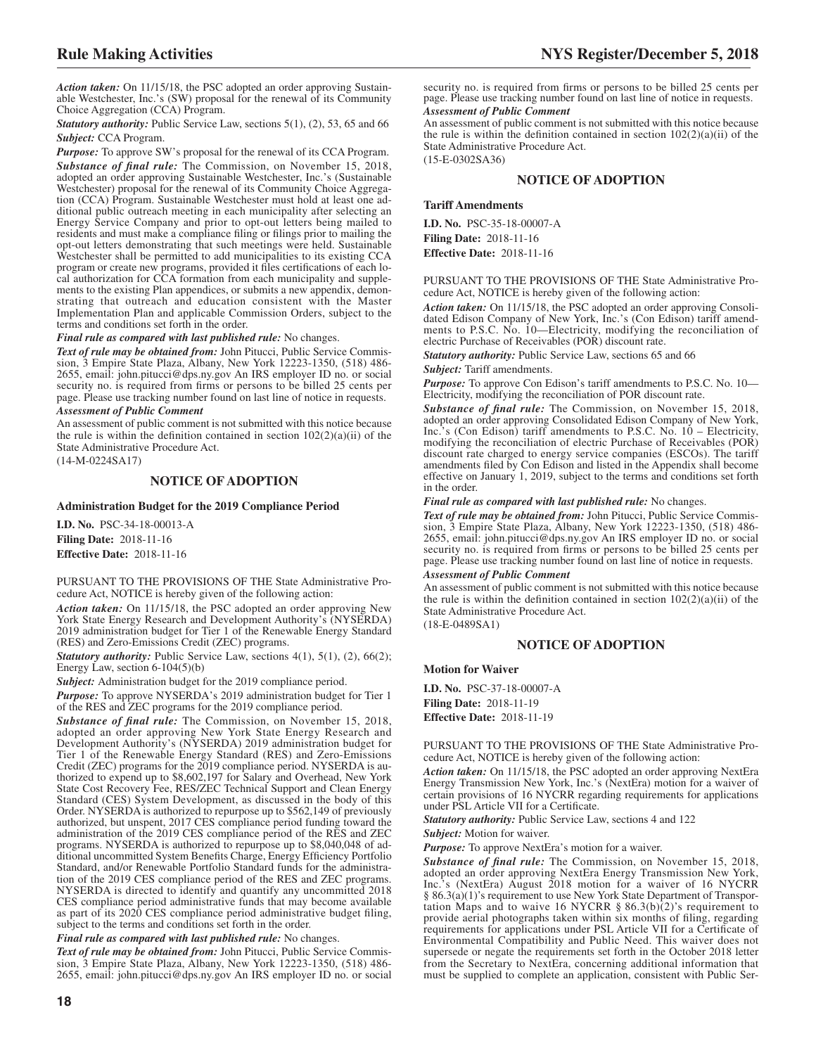*Action taken:* On 11/15/18, the PSC adopted an order approving Sustainable Westchester, Inc.'s (SW) proposal for the renewal of its Community Choice Aggregation (CCA) Program.

*Statutory authority:* Public Service Law, sections 5(1), (2), 53, 65 and 66 *Subject:* CCA Program.

*Purpose:* To approve SW's proposal for the renewal of its CCA Program. *Substance of final rule:* The Commission, on November 15, 2018, adopted an order approving Sustainable Westchester, Inc.'s (Sustainable Westchester) proposal for the renewal of its Community Choice Aggregation (CCA) Program. Sustainable Westchester must hold at least one additional public outreach meeting in each municipality after selecting an Energy Service Company and prior to opt-out letters being mailed to residents and must make a compliance filing or filings prior to mailing the opt-out letters demonstrating that such meetings were held. Sustainable Westchester shall be permitted to add municipalities to its existing CCA program or create new programs, provided it files certifications of each local authorization for CCA formation from each municipality and supplements to the existing Plan appendices, or submits a new appendix, demonstrating that outreach and education consistent with the Master Implementation Plan and applicable Commission Orders, subject to the terms and conditions set forth in the order.

#### *Final rule as compared with last published rule:* No changes.

*Text of rule may be obtained from:* John Pitucci, Public Service Commission, 3 Empire State Plaza, Albany, New York 12223-1350, (518) 486- 2655, email: john.pitucci@dps.ny.gov An IRS employer ID no. or social security no. is required from firms or persons to be billed 25 cents per page. Please use tracking number found on last line of notice in requests.

#### *Assessment of Public Comment*

An assessment of public comment is not submitted with this notice because the rule is within the definition contained in section  $102(2)(a)(ii)$  of the State Administrative Procedure Act.

(14-M-0224SA17)

#### **NOTICE OF ADOPTION**

#### **Administration Budget for the 2019 Compliance Period**

**I.D. No.** PSC-34-18-00013-A **Filing Date:** 2018-11-16 **Effective Date:** 2018-11-16

PURSUANT TO THE PROVISIONS OF THE State Administrative Procedure Act, NOTICE is hereby given of the following action:

*Action taken:* On 11/15/18, the PSC adopted an order approving New York State Energy Research and Development Authority's (NYSERDA) 2019 administration budget for Tier 1 of the Renewable Energy Standard (RES) and Zero-Emissions Credit (ZEC) programs.

*Statutory authority:* Public Service Law, sections 4(1), 5(1), (2), 66(2); Energy Law, section 6-104(5)(b)

*Subject:* Administration budget for the 2019 compliance period.

*Purpose:* To approve NYSERDA's 2019 administration budget for Tier 1 of the RES and ZEC programs for the 2019 compliance period.

*Substance of final rule:* The Commission, on November 15, 2018, adopted an order approving New York State Energy Research and Development Authority's (NYSERDA) 2019 administration budget for Tier 1 of the Renewable Energy Standard (RES) and Zero-Emissions Credit (ZEC) programs for the 2019 compliance period. NYSERDA is authorized to expend up to \$8,602,197 for Salary and Overhead, New York State Cost Recovery Fee, RES/ZEC Technical Support and Clean Energy Standard (CES) System Development, as discussed in the body of this Order. NYSERDA is authorized to repurpose up to \$562,149 of previously authorized, but unspent, 2017 CES compliance period funding toward the administration of the 2019 CES compliance period of the RES and ZEC programs. NYSERDA is authorized to repurpose up to \$8,040,048 of additional uncommitted System Benefits Charge, Energy Efficiency Portfolio Standard, and/or Renewable Portfolio Standard funds for the administration of the 2019 CES compliance period of the RES and ZEC programs. NYSERDA is directed to identify and quantify any uncommitted 2018 CES compliance period administrative funds that may become available as part of its 2020 CES compliance period administrative budget filing, subject to the terms and conditions set forth in the order.

*Final rule as compared with last published rule:* No changes.

*Text of rule may be obtained from:* John Pitucci, Public Service Commission, 3 Empire State Plaza, Albany, New York 12223-1350, (518) 486- 2655, email: john.pitucci@dps.ny.gov An IRS employer ID no. or social

security no. is required from firms or persons to be billed 25 cents per page. Please use tracking number found on last line of notice in requests. *Assessment of Public Comment*

An assessment of public comment is not submitted with this notice because the rule is within the definition contained in section  $102(2)(a)(ii)$  of the State Administrative Procedure Act.

(15-E-0302SA36)

#### **NOTICE OF ADOPTION**

#### **Tariff Amendments**

**I.D. No.** PSC-35-18-00007-A **Filing Date:** 2018-11-16 **Effective Date:** 2018-11-16

PURSUANT TO THE PROVISIONS OF THE State Administrative Procedure Act, NOTICE is hereby given of the following action:

*Action taken:* On 11/15/18, the PSC adopted an order approving Consolidated Edison Company of New York, Inc.'s (Con Edison) tariff amendments to P.S.C. No. 10—Electricity, modifying the reconciliation of electric Purchase of Receivables (POR) discount rate.

*Statutory authority:* Public Service Law, sections 65 and 66 *Subject:* Tariff amendments.

*Purpose:* To approve Con Edison's tariff amendments to P.S.C. No. 10—

Electricity, modifying the reconciliation of POR discount rate.

*Substance of final rule:* The Commission, on November 15, 2018, adopted an order approving Consolidated Edison Company of New York, Inc.'s (Con Edison) tariff amendments to P.S.C. No. 10 – Electricity, modifying the reconciliation of electric Purchase of Receivables (POR) discount rate charged to energy service companies (ESCOs). The tariff amendments filed by Con Edison and listed in the Appendix shall become effective on January 1, 2019, subject to the terms and conditions set forth in the order.

*Final rule as compared with last published rule:* No changes.

*Text of rule may be obtained from:* John Pitucci, Public Service Commission, 3 Empire State Plaza, Albany, New York 12223-1350, (518) 486- 2655, email: john.pitucci@dps.ny.gov An IRS employer ID no. or social security no. is required from firms or persons to be billed 25 cents per page. Please use tracking number found on last line of notice in requests.

#### *Assessment of Public Comment*

An assessment of public comment is not submitted with this notice because the rule is within the definition contained in section  $102(2)(a)(ii)$  of the State Administrative Procedure Act.

(18-E-0489SA1)

#### **NOTICE OF ADOPTION**

#### **Motion for Waiver**

**I.D. No.** PSC-37-18-00007-A **Filing Date:** 2018-11-19 **Effective Date:** 2018-11-19

PURSUANT TO THE PROVISIONS OF THE State Administrative Procedure Act, NOTICE is hereby given of the following action:

*Action taken:* On 11/15/18, the PSC adopted an order approving NextEra Energy Transmission New York, Inc.'s (NextEra) motion for a waiver of certain provisions of 16 NYCRR regarding requirements for applications under PSL Article VII for a Certificate.

*Statutory authority:* Public Service Law, sections 4 and 122

*Subject:* Motion for waiver.

*Purpose:* To approve NextEra's motion for a waiver.

*Substance of final rule:* The Commission, on November 15, 2018, adopted an order approving NextEra Energy Transmission New York, Inc.'s (NextEra) August 2018 motion for a waiver of 16 NYCRR § 86.3(a)(1)'s requirement to use New York State Department of Transportation Maps and to waive 16 NYCRR  $\S$  86.3(b)(2)'s requirement to provide aerial photographs taken within six months of filing, regarding requirements for applications under PSL Article VII for a Certificate of Environmental Compatibility and Public Need. This waiver does not supersede or negate the requirements set forth in the October 2018 letter from the Secretary to NextEra, concerning additional information that must be supplied to complete an application, consistent with Public Ser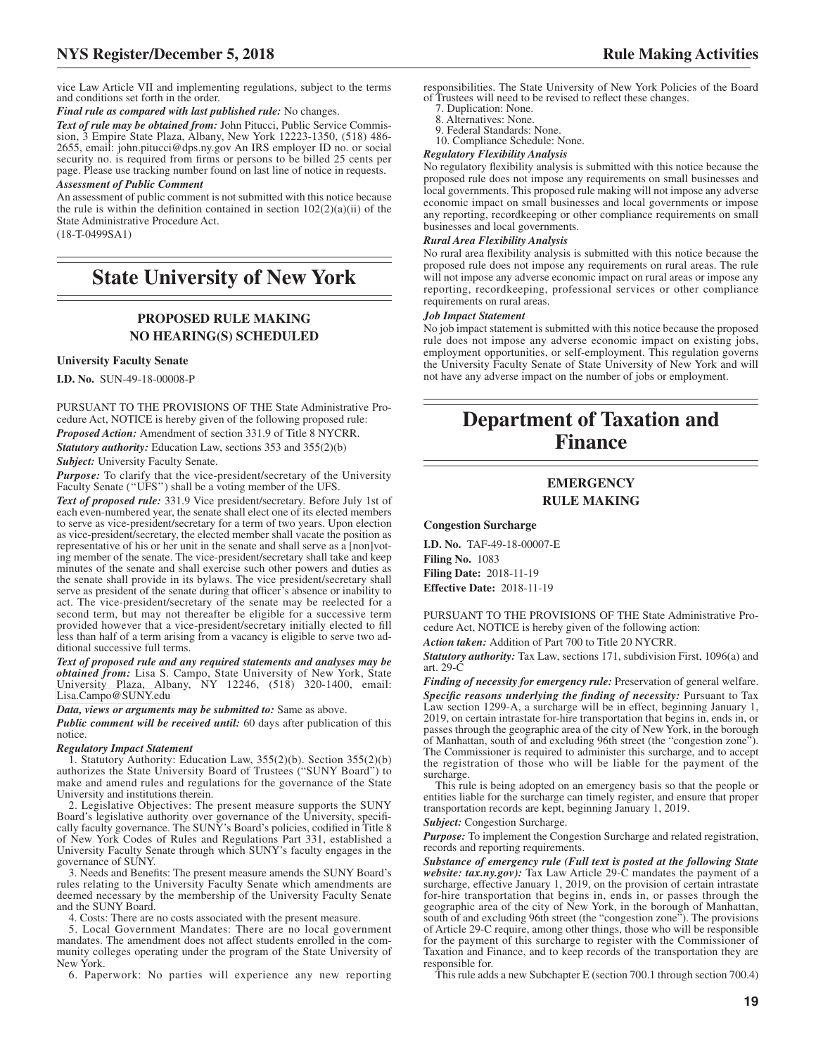vice Law Article VII and implementing regulations, subject to the terms and conditions set forth in the order.

*Final rule as compared with last published rule:* No changes.

*Text of rule may be obtained from:* John Pitucci, Public Service Commission, 3 Empire State Plaza, Albany, New York 12223-1350, (518) 486- 2655, email: john.pitucci@dps.ny.gov An IRS employer ID no. or social security no. is required from firms or persons to be billed 25 cents per page. Please use tracking number found on last line of notice in requests.

#### *Assessment of Public Comment*

An assessment of public comment is not submitted with this notice because the rule is within the definition contained in section  $102(2)(a)(ii)$  of the State Administrative Procedure Act. (18-T-0499SA1)

## **State University of New York**

#### **PROPOSED RULE MAKING NO HEARING(S) SCHEDULED**

#### **University Faculty Senate**

**I.D. No.** SUN-49-18-00008-P

PURSUANT TO THE PROVISIONS OF THE State Administrative Procedure Act, NOTICE is hereby given of the following proposed rule: *Proposed Action:* Amendment of section 331.9 of Title 8 NYCRR. *Statutory authority:* Education Law, sections 353 and 355(2)(b)

**Subject:** University Faculty Senate.

*Purpose:* To clarify that the vice-president/secretary of the University Faculty Senate (''UFS'') shall be a voting member of the UFS.

*Text of proposed rule:* 331.9 Vice president/secretary. Before July 1st of each even-numbered year, the senate shall elect one of its elected members to serve as vice-president/secretary for a term of two years. Upon election as vice-president/secretary, the elected member shall vacate the position as representative of his or her unit in the senate and shall serve as a [non]voting member of the senate. The vice-president/secretary shall take and keep minutes of the senate and shall exercise such other powers and duties as the senate shall provide in its bylaws. The vice president/secretary shall serve as president of the senate during that officer's absence or inability to act. The vice-president/secretary of the senate may be reelected for a second term, but may not thereafter be eligible for a successive term provided however that a vice-president/secretary initially elected to fill less than half of a term arising from a vacancy is eligible to serve two additional successive full terms.

*Text of proposed rule and any required statements and analyses may be obtained from:* Lisa S. Campo, State University of New York, State University Plaza, Albany, NY 12246, (518) 320-1400, email: [Lisa.Campo@SUNY.edu](mailto: Lisa.Campo@SUNY.edu)

*Data, views or arguments may be submitted to:* Same as above.

*Public comment will be received until:* 60 days after publication of this notice.

#### *Regulatory Impact Statement*

1. Statutory Authority: Education Law, 355(2)(b). Section 355(2)(b) authorizes the State University Board of Trustees ("SUNY Board") to make and amend rules and regulations for the governance of the State University and institutions therein.

2. Legislative Objectives: The present measure supports the SUNY Board's legislative authority over governance of the University, specifically faculty governance. The SUNY's Board's policies, codified in Title 8 of New York Codes of Rules and Regulations Part 331, established a University Faculty Senate through which SUNY's faculty engages in the governance of SUNY.

3. Needs and Benefits: The present measure amends the SUNY Board's rules relating to the University Faculty Senate which amendments are deemed necessary by the membership of the University Faculty Senate and the SUNY Board.

4. Costs: There are no costs associated with the present measure.

5. Local Government Mandates: There are no local government mandates. The amendment does not affect students enrolled in the community colleges operating under the program of the State University of New York.

6. Paperwork: No parties will experience any new reporting

responsibilities. The State University of New York Policies of the Board of Trustees will need to be revised to reflect these changes.

7. Duplication: None.

8. Alternatives: None.

9. Federal Standards: None. 10. Compliance Schedule: None.

### *Regulatory Flexibility Analysis*

No regulatory flexibility analysis is submitted with this notice because the proposed rule does not impose any requirements on small businesses and local governments. This proposed rule making will not impose any adverse economic impact on small businesses and local governments or impose any reporting, recordkeeping or other compliance requirements on small businesses and local governments.

#### *Rural Area Flexibility Analysis*

No rural area flexibility analysis is submitted with this notice because the proposed rule does not impose any requirements on rural areas. The rule will not impose any adverse economic impact on rural areas or impose any reporting, recordkeeping, professional services or other compliance requirements on rural areas.

#### *Job Impact Statement*

No job impact statement is submitted with this notice because the proposed rule does not impose any adverse economic impact on existing jobs, employment opportunities, or self-employment. This regulation governs the University Faculty Senate of State University of New York and will not have any adverse impact on the number of jobs or employment.

## **Department of Taxation and Finance**

#### **EMERGENCY RULE MAKING**

**Congestion Surcharge**

**I.D. No.** TAF-49-18-00007-E **Filing No.** 1083 **Filing Date:** 2018-11-19 **Effective Date:** 2018-11-19

PURSUANT TO THE PROVISIONS OF THE State Administrative Procedure Act, NOTICE is hereby given of the following action:

*Action taken:* Addition of Part 700 to Title 20 NYCRR.

*Statutory authority:* Tax Law, sections 171, subdivision First, 1096(a) and art. 29-C

*Finding of necessity for emergency rule:* Preservation of general welfare. *Specific reasons underlying the finding of necessity:* Pursuant to Tax Law section 1299-A, a surcharge will be in effect, beginning January 1, 2019, on certain intrastate for-hire transportation that begins in, ends in, or passes through the geographic area of the city of New York, in the borough of Manhattan, south of and excluding 96th street (the "congestion zone"). The Commissioner is required to administer this surcharge, and to accept the registration of those who will be liable for the payment of the surcharge.

This rule is being adopted on an emergency basis so that the people or entities liable for the surcharge can timely register, and ensure that proper transportation records are kept, beginning January 1, 2019.

#### *Subject:* Congestion Surcharge.

*Purpose:* To implement the Congestion Surcharge and related registration, records and reporting requirements.

*Substance of emergency rule (Full text is posted at the following State website: tax.ny.gov):* Tax Law Article 29-C mandates the payment of a surcharge, effective January 1, 2019, on the provision of certain intrastate for-hire transportation that begins in, ends in, or passes through the geographic area of the city of New York, in the borough of Manhattan, south of and excluding 96th street (the "congestion zone"). The provisions of Article 29-C require, among other things, those who will be responsible for the payment of this surcharge to register with the Commissioner of Taxation and Finance, and to keep records of the transportation they are responsible for.

This rule adds a new Subchapter E (section 700.1 through section 700.4)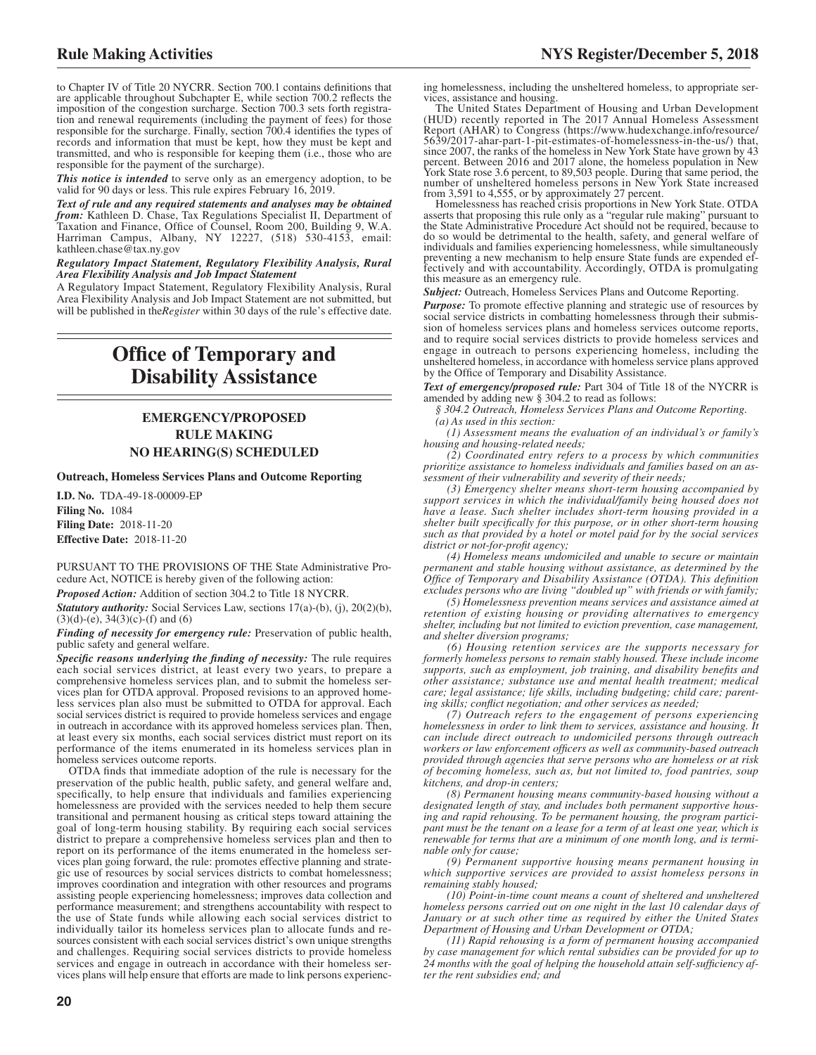to Chapter IV of Title 20 NYCRR. Section 700.1 contains definitions that are applicable throughout Subchapter E, while section 700.2 reflects the imposition of the congestion surcharge. Section 700.3 sets forth registration and renewal requirements (including the payment of fees) for those responsible for the surcharge. Finally, section 700.4 identifies the types of records and information that must be kept, how they must be kept and transmitted, and who is responsible for keeping them (i.e., those who are responsible for the payment of the surcharge).

*This notice is intended* to serve only as an emergency adoption, to be valid for 90 days or less. This rule expires February 16, 2019.

*Text of rule and any required statements and analyses may be obtained from:* Kathleen D. Chase, Tax Regulations Specialist II, Department of Taxation and Finance, Office of Counsel, Room 200, Building 9, W.A. Harriman Campus, Albany, NY 12227, (518) 530-4153, email: kathleen.chase@tax.ny.gov

*Regulatory Impact Statement, Regulatory Flexibility Analysis, Rural Area Flexibility Analysis and Job Impact Statement*

A Regulatory Impact Statement, Regulatory Flexibility Analysis, Rural Area Flexibility Analysis and Job Impact Statement are not submitted, but will be published in the*Register* within 30 days of the rule's effective date.

## **Office of Temporary and Disability Assistance**

### **EMERGENCY/PROPOSED RULE MAKING NO HEARING(S) SCHEDULED**

**Outreach, Homeless Services Plans and Outcome Reporting**

**I.D. No.** TDA-49-18-00009-EP **Filing No.** 1084 **Filing Date:** 2018-11-20 **Effective Date:** 2018-11-20

PURSUANT TO THE PROVISIONS OF THE State Administrative Procedure Act, NOTICE is hereby given of the following action:

*Proposed Action:* Addition of section 304.2 to Title 18 NYCRR.

*Statutory authority:* Social Services Law, sections 17(a)-(b), (j), 20(2)(b),  $(3)(d)-(e)$ ,  $34(3)(c)-(f)$  and  $(6)$ 

*Finding of necessity for emergency rule:* Preservation of public health, public safety and general welfare.

*Specific reasons underlying the finding of necessity:* The rule requires each social services district, at least every two years, to prepare a comprehensive homeless services plan, and to submit the homeless services plan for OTDA approval. Proposed revisions to an approved homeless services plan also must be submitted to OTDA for approval. Each social services district is required to provide homeless services and engage in outreach in accordance with its approved homeless services plan. Then, at least every six months, each social services district must report on its performance of the items enumerated in its homeless services plan in homeless services outcome reports.

OTDA finds that immediate adoption of the rule is necessary for the preservation of the public health, public safety, and general welfare and, specifically, to help ensure that individuals and families experiencing homelessness are provided with the services needed to help them secure transitional and permanent housing as critical steps toward attaining the goal of long-term housing stability. By requiring each social services district to prepare a comprehensive homeless services plan and then to report on its performance of the items enumerated in the homeless services plan going forward, the rule: promotes effective planning and strategic use of resources by social services districts to combat homelessness; improves coordination and integration with other resources and programs assisting people experiencing homelessness; improves data collection and performance measurement; and strengthens accountability with respect to the use of State funds while allowing each social services district to individually tailor its homeless services plan to allocate funds and resources consistent with each social services district's own unique strengths and challenges. Requiring social services districts to provide homeless services and engage in outreach in accordance with their homeless services plans will help ensure that efforts are made to link persons experiencing homelessness, including the unsheltered homeless, to appropriate services, assistance and housing.

The United States Department of Housing and Urban Development (HUD) recently reported in The 2017 Annual Homeless Assessment Report (AHAR) to Congress (https://www.hudexchange.info/resource/ 5639/2017-ahar-part-1-pit-estimates-of-homelessness-in-the-us/) that, since 2007, the ranks of the homeless in New York State have grown by 43 percent. Between 2016 and 2017 alone, the homeless population in New York State rose 3.6 percent, to 89,503 people. During that same period, the number of unsheltered homeless persons in New York State increased

from 3,591 to 4,555, or by approximately 27 percent. Homelessness has reached crisis proportions in New York State. OTDA asserts that proposing this rule only as a "regular rule making" pursuant to the State Administrative Procedure Act should not be required, because to do so would be detrimental to the health, safety, and general welfare of individuals and families experiencing homelessness, while simultaneously preventing a new mechanism to help ensure State funds are expended effectively and with accountability. Accordingly, OTDA is promulgating this measure as an emergency rule.

*Subject:* Outreach, Homeless Services Plans and Outcome Reporting.

*Purpose:* To promote effective planning and strategic use of resources by social service districts in combatting homelessness through their submission of homeless services plans and homeless services outcome reports, and to require social services districts to provide homeless services and engage in outreach to persons experiencing homeless, including the unsheltered homeless, in accordance with homeless service plans approved by the Office of Temporary and Disability Assistance.

*Text of emergency/proposed rule:* Part 304 of Title 18 of the NYCRR is amended by adding new § 304.2 to read as follows:

*§ 304.2 Outreach, Homeless Services Plans and Outcome Reporting. (a) As used in this section:*

*(1) Assessment means the evaluation of an individual's or family's housing and housing-related needs;*

*(2) Coordinated entry refers to a process by which communities prioritize assistance to homeless individuals and families based on an assessment of their vulnerability and severity of their needs;*

*(3) Emergency shelter means short-term housing accompanied by support services in which the individual/family being housed does not have a lease. Such shelter includes short-term housing provided in a shelter built specifically for this purpose, or in other short-term housing such as that provided by a hotel or motel paid for by the social services district or not-for-profit agency;*

*(4) Homeless means undomiciled and unable to secure or maintain permanent and stable housing without assistance, as determined by the Office of Temporary and Disability Assistance (OTDA). This definition excludes persons who are living "doubled up" with friends or with family;*

*(5) Homelessness prevention means services and assistance aimed at retention of existing housing or providing alternatives to emergency shelter, including but not limited to eviction prevention, case management, and shelter diversion programs;*

*(6) Housing retention services are the supports necessary for formerly homeless persons to remain stably housed. These include income supports, such as employment, job training, and disability benefits and other assistance; substance use and mental health treatment; medical care; legal assistance; life skills, including budgeting; child care; parenting skills; conflict negotiation; and other services as needed;*

*(7) Outreach refers to the engagement of persons experiencing homelessness in order to link them to services, assistance and housing. It can include direct outreach to undomiciled persons through outreach workers or law enforcement officers as well as community-based outreach provided through agencies that serve persons who are homeless or at risk of becoming homeless, such as, but not limited to, food pantries, soup kitchens, and drop-in centers;*

*(8) Permanent housing means community-based housing without a designated length of stay, and includes both permanent supportive housing and rapid rehousing. To be permanent housing, the program participant must be the tenant on a lease for a term of at least one year, which is renewable for terms that are a minimum of one month long, and is terminable only for cause;*

*(9) Permanent supportive housing means permanent housing in which supportive services are provided to assist homeless persons in remaining stably housed;*

*(10) Point-in-time count means a count of sheltered and unsheltered homeless persons carried out on one night in the last 10 calendar days of January or at such other time as required by either the United States Department of Housing and Urban Development or OTDA;*

*(11) Rapid rehousing is a form of permanent housing accompanied by case management for which rental subsidies can be provided for up to 24 months with the goal of helping the household attain self-sufficiency after the rent subsidies end; and*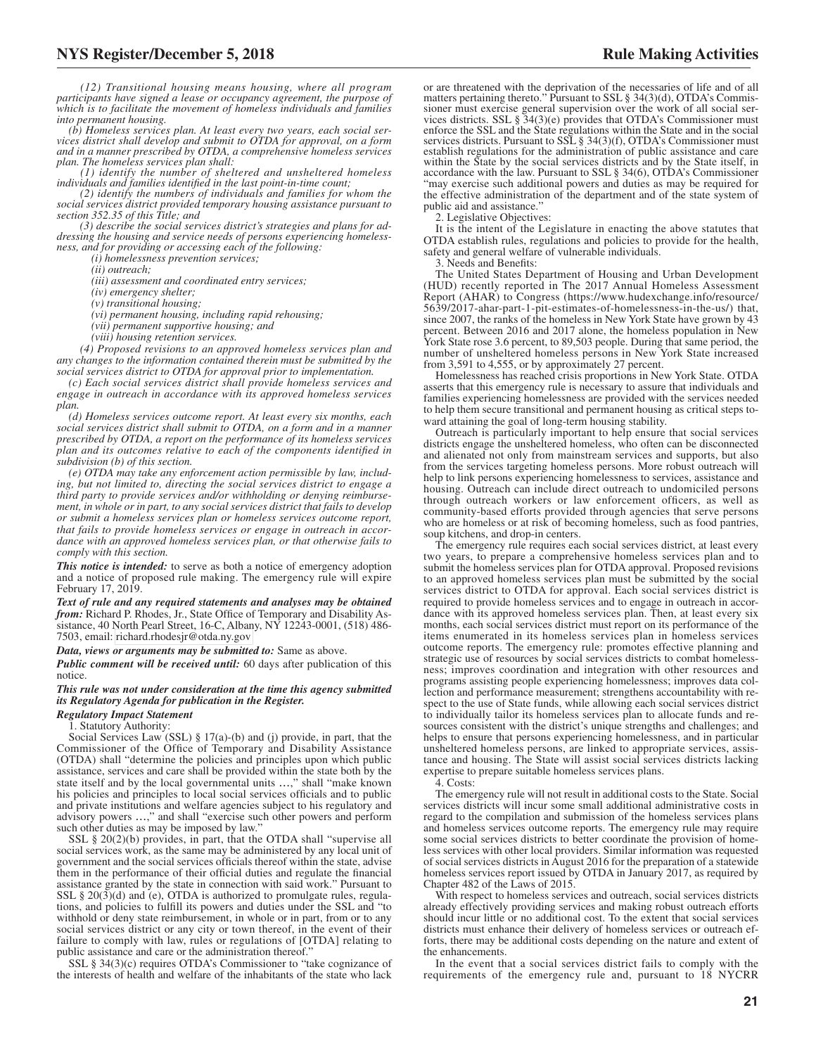*(12) Transitional housing means housing, where all program participants have signed a lease or occupancy agreement, the purpose of which is to facilitate the movement of homeless individuals and families into permanent housing.*

*(b) Homeless services plan. At least every two years, each social services district shall develop and submit to OTDA for approval, on a form and in a manner prescribed by OTDA, a comprehensive homeless services plan. The homeless services plan shall: (1) identify the number of sheltered and unsheltered homeless*

*individuals and families identified in the last point-in-time count;*

*(2) identify the numbers of individuals and families for whom the social services district provided temporary housing assistance pursuant to section 352.35 of this Title; and*

*(3) describe the social services district's strategies and plans for addressing the housing and service needs of persons experiencing homelessness, and for providing or accessing each of the following:*

*(i) homelessness prevention services;*

*(ii) outreach;*

*(iii) assessment and coordinated entry services;*

*(iv) emergency shelter;*

*(v) transitional housing;*

*(vi) permanent housing, including rapid rehousing;*

*(vii) permanent supportive housing; and*

*(viii) housing retention services.*

*(4) Proposed revisions to an approved homeless services plan and any changes to the information contained therein must be submitted by the social services district to OTDA for approval prior to implementation.*

*(c) Each social services district shall provide homeless services and engage in outreach in accordance with its approved homeless services plan.*

*(d) Homeless services outcome report. At least every six months, each social services district shall submit to OTDA, on a form and in a manner prescribed by OTDA, a report on the performance of its homeless services plan and its outcomes relative to each of the components identified in subdivision (b) of this section.*

*(e) OTDA may take any enforcement action permissible by law, including, but not limited to, directing the social services district to engage a third party to provide services and/or withholding or denying reimbursement, in whole or in part, to any social services district that fails to develop or submit a homeless services plan or homeless services outcome report, that fails to provide homeless services or engage in outreach in accordance with an approved homeless services plan, or that otherwise fails to comply with this section.*

*This notice is intended:* to serve as both a notice of emergency adoption and a notice of proposed rule making. The emergency rule will expire February 17, 2019.

*Text of rule and any required statements and analyses may be obtained from:* Richard P. Rhodes, Jr., State Office of Temporary and Disability Assistance, 40 North Pearl Street, 16-C, Albany, NY 12243-0001, (518) 486- 7503, email: [richard.rhodesjr@otda.ny.gov](mailto: richard.rhodesjr@otda.ny.gov)

*Data, views or arguments may be submitted to:* Same as above.

*Public comment will be received until:* 60 days after publication of this notice.

*This rule was not under consideration at the time this agency submitted its Regulatory Agenda for publication in the Register.*

#### *Regulatory Impact Statement*

1. Statutory Authority:

Social Services Law (SSL) § 17(a)-(b) and (j) provide, in part, that the Commissioner of the Office of Temporary and Disability Assistance (OTDA) shall "determine the policies and principles upon which public assistance, services and care shall be provided within the state both by the state itself and by the local governmental units …," shall "make known his policies and principles to local social services officials and to public and private institutions and welfare agencies subject to his regulatory and advisory powers …," and shall "exercise such other powers and perform such other duties as may be imposed by law."

SSL § 20(2)(b) provides, in part, that the OTDA shall "supervise all social services work, as the same may be administered by any local unit of government and the social services officials thereof within the state, advise them in the performance of their official duties and regulate the financial assistance granted by the state in connection with said work." Pursuant to SSL  $\S 20(3)(d)$  and (e), OTDA is authorized to promulgate rules, regulations, and policies to fulfill its powers and duties under the SSL and "to withhold or deny state reimbursement, in whole or in part, from or to any social services district or any city or town thereof, in the event of their failure to comply with law, rules or regulations of [OTDA] relating to public assistance and care or the administration thereof."

SSL § 34(3)(c) requires OTDA's Commissioner to "take cognizance of the interests of health and welfare of the inhabitants of the state who lack

"may exercise such additional powers and duties as may be required for the effective administration of the department and of the state system of public aid and assistance."

2. Legislative Objectives:

It is the intent of the Legislature in enacting the above statutes that OTDA establish rules, regulations and policies to provide for the health, safety and general welfare of vulnerable individuals.

3. Needs and Benefits:

The United States Department of Housing and Urban Development (HUD) recently reported in The 2017 Annual Homeless Assessment Report (AHAR) to Congress (https://www.hudexchange.info/resource/ 5639/2017-ahar-part-1-pit-estimates-of-homelessness-in-the-us/) that, since 2007, the ranks of the homeless in New York State have grown by 43 percent. Between 2016 and 2017 alone, the homeless population in New York State rose 3.6 percent, to 89,503 people. During that same period, the number of unsheltered homeless persons in New York State increased from 3,591 to 4,555, or by approximately 27 percent.

Homelessness has reached crisis proportions in New York State. OTDA asserts that this emergency rule is necessary to assure that individuals and families experiencing homelessness are provided with the services needed to help them secure transitional and permanent housing as critical steps toward attaining the goal of long-term housing stability.

Outreach is particularly important to help ensure that social services districts engage the unsheltered homeless, who often can be disconnected and alienated not only from mainstream services and supports, but also from the services targeting homeless persons. More robust outreach will help to link persons experiencing homelessness to services, assistance and housing. Outreach can include direct outreach to undomiciled persons through outreach workers or law enforcement officers, as well as community-based efforts provided through agencies that serve persons who are homeless or at risk of becoming homeless, such as food pantries, soup kitchens, and drop-in centers.

The emergency rule requires each social services district, at least every two years, to prepare a comprehensive homeless services plan and to submit the homeless services plan for OTDA approval. Proposed revisions to an approved homeless services plan must be submitted by the social services district to OTDA for approval. Each social services district is required to provide homeless services and to engage in outreach in accordance with its approved homeless services plan. Then, at least every six months, each social services district must report on its performance of the items enumerated in its homeless services plan in homeless services outcome reports. The emergency rule: promotes effective planning and strategic use of resources by social services districts to combat homelessness; improves coordination and integration with other resources and programs assisting people experiencing homelessness; improves data collection and performance measurement; strengthens accountability with respect to the use of State funds, while allowing each social services district to individually tailor its homeless services plan to allocate funds and resources consistent with the district's unique strengths and challenges; and helps to ensure that persons experiencing homelessness, and in particular unsheltered homeless persons, are linked to appropriate services, assistance and housing. The State will assist social services districts lacking expertise to prepare suitable homeless services plans.

4. Costs:

The emergency rule will not result in additional costs to the State. Social services districts will incur some small additional administrative costs in regard to the compilation and submission of the homeless services plans and homeless services outcome reports. The emergency rule may require some social services districts to better coordinate the provision of homeless services with other local providers. Similar information was requested of social services districts in August 2016 for the preparation of a statewide homeless services report issued by OTDA in January 2017, as required by Chapter 482 of the Laws of 2015.

With respect to homeless services and outreach, social services districts already effectively providing services and making robust outreach efforts should incur little or no additional cost. To the extent that social services districts must enhance their delivery of homeless services or outreach efforts, there may be additional costs depending on the nature and extent of the enhancements.

In the event that a social services district fails to comply with the requirements of the emergency rule and, pursuant to 18 NYCRR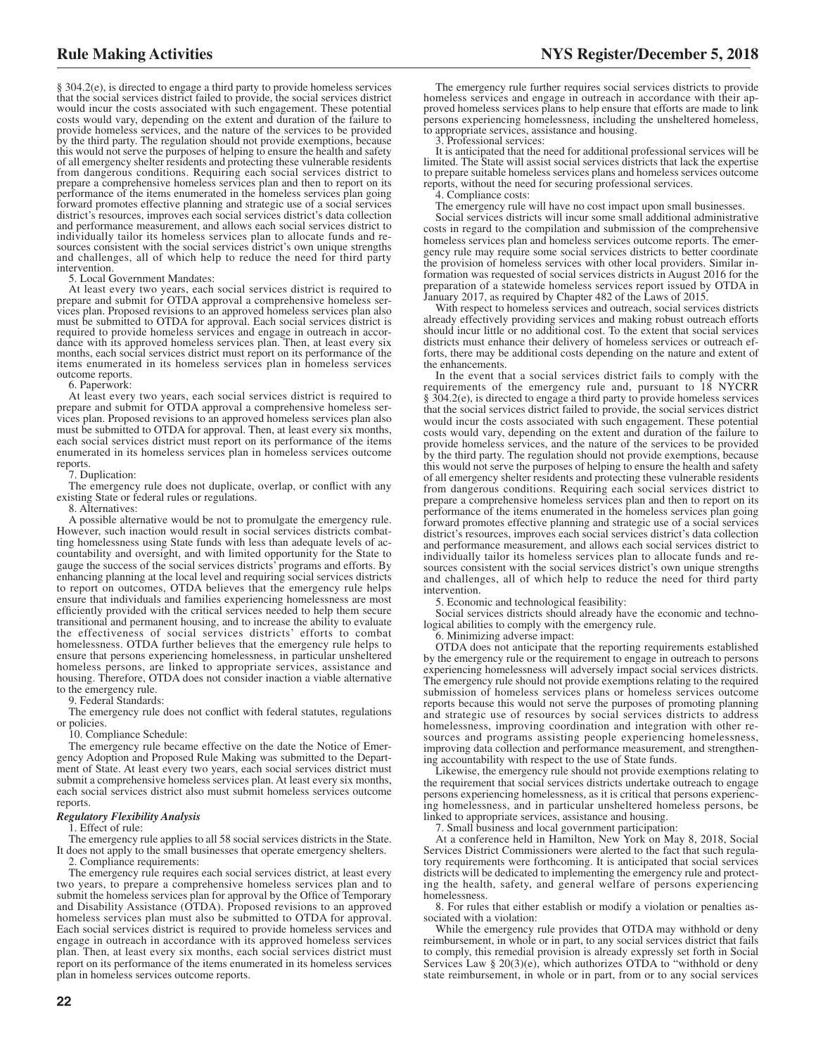§ 304.2(e), is directed to engage a third party to provide homeless services that the social services district failed to provide, the social services district would incur the costs associated with such engagement. These potential costs would vary, depending on the extent and duration of the failure to provide homeless services, and the nature of the services to be provided by the third party. The regulation should not provide exemptions, because this would not serve the purposes of helping to ensure the health and safety of all emergency shelter residents and protecting these vulnerable residents from dangerous conditions. Requiring each social services district to prepare a comprehensive homeless services plan and then to report on its performance of the items enumerated in the homeless services plan going forward promotes effective planning and strategic use of a social services district's resources, improves each social services district's data collection and performance measurement, and allows each social services district to individually tailor its homeless services plan to allocate funds and resources consistent with the social services district's own unique strengths and challenges, all of which help to reduce the need for third party intervention.

5. Local Government Mandates:

At least every two years, each social services district is required to prepare and submit for OTDA approval a comprehensive homeless services plan. Proposed revisions to an approved homeless services plan also must be submitted to OTDA for approval. Each social services district is required to provide homeless services and engage in outreach in accor-dance with its approved homeless services plan. Then, at least every six months, each social services district must report on its performance of the items enumerated in its homeless services plan in homeless services outcome reports.

6. Paperwork:

At least every two years, each social services district is required to prepare and submit for OTDA approval a comprehensive homeless services plan. Proposed revisions to an approved homeless services plan also must be submitted to OTDA for approval. Then, at least every six months, each social services district must report on its performance of the items enumerated in its homeless services plan in homeless services outcome reports.

#### 7. Duplication:

The emergency rule does not duplicate, overlap, or conflict with any existing State or federal rules or regulations.

8. Alternatives:

A possible alternative would be not to promulgate the emergency rule. However, such inaction would result in social services districts combatting homelessness using State funds with less than adequate levels of accountability and oversight, and with limited opportunity for the State to gauge the success of the social services districts' programs and efforts. By enhancing planning at the local level and requiring social services districts to report on outcomes, OTDA believes that the emergency rule helps ensure that individuals and families experiencing homelessness are most efficiently provided with the critical services needed to help them secure transitional and permanent housing, and to increase the ability to evaluate the effectiveness of social services districts' efforts to combat homelessness. OTDA further believes that the emergency rule helps to ensure that persons experiencing homelessness, in particular unsheltered homeless persons, are linked to appropriate services, assistance and housing. Therefore, OTDA does not consider inaction a viable alternative to the emergency rule.

9. Federal Standards:

The emergency rule does not conflict with federal statutes, regulations or policies.

10. Compliance Schedule:

The emergency rule became effective on the date the Notice of Emergency Adoption and Proposed Rule Making was submitted to the Department of State. At least every two years, each social services district must submit a comprehensive homeless services plan. At least every six months, each social services district also must submit homeless services outcome reports.

#### *Regulatory Flexibility Analysis*

1. Effect of rule:

The emergency rule applies to all 58 social services districts in the State. It does not apply to the small businesses that operate emergency shelters.

2. Compliance requirements:

The emergency rule requires each social services district, at least every two years, to prepare a comprehensive homeless services plan and to submit the homeless services plan for approval by the Office of Temporary and Disability Assistance (OTDA). Proposed revisions to an approved homeless services plan must also be submitted to OTDA for approval. Each social services district is required to provide homeless services and engage in outreach in accordance with its approved homeless services plan. Then, at least every six months, each social services district must report on its performance of the items enumerated in its homeless services plan in homeless services outcome reports.

The emergency rule further requires social services districts to provide homeless services and engage in outreach in accordance with their approved homeless services plans to help ensure that efforts are made to link persons experiencing homelessness, including the unsheltered homeless, to appropriate services, assistance and housing.

3. Professional services:

It is anticipated that the need for additional professional services will be limited. The State will assist social services districts that lack the expertise to prepare suitable homeless services plans and homeless services outcome reports, without the need for securing professional services.

4. Compliance costs:

The emergency rule will have no cost impact upon small businesses.

Social services districts will incur some small additional administrative costs in regard to the compilation and submission of the comprehensive homeless services plan and homeless services outcome reports. The emergency rule may require some social services districts to better coordinate the provision of homeless services with other local providers. Similar information was requested of social services districts in August 2016 for the preparation of a statewide homeless services report issued by OTDA in January 2017, as required by Chapter 482 of the Laws of 2015.

With respect to homeless services and outreach, social services districts already effectively providing services and making robust outreach efforts should incur little or no additional cost. To the extent that social services districts must enhance their delivery of homeless services or outreach efforts, there may be additional costs depending on the nature and extent of the enhancements.

In the event that a social services district fails to comply with the requirements of the emergency rule and, pursuant to 18 NYCRR § 304.2(e), is directed to engage a third party to provide homeless services that the social services district failed to provide, the social services district would incur the costs associated with such engagement. These potential costs would vary, depending on the extent and duration of the failure to provide homeless services, and the nature of the services to be provided by the third party. The regulation should not provide exemptions, because this would not serve the purposes of helping to ensure the health and safety of all emergency shelter residents and protecting these vulnerable residents from dangerous conditions. Requiring each social services district to prepare a comprehensive homeless services plan and then to report on its performance of the items enumerated in the homeless services plan going forward promotes effective planning and strategic use of a social services district's resources, improves each social services district's data collection and performance measurement, and allows each social services district to individually tailor its homeless services plan to allocate funds and resources consistent with the social services district's own unique strengths and challenges, all of which help to reduce the need for third party intervention.

5. Economic and technological feasibility:

Social services districts should already have the economic and technological abilities to comply with the emergency rule.

6. Minimizing adverse impact:

OTDA does not anticipate that the reporting requirements established by the emergency rule or the requirement to engage in outreach to persons experiencing homelessness will adversely impact social services districts. The emergency rule should not provide exemptions relating to the required submission of homeless services plans or homeless services outcome reports because this would not serve the purposes of promoting planning and strategic use of resources by social services districts to address homelessness, improving coordination and integration with other resources and programs assisting people experiencing homelessness, improving data collection and performance measurement, and strengthening accountability with respect to the use of State funds.

Likewise, the emergency rule should not provide exemptions relating to the requirement that social services districts undertake outreach to engage persons experiencing homelessness, as it is critical that persons experiencing homelessness, and in particular unsheltered homeless persons, be linked to appropriate services, assistance and housing.

7. Small business and local government participation:

At a conference held in Hamilton, New York on May 8, 2018, Social Services District Commissioners were alerted to the fact that such regulatory requirements were forthcoming. It is anticipated that social services districts will be dedicated to implementing the emergency rule and protecting the health, safety, and general welfare of persons experiencing homelessness.

8. For rules that either establish or modify a violation or penalties associated with a violation:

While the emergency rule provides that OTDA may withhold or deny reimbursement, in whole or in part, to any social services district that fails to comply, this remedial provision is already expressly set forth in Social Services Law  $\S 20(3)(e)$ , which authorizes OTDA to "withhold or deny state reimbursement, in whole or in part, from or to any social services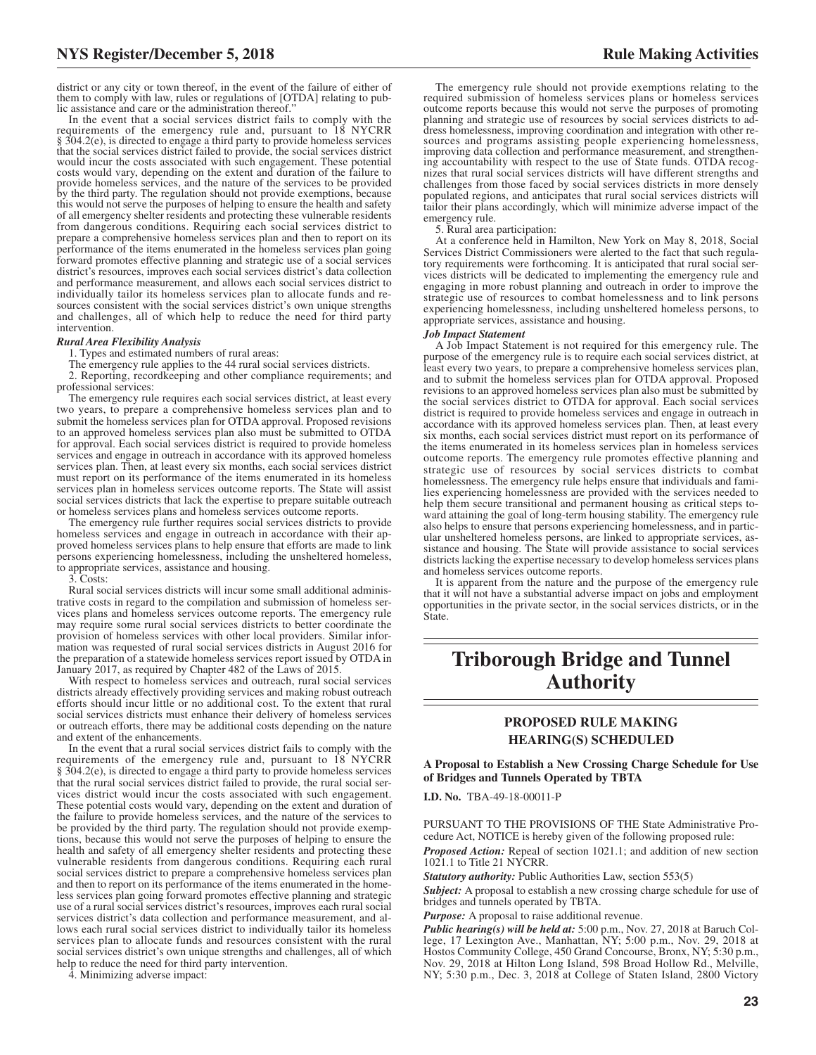lic assistance and care or the administration thereof." In the event that a social services district fails to comply with the requirements of the emergency rule and, pursuant to 18 NYCRR § 304.2(e), is directed to engage a third party to provide homeless services that the social services district failed to provide, the social services district would incur the costs associated with such engagement. These potential costs would vary, depending on the extent and duration of the failure to provide homeless services, and the nature of the services to be provided by the third party. The regulation should not provide exemptions, because this would not serve the purposes of helping to ensure the health and safety of all emergency shelter residents and protecting these vulnerable residents from dangerous conditions. Requiring each social services district to prepare a comprehensive homeless services plan and then to report on its performance of the items enumerated in the homeless services plan going forward promotes effective planning and strategic use of a social services district's resources, improves each social services district's data collection and performance measurement, and allows each social services district to individually tailor its homeless services plan to allocate funds and resources consistent with the social services district's own unique strengths and challenges, all of which help to reduce the need for third party intervention.

#### *Rural Area Flexibility Analysis*

1. Types and estimated numbers of rural areas:

The emergency rule applies to the 44 rural social services districts.

2. Reporting, recordkeeping and other compliance requirements; and professional services:

The emergency rule requires each social services district, at least every two years, to prepare a comprehensive homeless services plan and to submit the homeless services plan for OTDA approval. Proposed revisions to an approved homeless services plan also must be submitted to OTDA for approval. Each social services district is required to provide homeless services and engage in outreach in accordance with its approved homeless services plan. Then, at least every six months, each social services district must report on its performance of the items enumerated in its homeless services plan in homeless services outcome reports. The State will assist social services districts that lack the expertise to prepare suitable outreach or homeless services plans and homeless services outcome reports.

The emergency rule further requires social services districts to provide homeless services and engage in outreach in accordance with their approved homeless services plans to help ensure that efforts are made to link persons experiencing homelessness, including the unsheltered homeless, to appropriate services, assistance and housing.

3. Costs:

Rural social services districts will incur some small additional administrative costs in regard to the compilation and submission of homeless services plans and homeless services outcome reports. The emergency rule may require some rural social services districts to better coordinate the provision of homeless services with other local providers. Similar information was requested of rural social services districts in August 2016 for the preparation of a statewide homeless services report issued by OTDA in January 2017, as required by Chapter 482 of the Laws of 2015.

With respect to homeless services and outreach, rural social services districts already effectively providing services and making robust outreach efforts should incur little or no additional cost. To the extent that rural social services districts must enhance their delivery of homeless services or outreach efforts, there may be additional costs depending on the nature and extent of the enhancements.

In the event that a rural social services district fails to comply with the requirements of the emergency rule and, pursuant to 18 NYCRR § 304.2(e), is directed to engage a third party to provide homeless services that the rural social services district failed to provide, the rural social services district would incur the costs associated with such engagement. These potential costs would vary, depending on the extent and duration of the failure to provide homeless services, and the nature of the services to be provided by the third party. The regulation should not provide exemptions, because this would not serve the purposes of helping to ensure the health and safety of all emergency shelter residents and protecting these vulnerable residents from dangerous conditions. Requiring each rural social services district to prepare a comprehensive homeless services plan and then to report on its performance of the items enumerated in the homeless services plan going forward promotes effective planning and strategic use of a rural social services district's resources, improves each rural social services district's data collection and performance measurement, and allows each rural social services district to individually tailor its homeless services plan to allocate funds and resources consistent with the rural social services district's own unique strengths and challenges, all of which help to reduce the need for third party intervention.

4. Minimizing adverse impact:

The emergency rule should not provide exemptions relating to the required submission of homeless services plans or homeless services outcome reports because this would not serve the purposes of promoting planning and strategic use of resources by social services districts to address homelessness, improving coordination and integration with other resources and programs assisting people experiencing homelessness, improving data collection and performance measurement, and strengthening accountability with respect to the use of State funds. OTDA recognizes that rural social services districts will have different strengths and challenges from those faced by social services districts in more densely populated regions, and anticipates that rural social services districts will tailor their plans accordingly, which will minimize adverse impact of the emergency rule.

5. Rural area participation:

At a conference held in Hamilton, New York on May 8, 2018, Social Services District Commissioners were alerted to the fact that such regulatory requirements were forthcoming. It is anticipated that rural social services districts will be dedicated to implementing the emergency rule and engaging in more robust planning and outreach in order to improve the strategic use of resources to combat homelessness and to link persons experiencing homelessness, including unsheltered homeless persons, to appropriate services, assistance and housing.

#### *Job Impact Statement*

A Job Impact Statement is not required for this emergency rule. The purpose of the emergency rule is to require each social services district, at least every two years, to prepare a comprehensive homeless services plan, and to submit the homeless services plan for OTDA approval. Proposed revisions to an approved homeless services plan also must be submitted by the social services district to OTDA for approval. Each social services district is required to provide homeless services and engage in outreach in accordance with its approved homeless services plan. Then, at least every six months, each social services district must report on its performance of the items enumerated in its homeless services plan in homeless services outcome reports. The emergency rule promotes effective planning and strategic use of resources by social services districts to combat homelessness. The emergency rule helps ensure that individuals and families experiencing homelessness are provided with the services needed to help them secure transitional and permanent housing as critical steps toward attaining the goal of long-term housing stability. The emergency rule also helps to ensure that persons experiencing homelessness, and in particular unsheltered homeless persons, are linked to appropriate services, assistance and housing. The State will provide assistance to social services districts lacking the expertise necessary to develop homeless services plans and homeless services outcome reports.

It is apparent from the nature and the purpose of the emergency rule that it will not have a substantial adverse impact on jobs and employment opportunities in the private sector, in the social services districts, or in the State.

## **Triborough Bridge and Tunnel Authority**

#### **PROPOSED RULE MAKING HEARING(S) SCHEDULED**

**A Proposal to Establish a New Crossing Charge Schedule for Use of Bridges and Tunnels Operated by TBTA**

**I.D. No.** TBA-49-18-00011-P

PURSUANT TO THE PROVISIONS OF THE State Administrative Procedure Act, NOTICE is hereby given of the following proposed rule:

*Proposed Action:* Repeal of section 1021.1; and addition of new section 1021.1 to Title 21 NYCRR.

*Statutory authority:* Public Authorities Law, section 553(5)

*Subject:* A proposal to establish a new crossing charge schedule for use of bridges and tunnels operated by TBTA.

*Purpose:* A proposal to raise additional revenue.

*Public hearing(s) will be held at:* 5:00 p.m., Nov. 27, 2018 at Baruch College, 17 Lexington Ave., Manhattan, NY; 5:00 p.m., Nov. 29, 2018 at Hostos Community College, 450 Grand Concourse, Bronx, NY; 5:30 p.m., Nov. 29, 2018 at Hilton Long Island, 598 Broad Hollow Rd., Melville, NY; 5:30 p.m., Dec. 3, 2018 at College of Staten Island, 2800 Victory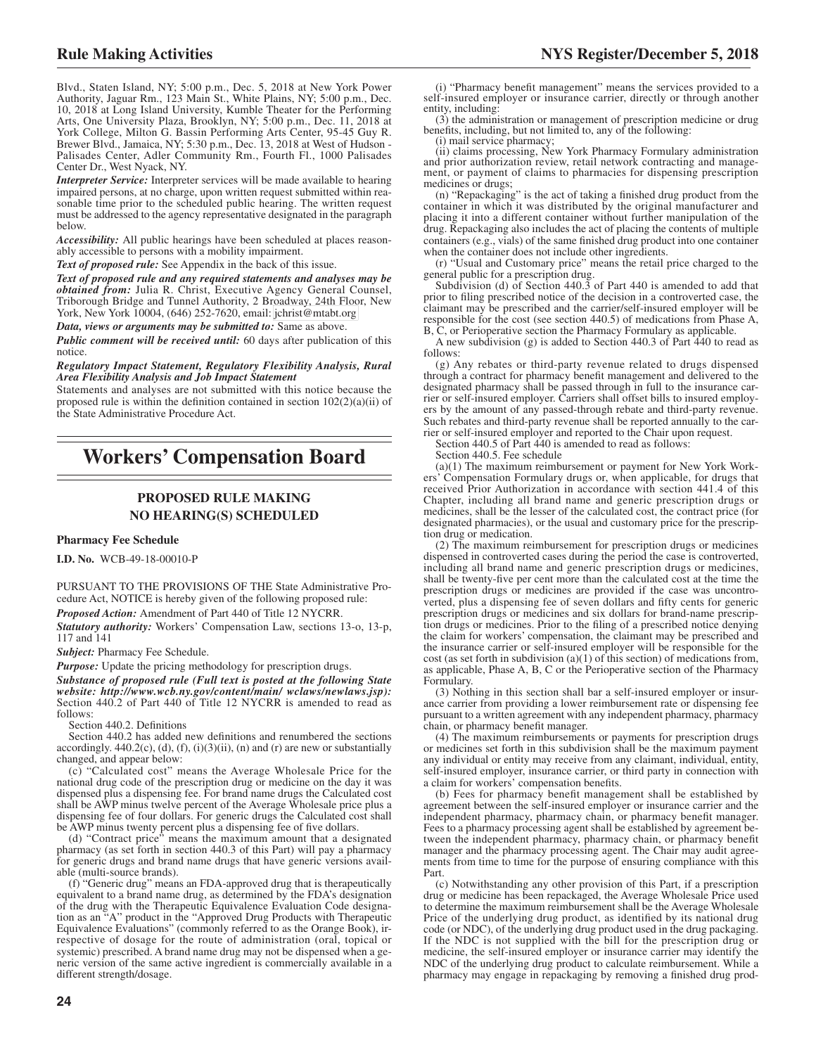Blvd., Staten Island, NY; 5:00 p.m., Dec. 5, 2018 at New York Power Authority, Jaguar Rm., 123 Main St., White Plains, NY; 5:00 p.m., Dec. 10, 2018 at Long Island University, Kumble Theater for the Performing Arts, One University Plaza, Brooklyn, NY; 5:00 p.m., Dec. 11, 2018 at York College, Milton G. Bassin Performing Arts Center, 95-45 Guy R. Brewer Blvd., Jamaica, NY; 5:30 p.m., Dec. 13, 2018 at West of Hudson - Palisades Center, Adler Community Rm., Fourth Fl., 1000 Palisades Center Dr., West Nyack, NY.

*Interpreter Service:* Interpreter services will be made available to hearing impaired persons, at no charge, upon written request submitted within reasonable time prior to the scheduled public hearing. The written request must be addressed to the agency representative designated in the paragraph below.

*Accessibility:* All public hearings have been scheduled at places reasonably accessible to persons with a mobility impairment.

*Text of proposed rule:* See Appendix in the back of this issue.

*Text of proposed rule and any required statements and analyses may be obtained from:* Julia R. Christ, Executive Agency General Counsel, Triborough Bridge and Tunnel Authority, 2 Broadway, 24th Floor, New York, New York 10004, (646) 252-7620, email: [jchrist@mtabt.org](mailto: jchrist@mtabt.org)

*Data, views or arguments may be submitted to:* Same as above.

*Public comment will be received until:* 60 days after publication of this notice.

*Regulatory Impact Statement, Regulatory Flexibility Analysis, Rural Area Flexibility Analysis and Job Impact Statement*

Statements and analyses are not submitted with this notice because the proposed rule is within the definition contained in section 102(2)(a)(ii) of the State Administrative Procedure Act.

## **Workers' Compensation Board**

#### **PROPOSED RULE MAKING NO HEARING(S) SCHEDULED**

#### **Pharmacy Fee Schedule**

**I.D. No.** WCB-49-18-00010-P

PURSUANT TO THE PROVISIONS OF THE State Administrative Procedure Act, NOTICE is hereby given of the following proposed rule: *Proposed Action:* Amendment of Part 440 of Title 12 NYCRR.

*Statutory authority:* Workers' Compensation Law, sections 13-o, 13-p, 117 and 141

*Subject:* Pharmacy Fee Schedule.

*Purpose:* Update the pricing methodology for prescription drugs.

*Substance of proposed rule (Full text is posted at the following State website: http://www.wcb.ny.gov/content/main/ wclaws/newlaws.jsp):* Section 440.2 of Part 440 of Title 12 NYCRR is amended to read as follows:

Section 440.2. Definitions

Section 440.2 has added new definitions and renumbered the sections accordingly.  $440.2(c)$ , (d), (f), (i)(3)(ii), (n) and (r) are new or substantially changed, and appear below:

(c) "Calculated cost" means the Average Wholesale Price for the national drug code of the prescription drug or medicine on the day it was dispensed plus a dispensing fee. For brand name drugs the Calculated cost shall be AWP minus twelve percent of the Average Wholesale price plus a dispensing fee of four dollars. For generic drugs the Calculated cost shall be AWP minus twenty percent plus a dispensing fee of five dollars.

(d) "Contract price" means the maximum amount that a designated pharmacy (as set forth in section 440.3 of this Part) will pay a pharmacy for generic drugs and brand name drugs that have generic versions available (multi-source brands).

(f) "Generic drug" means an FDA-approved drug that is therapeutically equivalent to a brand name drug, as determined by the FDA's designation of the drug with the Therapeutic Equivalence Evaluation Code designation as an "A" product in the "Approved Drug Products with Therapeutic Equivalence Evaluations" (commonly referred to as the Orange Book), irrespective of dosage for the route of administration (oral, topical or systemic) prescribed. A brand name drug may not be dispensed when a generic version of the same active ingredient is commercially available in a different strength/dosage.

(i) "Pharmacy benefit management" means the services provided to a self-insured employer or insurance carrier, directly or through another entity, including:

(3) the administration or management of prescription medicine or drug benefits, including, but not limited to, any of the following:

(i) mail service pharmacy; (ii) claims processing, New York Pharmacy Formulary administration and prior authorization review, retail network contracting and manage-ment, or payment of claims to pharmacies for dispensing prescription medicines or drugs;

(n) "Repackaging" is the act of taking a finished drug product from the container in which it was distributed by the original manufacturer and placing it into a different container without further manipulation of the drug. Repackaging also includes the act of placing the contents of multiple containers (e.g., vials) of the same finished drug product into one container when the container does not include other ingredients.

(r) "Usual and Customary price" means the retail price charged to the general public for a prescription drug.

Subdivision (d) of Section 440.3 of Part 440 is amended to add that prior to filing prescribed notice of the decision in a controverted case, the claimant may be prescribed and the carrier/self-insured employer will be responsible for the cost (see section 440.5) of medications from Phase A, B, C, or Perioperative section the Pharmacy Formulary as applicable.

A new subdivision (g) is added to Section 440.3 of Part 440 to read as follows:

(g) Any rebates or third-party revenue related to drugs dispensed through a contract for pharmacy benefit management and delivered to the designated pharmacy shall be passed through in full to the insurance carrier or self-insured employer. Carriers shall offset bills to insured employers by the amount of any passed-through rebate and third-party revenue. Such rebates and third-party revenue shall be reported annually to the carrier or self-insured employer and reported to the Chair upon request.

Section 440.5 of Part 440 is amended to read as follows:

Section 440.5. Fee schedule

(a)(1) The maximum reimbursement or payment for New York Workers' Compensation Formulary drugs or, when applicable, for drugs that received Prior Authorization in accordance with section 441.4 of this Chapter, including all brand name and generic prescription drugs or medicines, shall be the lesser of the calculated cost, the contract price (for designated pharmacies), or the usual and customary price for the prescription drug or medication.

(2) The maximum reimbursement for prescription drugs or medicines dispensed in controverted cases during the period the case is controverted, including all brand name and generic prescription drugs or medicines, shall be twenty-five per cent more than the calculated cost at the time the prescription drugs or medicines are provided if the case was uncontroverted, plus a dispensing fee of seven dollars and fifty cents for generic prescription drugs or medicines and six dollars for brand-name prescription drugs or medicines. Prior to the filing of a prescribed notice denying the claim for workers' compensation, the claimant may be prescribed and the insurance carrier or self-insured employer will be responsible for the cost (as set forth in subdivision  $(a)(1)$  of this section) of medications from, as applicable, Phase A, B, C or the Perioperative section of the Pharmacy Formulary.

(3) Nothing in this section shall bar a self-insured employer or insurance carrier from providing a lower reimbursement rate or dispensing fee pursuant to a written agreement with any independent pharmacy, pharmacy chain, or pharmacy benefit manager.

(4) The maximum reimbursements or payments for prescription drugs or medicines set forth in this subdivision shall be the maximum payment any individual or entity may receive from any claimant, individual, entity, self-insured employer, insurance carrier, or third party in connection with a claim for workers' compensation benefits.

(b) Fees for pharmacy benefit management shall be established by agreement between the self-insured employer or insurance carrier and the independent pharmacy, pharmacy chain, or pharmacy benefit manager. Fees to a pharmacy processing agent shall be established by agreement between the independent pharmacy, pharmacy chain, or pharmacy benefit manager and the pharmacy processing agent. The Chair may audit agreements from time to time for the purpose of ensuring compliance with this Part.

(c) Notwithstanding any other provision of this Part, if a prescription drug or medicine has been repackaged, the Average Wholesale Price used to determine the maximum reimbursement shall be the Average Wholesale Price of the underlying drug product, as identified by its national drug code (or NDC), of the underlying drug product used in the drug packaging. If the NDC is not supplied with the bill for the prescription drug or medicine, the self-insured employer or insurance carrier may identify the NDC of the underlying drug product to calculate reimbursement. While a pharmacy may engage in repackaging by removing a finished drug prod